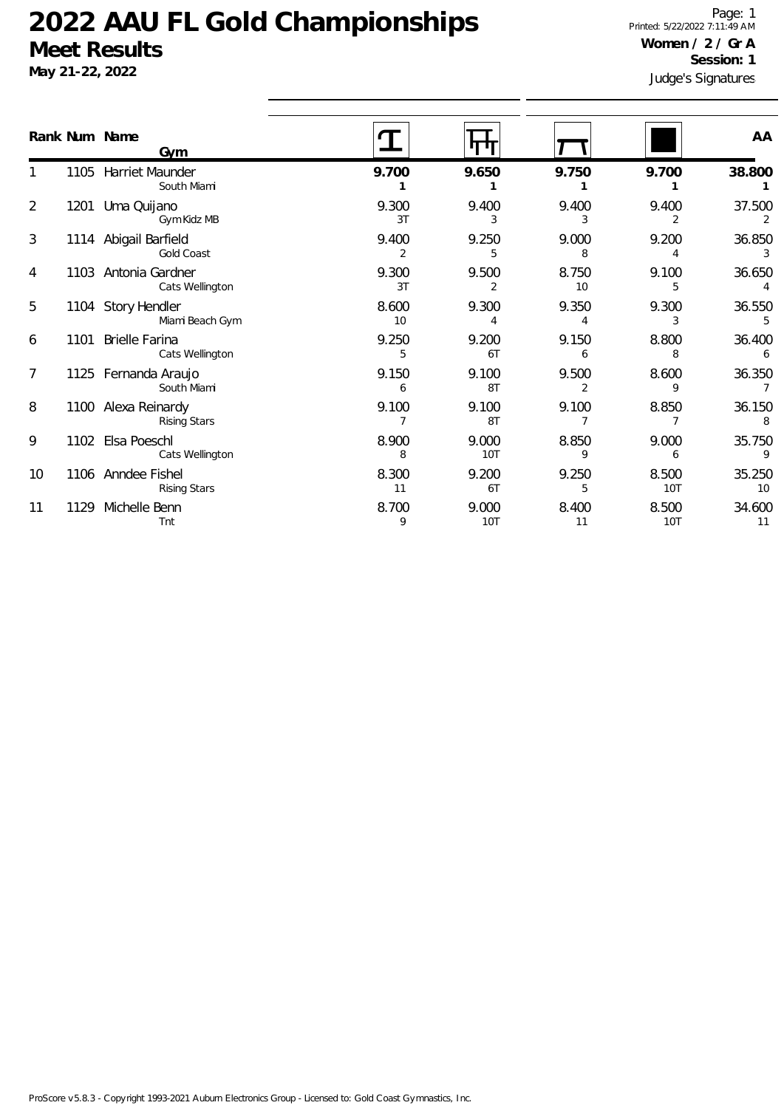**May 21-22, 2022**

Judge's Signatures Page: 1 Printed: 5/22/2022 7:11:49 AM **Women / 2 / Gr A Session: 1**

| Rank Num Name |      | <b>Gym</b>                                 |             |                         |                         |                     | AA                       |
|---------------|------|--------------------------------------------|-------------|-------------------------|-------------------------|---------------------|--------------------------|
|               |      | 1105 Harriet Maunder<br>South Miami        | 9.700       | 9.650                   | 9.750                   | 9.700               | 38.800                   |
| 2             |      | 1201 Uma Quijano<br>Gym Kidz MB            | 9.300<br>3T | 9.400<br>3              | 9.400<br>3              | 9.400<br>2          | 37.500<br>2              |
| 3             |      | 1114 Abigail Barfield<br>Gold Coast        | 9.400<br>2  | 9.250<br>5              | 9.000<br>8              | 9.200<br>4          | 36.850<br>3              |
| 4             |      | 1103 Antonia Gardner<br>Cats Wellington    | 9.300<br>3T | 9.500<br>$\overline{2}$ | 8.750<br>10             | 9.100<br>5          | 36.650                   |
| 5             |      | 1104 Story Hendler<br>Miami Beach Gym      | 8.600<br>10 | 9.300<br>4              | 9.350                   | 9.300<br>3          | 36.550<br>5              |
| 6             |      | 1101 Brielle Farina<br>Cats Wellington     | 9.250<br>5  | 9.200<br>6T             | 9.150<br>6              | 8.800<br>8          | 36.400<br>6              |
| 7             |      | 1125 Fernanda Araujo<br>South Miami        | 9.150<br>6  | 9.100<br>8T             | 9.500<br>$\overline{2}$ | 8.600<br>9          | 36.350<br>$\overline{7}$ |
| 8             |      | 1100 Alexa Reinardy<br><b>Rising Stars</b> | 9.100       | 9.100<br>8T             | 9.100                   | 8.850               | 36.150<br>8              |
| 9             |      | 1102 Elsa Poeschl<br>Cats Wellington       | 8.900<br>8  | 9.000<br>10T            | 8.850<br>9              | 9.000<br>6          | 35.750<br>9              |
| 10            |      | 1106 Anndee Fishel<br>Rising Stars         | 8.300<br>11 | 9.200<br>6T             | 9.250<br>5              | 8.500<br><b>10T</b> | 35.250<br>10             |
| 11            | 1129 | Michelle Benn<br>Tnt                       | 8.700<br>9  | 9.000<br><b>10T</b>     | 8.400<br>11             | 8.500<br>10T        | 34.600<br>11             |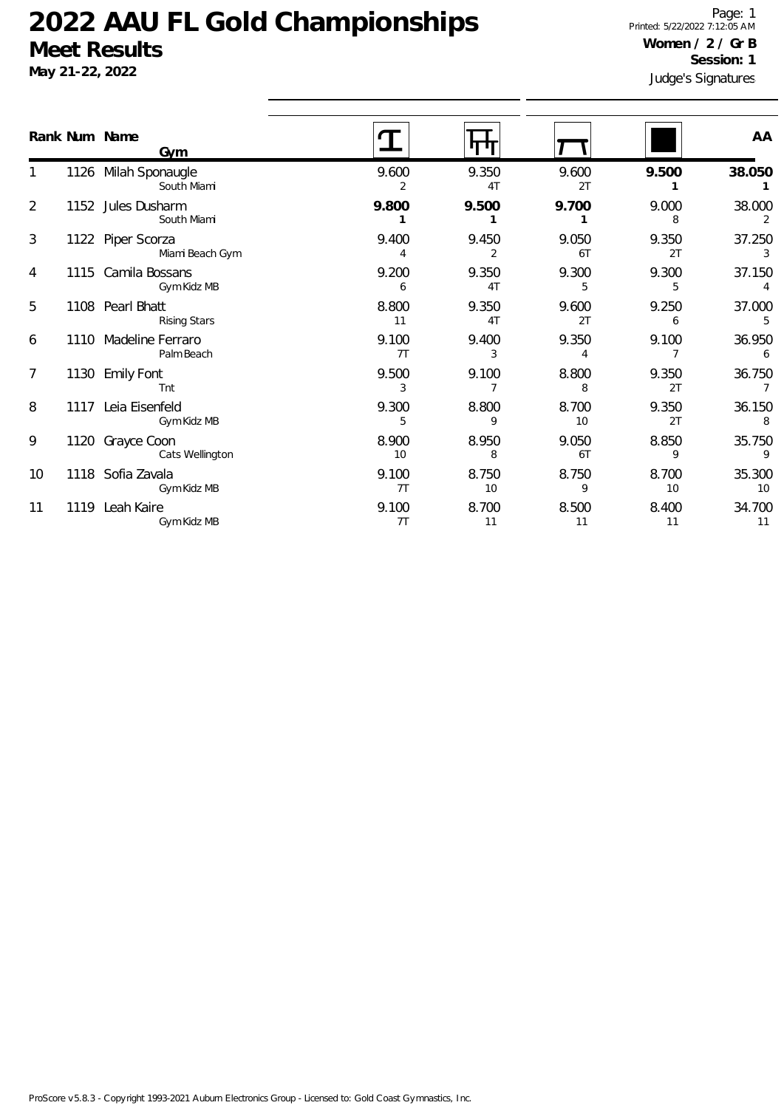|                | Rank Num Name | <b>Gym</b>                              |             |                         |             |             | AA                    |
|----------------|---------------|-----------------------------------------|-------------|-------------------------|-------------|-------------|-----------------------|
|                |               | 1126 Milah Sponaugle<br>South Miami     | 9.600<br>2  | 9.350<br>4 <sub>T</sub> | 9.600<br>2T | 9.500       | 38.050                |
| $\overline{2}$ |               | 1152 Jules Dusharm<br>South Miami       | 9.800       | 9.500                   | 9.700       | 9.000<br>8  | 38.000<br>2           |
| 3              |               | 1122 Piper Scorza<br>Miami Beach Gym    | 9.400       | 9.450<br>2              | 9.050<br>6T | 9.350<br>2T | 37.250<br>3           |
| 4              |               | 1115 Camila Bossans<br>Gym Kidz MB      | 9.200<br>6  | 9.350<br>4 <sub>T</sub> | 9.300<br>5  | 9.300<br>5  | 37.150<br>4           |
| 5              |               | 1108 Pearl Bhatt<br><b>Rising Stars</b> | 8.800<br>11 | 9.350<br>4T             | 9.600<br>2T | 9.250<br>6  | 37.000<br>5           |
| 6              |               | 1110 Madeline Ferraro<br>Palm Beach     | 9.100<br>7T | 9.400<br>3              | 9.350<br>4  | 9.100       | 36.950<br>6           |
| 7              |               | 1130 Emily Font<br>Tnt                  | 9.500<br>3  | 9.100                   | 8.800<br>8  | 9.350<br>2T | 36.750<br>$7^{\circ}$ |
| 8              |               | 1117 Leia Eisenfeld<br>Gym Kidz MB      | 9.300<br>5  | 8.800<br>9              | 8.700<br>10 | 9.350<br>2T | 36.150<br>8           |
| 9              |               | 1120 Grayce Coon<br>Cats Wellington     | 8.900<br>10 | 8.950<br>8              | 9.050<br>6T | 8.850<br>9  | 35.750<br>9           |
| 10             |               | 1118 Sofia Zavala<br>Gym Kidz MB        | 9.100<br>7T | 8.750<br>10             | 8.750<br>9  | 8.700<br>10 | 35.300<br>10          |
| 11             |               | 1119 Leah Kaire<br>Gym Kidz MB          | 9.100<br>7T | 8.700<br>11             | 8.500<br>11 | 8.400<br>11 | 34.700<br>11          |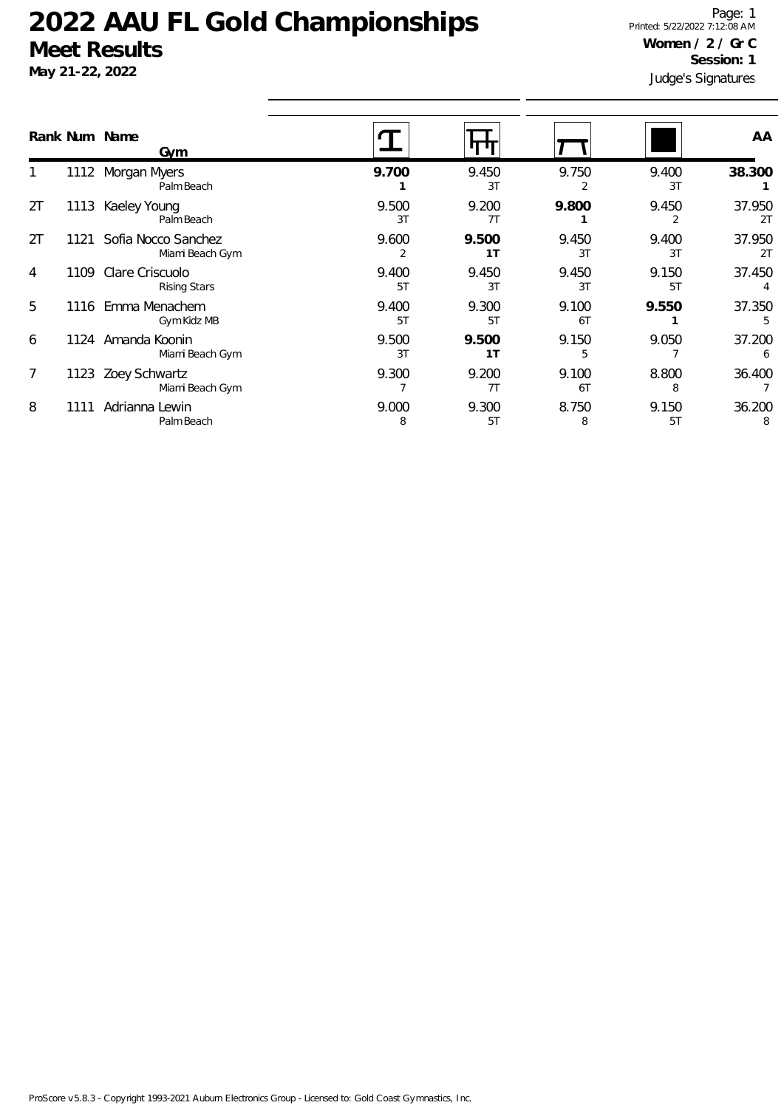**May 21-22, 2022**

Judge's Signatures Page: 1 Printed: 5/22/2022 7:12:08 AM **Women / 2 / Gr C Session: 1**

|    |      | Rank Num Name<br>Gym                   |             |                         |             |             | AA           |
|----|------|----------------------------------------|-------------|-------------------------|-------------|-------------|--------------|
|    | 1112 | Morgan Myers<br>Palm Beach             | 9.700       | 9.450<br>3T             | 9.750       | 9.400<br>3T | 38.300       |
| 2T | 1113 | Kaeley Young<br>Palm Beach             | 9.500<br>3T | 9.200<br>7T             | 9.800       | 9.450<br>2  | 37.950<br>2T |
| 2T | 1121 | Sofia Nocco Sanchez<br>Miami Beach Gym | 9.600       | 9.500<br>1T             | 9.450<br>3T | 9.400<br>3T | 37.950<br>2T |
| 4  | 1109 | Clare Criscuolo<br><b>Rising Stars</b> | 9.400<br>5T | 9.450<br>3T             | 9.450<br>3T | 9.150<br>5T | 37.450       |
| 5  | 1116 | Emma Menachem<br>Gym Kidz MB           | 9.400<br>5T | 9.300<br>5T             | 9.100<br>6T | 9.550       | 37.350<br>5  |
| 6  | 1124 | Amanda Koonin<br>Miami Beach Gym       | 9.500<br>3T | 9.500<br>1 <sub>T</sub> | 9.150<br>5  | 9.050       | 37.200<br>6  |
| 7  | 1123 | Zoey Schwartz<br>Miami Beach Gym       | 9.300       | 9.200<br>7T             | 9.100<br>6T | 8.800<br>8  | 36.400       |
| 8  | 11   | Adrianna Lewin<br>Palm Beach           | 9.000<br>8  | 9.300<br>5T             | 8.750<br>8  | 9.150<br>5T | 36.200<br>8  |
|    |      |                                        |             |                         |             |             |              |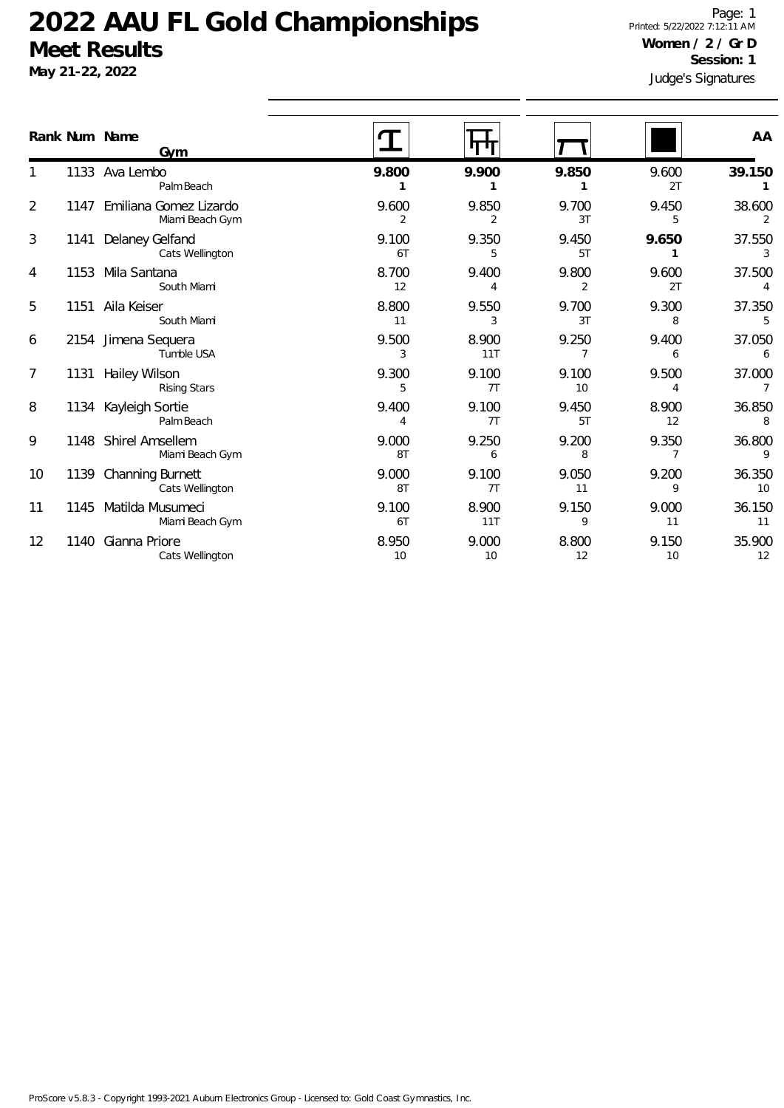**May 21-22, 2022**

Judge's Signatures Page: 1 Printed: 5/22/2022 7:12:11 AM **Women / 2 / Gr D Session: 1**

|                | Rank Num Name<br>Gvm                       |                |              |             |             | AA             |
|----------------|--------------------------------------------|----------------|--------------|-------------|-------------|----------------|
|                | 1133 Ava Lembo<br>Palm Beach               | 9.800          | 9.900        | 9.850       | 9.600<br>2T | 39.150         |
| $\overline{2}$ | 1147 Emiliana Gomez Lizardo                | 9.600          | 9.850        | 9.700       | 9.450       | 38.600         |
|                | Miami Beach Gym                            | $\overline{2}$ | 2            | 3T          | 5           | $\overline{2}$ |
| 3              | Delaney Gelfand<br>1141<br>Cats Wellington | 9.100<br>6T    | 9.350<br>5   | 9.450<br>5T | 9.650<br>1  | 37.550<br>3    |
| 4              | 1153 Mila Santana<br>South Miami           | 8.700<br>12    | 9.400<br>4   | 9.800<br>2  | 9.600<br>2T | 37.500         |
| 5              | Aila Keiser                                | 8.800          | 9.550        | 9.700       | 9.300       | 37.350         |
| 1151           | South Miami                                | 11             | 3            | 3T          | 8           |                |
| 6              | 2154 Jimena Sequera<br>Tumble USA          | 9.500<br>3     | 8.900<br>11T | 9.250       | 9.400<br>6  | 37.050<br>6    |
| $\overline{7}$ | <b>Hailey Wilson</b>                       | 9.300          | 9.100        | 9.100       | 9.500       | 37.000         |
| 1131           | <b>Rising Stars</b>                        | 5              | 7T           | 10          | 4           | $\overline{7}$ |
| 8              | 1134 Kayleigh Sortie                       | 9.400          | 9.100        | 9.450       | 8.900       | 36.850         |
|                | Palm Beach                                 | 4              | 7T           | 5T          | 12          | 8              |
| 9              | 1148 Shirel Amsellem<br>Miami Beach Gym    | 9.000<br>8T    | 9.250<br>6   | 9.200<br>8  | 9.350       | 36.800<br>9    |
| 10             | 1139 Channing Burnett                      | 9.000          | 9.100        | 9.050       | 9.200       | 36.350         |
|                | Cats Wellington                            | 8T             | 7T           | 11          | 9           | 10             |
| 11             | 1145 Matilda Musumeci                      | 9.100          | 8.900        | 9.150       | 9.000       | 36.150         |
|                | Miami Beach Gym                            | 6T             | 11T          | 9           | 11          | 11             |
| 12             | Gianna Priore                              | 8.950          | 9.000        | 8.800       | 9.150       | 35.900         |
| 1140           | Cats Wellington                            | 10             | 10           | 12          | 10          | 12             |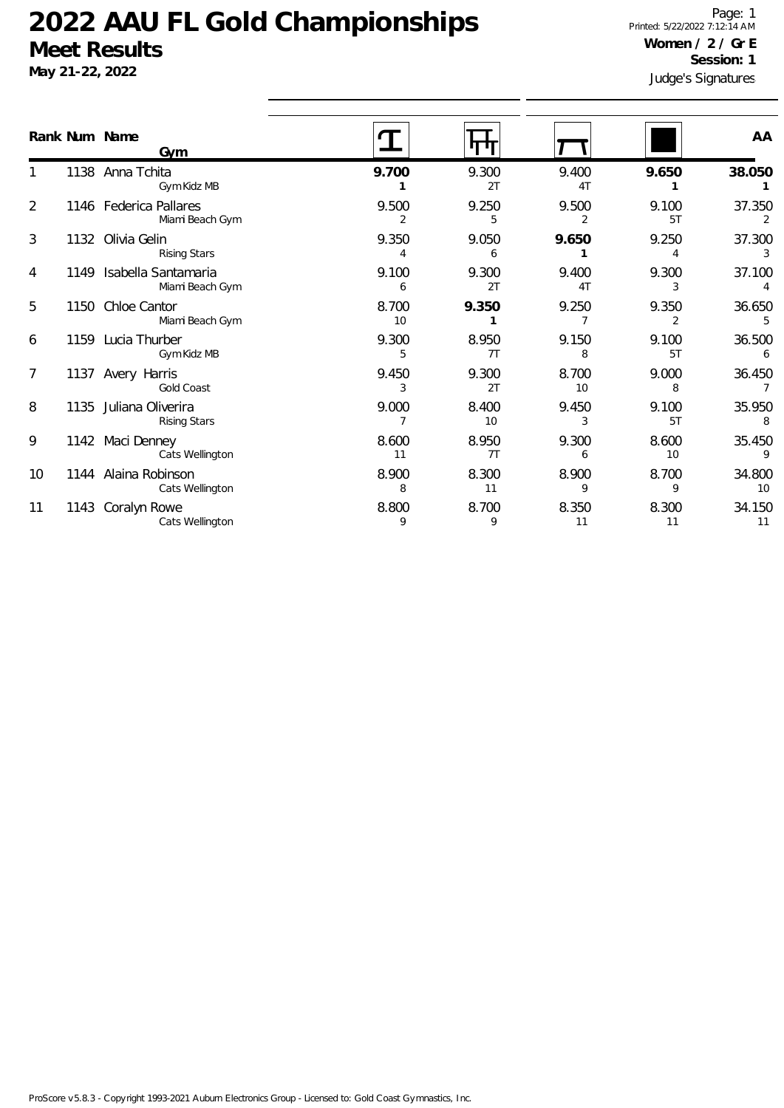**May 21-22, 2022**

Judge's Signatures Page: 1 Printed: 5/22/2022 7:12:14 AM **Women / 2 / Gr E Session: 1**

|                |      | Rank Num Name<br>Gvm                        |             |             |                         |             | AA           |
|----------------|------|---------------------------------------------|-------------|-------------|-------------------------|-------------|--------------|
|                |      | 1138 Anna Tchita<br>Gym Kidz MB             | 9.700       | 9.300<br>2T | 9.400<br>4 <sub>T</sub> | 9.650       | 38.050       |
| $\overline{2}$ |      | 1146 Federica Pallares<br>Miami Beach Gym   | 9.500<br>2  | 9.250<br>5  | 9.500<br>2              | 9.100<br>5T | 37.350<br>2  |
| 3              |      | 1132 Olivia Gelin<br><b>Rising Stars</b>    | 9.350<br>4  | 9.050<br>6  | 9.650                   | 9.250       | 37.300<br>3  |
| 4              |      | 1149 Isabella Santamaria<br>Miami Beach Gym | 9.100<br>6  | 9.300<br>2T | 9.400<br>4T             | 9.300<br>3  | 37.100       |
| 5              |      | 1150 Chloe Cantor<br>Miami Beach Gym        | 8.700<br>10 | 9.350       | 9.250                   | 9.350       | 36.650<br>5  |
| 6              |      | 1159 Lucia Thurber<br>Gym Kidz MB           | 9.300<br>5  | 8.950<br>7T | 9.150<br>8              | 9.100<br>5T | 36.500<br>6  |
| 7              |      | 1137 Avery Harris<br><b>Gold Coast</b>      | 9.450<br>3  | 9.300<br>2T | 8.700<br>10             | 9.000<br>8  | 36.450       |
| 8              | 1135 | Juliana Oliverira<br><b>Rising Stars</b>    | 9.000       | 8.400<br>10 | 9.450<br>3              | 9.100<br>5T | 35.950<br>8  |
| 9              |      | 1142 Maci Denney<br>Cats Wellington         | 8.600<br>11 | 8.950<br>7T | 9.300<br>6              | 8.600<br>10 | 35.450<br>9  |
| 10             |      | 1144 Alaina Robinson<br>Cats Wellington     | 8.900<br>8  | 8.300<br>11 | 8.900<br>9              | 8.700<br>9  | 34.800<br>10 |
| 11             | 1143 | Coralyn Rowe<br>Cats Wellington             | 8.800<br>9  | 8.700<br>9  | 8.350<br>11             | 8.300<br>11 | 34.150<br>11 |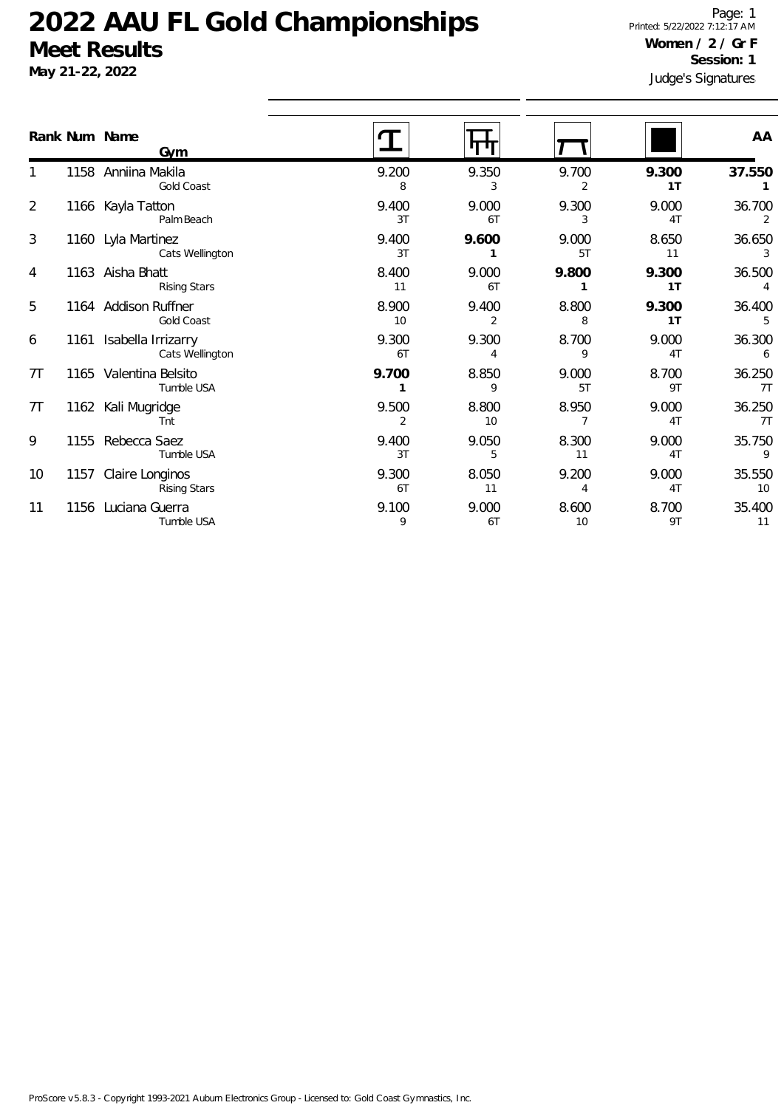**May 21-22, 2022**

Judge's Signatures Page: 1 Printed: 5/22/2022 7:12:17 AM **Women / 2 / Gr F Session: 1**

|    | Rank Num Name<br><b>Gym</b>                 |                       |             |                         |             | AA                        |
|----|---------------------------------------------|-----------------------|-------------|-------------------------|-------------|---------------------------|
|    | 1158 Anniina Makila<br>Gold Coast           | 9.200<br>8            | 9.350<br>3  | 9.700<br>$\overline{2}$ | 9.300<br>1T | 37.550                    |
| 2  | 1166 Kayla Tatton<br>Palm Beach             | 9.400<br>3T           | 9.000<br>6T | 9.300<br>3              | 9.000<br>4T | 36.700<br>2               |
| 3  | 1160 Lyla Martinez<br>Cats Wellington       | 9.400<br>3T           | 9.600       | 9.000<br>5T             | 8.650<br>11 | 36.650<br>3               |
| 4  | 1163 Aisha Bhatt<br><b>Rising Stars</b>     | 8.400<br>11           | 9.000<br>6T | 9.800                   | 9.300<br>1T | 36.500<br>$\overline{4}$  |
| 5  | 1164 Addison Ruffner<br>Gold Coast          | 8.900<br>10           | 9.400<br>2  | 8.800<br>8              | 9.300<br>1T | 36.400<br>5               |
| 6  | 1161 Isabella Irrizarry<br>Cats Wellington  | 9.300<br>6T           | 9.300<br>4  | 8.700<br>9              | 9.000<br>4T | 36.300<br>$6\overline{6}$ |
| 7T | 1165 Valentina Belsito<br>Tumble USA        | 9.700<br>$\mathbf{1}$ | 8.850<br>9  | 9.000<br>5T             | 8.700<br>9T | 36.250<br>7T              |
| 7T | 1162 Kali Mugridge<br>Tnt                   | 9.500<br>2            | 8.800<br>10 | 8.950<br>$\overline{7}$ | 9.000<br>4T | 36.250<br>7T              |
| 9  | 1155 Rebecca Saez<br>Tumble USA             | 9.400<br>3T           | 9.050<br>5  | 8.300<br>11             | 9.000<br>4T | 35.750<br>- 9             |
| 10 | 1157 Claire Longinos<br><b>Rising Stars</b> | 9.300<br>6T           | 8.050<br>11 | 9.200<br>4              | 9.000<br>4T | 35.550<br>10              |
| 11 | 1156 Luciana Guerra<br>Tumble USA           | 9.100<br>9            | 9.000<br>6T | 8.600<br>10             | 8.700<br>9T | 35.400<br>11              |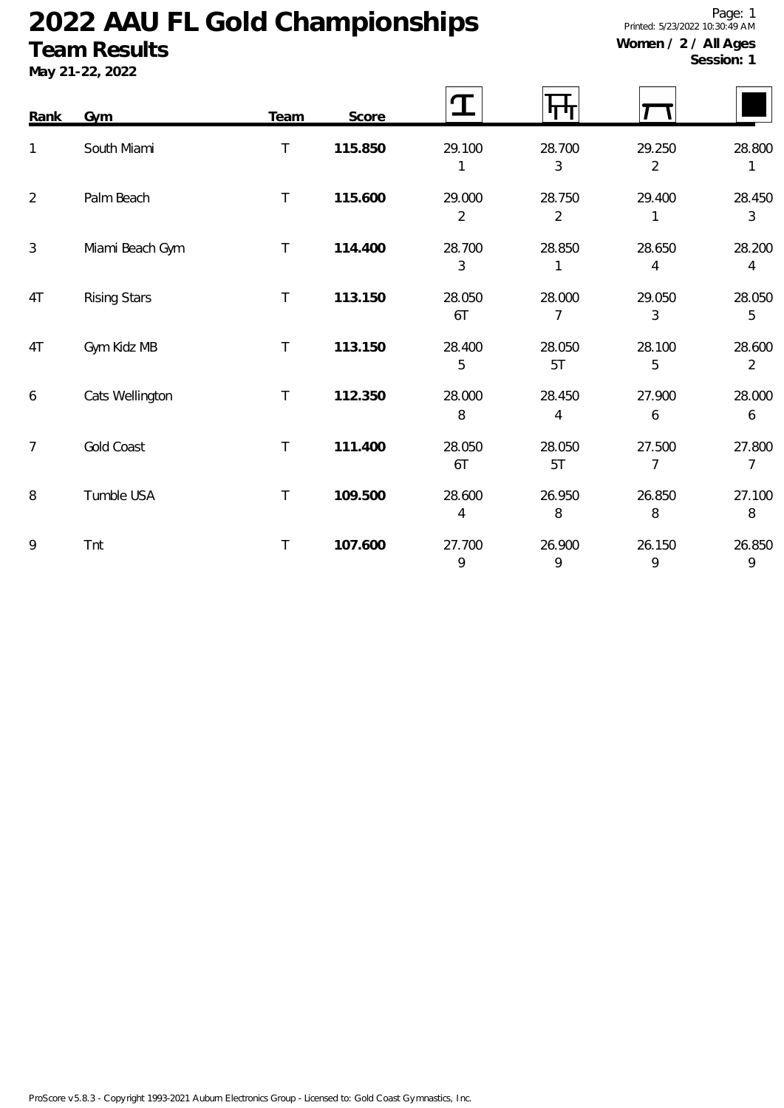### **Team Results**

**May 21-22, 2022**

Page: 1 Printed: 5/23/2022 10:30:49 AM **Women / 2 / All Ages**

**Session: 1**

| Rank           | <b>Gym</b>          | <b>Team</b> | Score   | $\bf T$                  |                          |                          |                          |
|----------------|---------------------|-------------|---------|--------------------------|--------------------------|--------------------------|--------------------------|
| 1              | South Miami         | $\top$      | 115.850 | 29.100                   | 28.700<br>3              | 29.250<br>$\overline{2}$ | 28.800<br>1              |
| $\overline{2}$ | Palm Beach          | $\top$      | 115.600 | 29.000<br>$\overline{2}$ | 28.750<br>$\overline{2}$ | 29.400<br>1              | 28.450<br>3              |
| $\mathfrak{Z}$ | Miami Beach Gym     | $\top$      | 114.400 | 28.700<br>3              | 28.850                   | 28.650<br>4              | 28.200<br>4              |
| 4T             | <b>Rising Stars</b> | $\top$      | 113.150 | 28.050<br>6T             | 28.000<br>7              | 29.050<br>3              | 28.050<br>5              |
| 4T             | Gym Kidz MB         | $\top$      | 113.150 | 28.400<br>5              | 28.050<br>5T             | 28.100<br>5              | 28.600<br>$\overline{2}$ |
| 6              | Cats Wellington     | $\sf T$     | 112.350 | 28.000<br>8              | 28.450<br>4              | 27.900<br>6              | 28.000<br>6              |
| $\overline{7}$ | Gold Coast          | $\top$      | 111.400 | 28.050<br>6T             | 28.050<br>5T             | 27.500<br>$\overline{7}$ | 27.800<br>$\overline{7}$ |
| 8              | Tumble USA          | $\top$      | 109.500 | 28.600<br>4              | 26.950<br>8              | 26.850<br>8              | 27.100<br>8              |
| 9              | Tnt                 | $\top$      | 107.600 | 27.700<br>9              | 26.900<br>9              | 26.150<br>9              | 26.850<br>9              |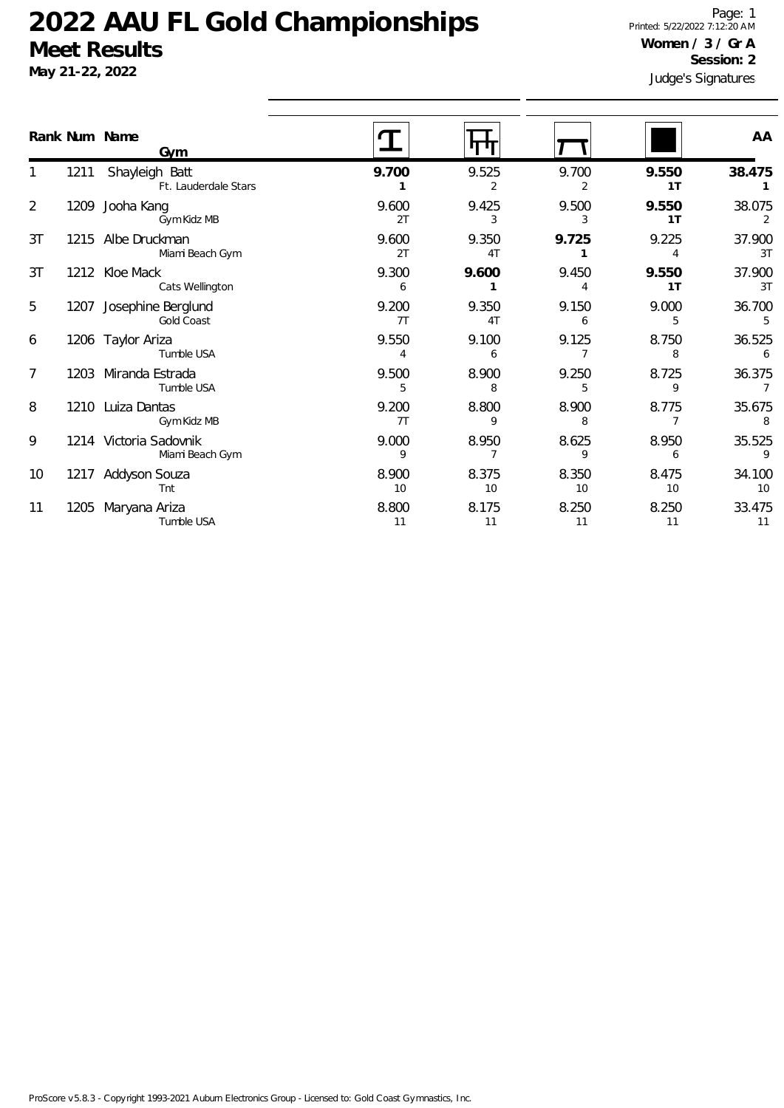**May 21-22, 2022**

Judge's Signatures Page: 1 Printed: 5/22/2022 7:12:20 AM **Women / 3 / Gr A Session: 2**

|                | Rank Num Name | <b>Gym</b>                                   |             |             |             |             | AA                       |
|----------------|---------------|----------------------------------------------|-------------|-------------|-------------|-------------|--------------------------|
|                |               | 1211 Shayleigh Batt<br>Ft. Lauderdale Stars  | 9.700       | 9.525<br>2  | 9.700<br>2  | 9.550<br>1T | 38.475                   |
| $\overline{2}$ |               | 1209 Jooha Kang<br>Gym Kidz MB               | 9.600<br>2T | 9.425<br>3  | 9.500<br>3  | 9.550<br>1T | 38.075<br>2              |
| 3T             |               | 1215 Albe Druckman<br>Miami Beach Gym        | 9.600<br>2T | 9.350<br>4T | 9.725       | 9.225<br>4  | 37.900<br>3T             |
| 3T             |               | 1212 Kloe Mack<br>Cats Wellington            | 9.300<br>6  | 9.600       | 9.450       | 9.550<br>1T | 37.900<br>3T             |
| 5              |               | 1207 Josephine Berglund<br><b>Gold Coast</b> | 9.200<br>7T | 9.350<br>4T | 9.150<br>6  | 9.000<br>5  | 36.700<br>5              |
| 6              |               | 1206 Taylor Ariza<br>Tumble USA              | 9.550<br>4  | 9.100<br>6  | 9.125       | 8.750<br>8  | 36.525<br>6              |
| 7              |               | 1203 Miranda Estrada<br>Tumble USA           | 9.500<br>5  | 8.900<br>8  | 9.250<br>5  | 8.725<br>9  | 36.375<br>$\overline{7}$ |
| 8              |               | 1210 Luiza Dantas<br>Gym Kidz MB             | 9.200<br>7T | 8.800<br>9  | 8.900<br>8  | 8.775<br>7  | 35.675<br>8              |
| 9              |               | 1214 Victoria Sadovnik<br>Miami Beach Gym    | 9.000<br>9  | 8.950<br>7  | 8.625<br>9  | 8.950<br>6  | 35.525<br>$\overline{9}$ |
| 10             |               | 1217 Addyson Souza<br>Tnt                    | 8.900<br>10 | 8.375<br>10 | 8.350<br>10 | 8.475<br>10 | 34.100<br>10             |
| 11             | 1205          | Maryana Ariza<br>Tumble USA                  | 8.800<br>11 | 8.175<br>11 | 8.250<br>11 | 8.250<br>11 | 33.475<br>11             |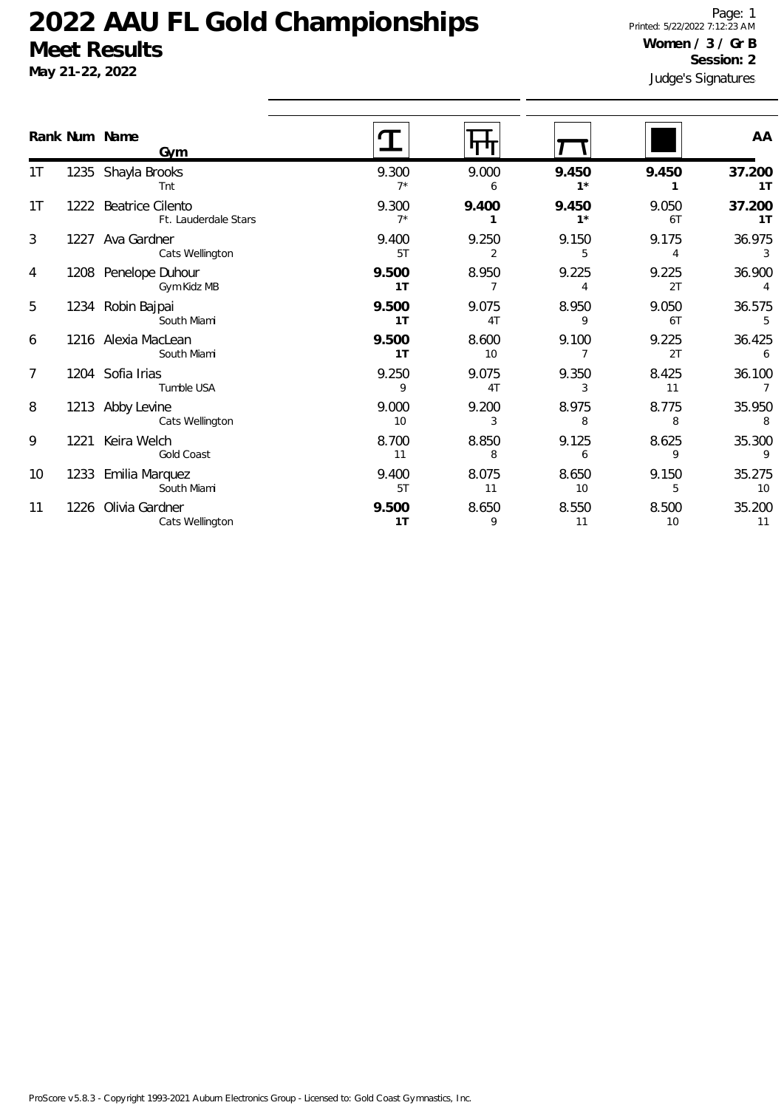**May 21-22, 2022**

Judge's Signatures Page: 1 Printed: 5/22/2022 7:12:23 AM **Women / 3 / Gr B Session: 2**

|                |      | Rank Num Name<br><b>Gym</b>                   |                |             |                         |             | AA                                |
|----------------|------|-----------------------------------------------|----------------|-------------|-------------------------|-------------|-----------------------------------|
| 1T             |      | 1235 Shayla Brooks<br>Tnt                     | 9.300<br>$7^*$ | 9.000<br>6  | 9.450<br>$1^*$          | 9.450       | 37.200<br>1T                      |
| 1T             |      | 1222 Beatrice Cilento<br>Ft. Lauderdale Stars | 9.300<br>$7^*$ | 9.400       | 9.450<br>$1*$           | 9.050<br>6T | 37.200<br>1T                      |
| 3              |      | 1227 Ava Gardner<br>Cats Wellington           | 9.400<br>5T    | 9.250<br>2  | 9.150<br>5              | 9.175<br>4  | 36.975<br>$\overline{\mathbf{3}}$ |
| 4              |      | 1208 Penelope Duhour<br>Gym Kidz MB           | 9.500<br>1T    | 8.950<br>7  | 9.225<br>4              | 9.225<br>2T | 36.900<br>$\overline{4}$          |
| 5              |      | 1234 Robin Bajpai<br>South Miami              | 9.500<br>1T    | 9.075<br>4T | 8.950<br>9              | 9.050<br>6T | 36.575<br>$-5$                    |
| 6              |      | 1216 Alexia MacLean<br>South Miami            | 9.500<br>1T    | 8.600<br>10 | 9.100<br>$\overline{7}$ | 9.225<br>2T | 36.425<br>$6\overline{6}$         |
| $\overline{7}$ |      | 1204 Sofia Irias<br>Tumble USA                | 9.250<br>9     | 9.075<br>4T | 9.350<br>3              | 8.425<br>11 | 36.100<br>$\overline{7}$          |
| 8              |      | 1213 Abby Levine<br>Cats Wellington           | 9.000<br>10    | 9.200<br>3  | 8.975<br>8              | 8.775<br>8  | 35.950<br>8                       |
| 9              | 1221 | Keira Welch<br>Gold Coast                     | 8.700<br>11    | 8.850<br>8  | 9.125<br>6              | 8.625<br>9  | 35.300<br>$\overline{9}$          |
| 10             |      | 1233 Emilia Marquez<br>South Miami            | 9.400<br>5T    | 8.075<br>11 | 8.650<br>10             | 9.150<br>5  | 35.275<br>10                      |
| 11             |      | 1226 Olivia Gardner<br>Cats Wellington        | 9.500<br>1T    | 8.650<br>9  | 8.550<br>11             | 8.500<br>10 | 35.200<br>11                      |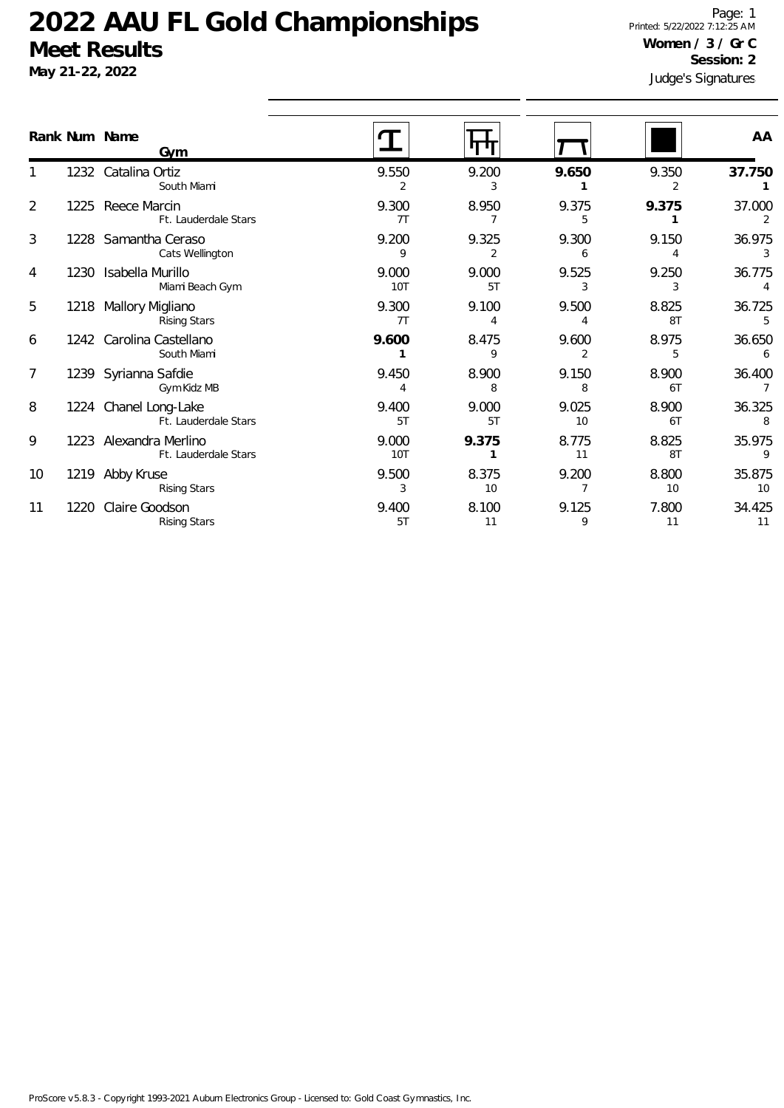**May 21-22, 2022**

Judge's Signatures Page: 1 Printed: 5/22/2022 7:12:25 AM **Women / 3 / Gr C Session: 2**

|                |      | Rank Num Name                                  |              |             |             |             | AA                       |
|----------------|------|------------------------------------------------|--------------|-------------|-------------|-------------|--------------------------|
|                |      | Gvm                                            |              |             |             |             |                          |
|                |      | 1232 Catalina Ortiz<br>South Miami             | 9.550<br>2   | 9.200<br>3  | 9.650       | 9.350<br>2  | 37.750                   |
| $\overline{2}$ |      | 1225 Reece Marcin<br>Ft. Lauderdale Stars      | 9.300<br>7T  | 8.950<br>7  | 9.375<br>5  | 9.375       | 37.000<br>2              |
| 3              |      | 1228 Samantha Ceraso<br>Cats Wellington        | 9.200<br>9   | 9.325<br>2  | 9.300<br>6  | 9.150<br>4  | 36.975<br>3              |
| 4              |      | 1230 Isabella Murillo<br>Miami Beach Gym       | 9.000<br>10T | 9.000<br>5T | 9.525<br>3  | 9.250<br>3  | 36.775<br>4              |
| 5              |      | 1218 Mallory Migliano<br><b>Rising Stars</b>   | 9.300<br>7T  | 9.100<br>4  | 9.500       | 8.825<br>8T | 36.725<br>5              |
| 6              |      | 1242 Carolina Castellano<br>South Miami        | 9.600        | 8.475<br>9  | 9.600<br>2  | 8.975<br>5  | 36.650<br>6              |
| 7              |      | 1239 Syrianna Safdie<br>Gym Kidz MB            | 9.450        | 8.900<br>8  | 9.150<br>8  | 8.900<br>6T | 36.400<br>$\overline{7}$ |
| 8              |      | 1224 Chanel Long-Lake<br>Ft. Lauderdale Stars  | 9.400<br>5T  | 9.000<br>5T | 9.025<br>10 | 8.900<br>6T | 36.325<br>8              |
| 9              |      | 1223 Alexandra Merlino<br>Ft. Lauderdale Stars | 9.000<br>10T | 9.375       | 8.775<br>11 | 8.825<br>8T | 35.975<br>9              |
| 10             |      | 1219 Abby Kruse<br><b>Rising Stars</b>         | 9.500<br>3   | 8.375<br>10 | 9.200       | 8.800<br>10 | 35.875<br>10             |
| 11             | 1220 | Claire Goodson<br><b>Rising Stars</b>          | 9.400<br>5T  | 8.100<br>11 | 9.125<br>9  | 7.800<br>11 | 34.425<br>11             |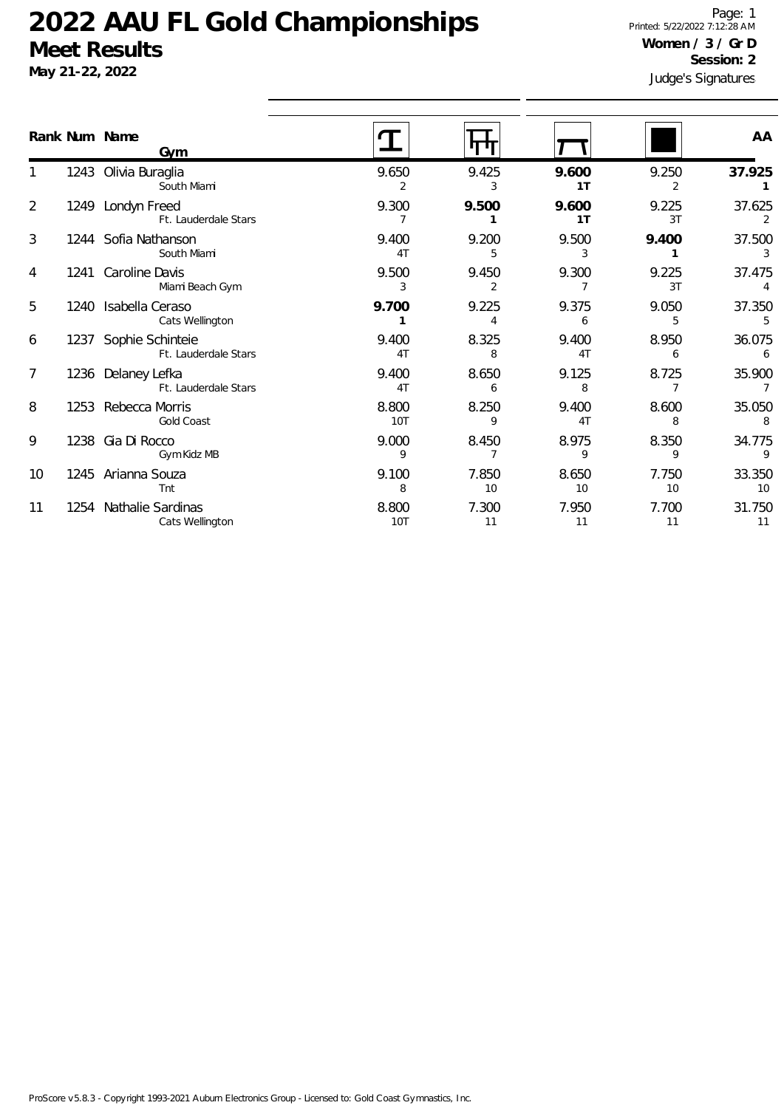**May 21-22, 2022**

Judge's Signatures Page: 1 Printed: 5/22/2022 7:12:28 AM **Women / 3 / Gr D Session: 2**

|    | Rank Num Name<br><b>Gym</b>                   |                         |             |                         |                         | AA                        |
|----|-----------------------------------------------|-------------------------|-------------|-------------------------|-------------------------|---------------------------|
|    | 1243 Olivia Buraglia<br>South Miami           | 9.650<br>2              | 9.425<br>3  | 9.600<br>1T             | 9.250<br>2              | 37.925                    |
| 2  | 1249 Londyn Freed<br>Ft. Lauderdale Stars     | 9.300<br>$\overline{7}$ | 9.500       | 9.600<br>1T             | 9.225<br>3T             | 37.625<br>2               |
| 3  | 1244 Sofia Nathanson<br>South Miami           | 9.400<br>4T             | 9.200<br>5  | 9.500<br>3              | 9.400                   | 37.500<br>3               |
| 4  | 1241 Caroline Davis<br>Miami Beach Gym        | 9.500<br>3              | 9.450<br>2  | 9.300<br>7              | 9.225<br>3T             | 37.475<br>$\overline{4}$  |
| 5  | 1240 Isabella Ceraso<br>Cats Wellington       | 9.700                   | 9.225<br>4  | 9.375<br>6              | 9.050<br>5              | 37.350<br>5               |
| 6  | 1237 Sophie Schinteie<br>Ft. Lauderdale Stars | 9.400<br>4T             | 8.325<br>8  | 9.400<br>4T             | 8.950<br>6              | 36.075<br>6               |
| 7  | 1236 Delaney Lefka<br>Ft. Lauderdale Stars    | 9.400<br>4 <sub>T</sub> | 8.650<br>6  | 9.125<br>8              | 8.725<br>$\overline{7}$ | 35.900<br>$7\overline{ }$ |
| 8  | 1253 Rebecca Morris<br>Gold Coast             | 8.800<br>10T            | 8.250<br>9  | 9.400<br>4 <sub>T</sub> | 8.600<br>8              | 35.050<br>8               |
| 9  | 1238 Gia Di Rocco<br>Gym Kidz MB              | 9.000<br>9              | 8.450       | 8.975<br>9              | 8.350<br>9              | 34.775<br>9               |
| 10 | 1245 Arianna Souza<br>Tnt                     | 9.100<br>8              | 7.850<br>10 | 8.650<br>10             | 7.750<br>10             | 33.350<br>10              |
| 11 | 1254 Nathalie Sardinas<br>Cats Wellington     | 8.800<br>10T            | 7.300<br>11 | 7.950<br>11             | 7.700<br>11             | 31.750<br>11              |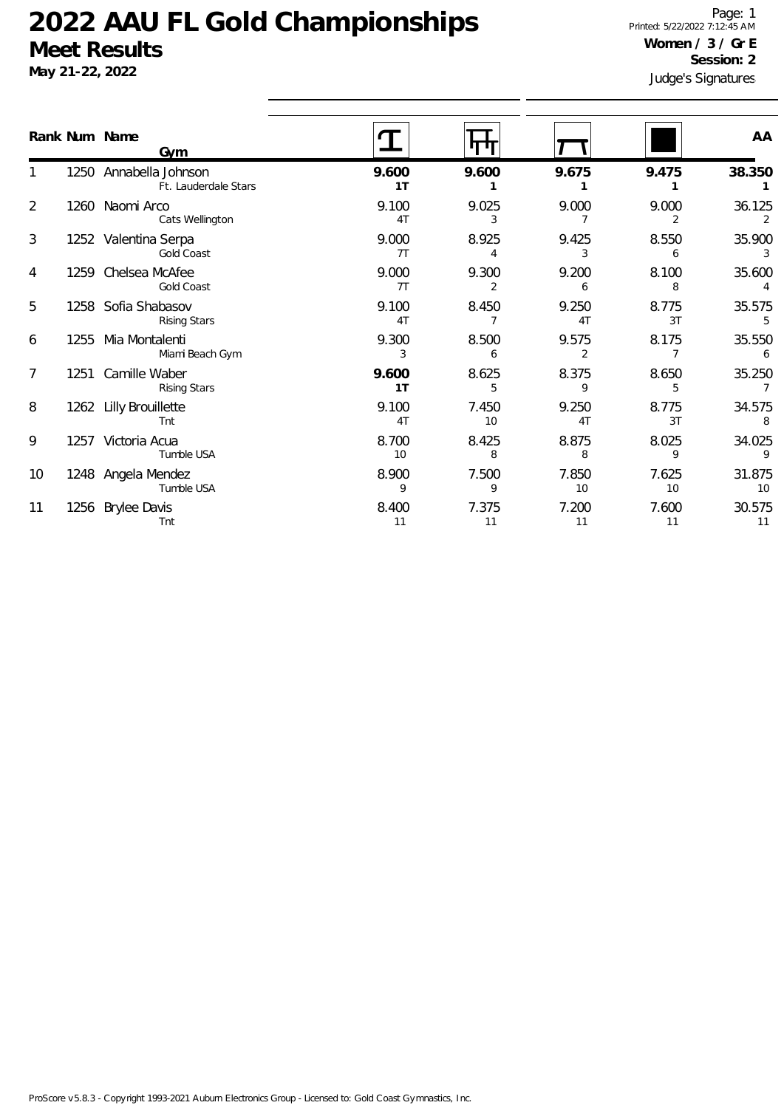**May 21-22, 2022**

Judge's Signatures Page: 1 Printed: 5/22/2022 7:12:45 AM **Women / 3 / Gr E Session: 2**

|                 | Rank Num Name<br>Gvm                           |             |             |             |             | AA                       |
|-----------------|------------------------------------------------|-------------|-------------|-------------|-------------|--------------------------|
|                 | 1250 Annabella Johnson<br>Ft. Lauderdale Stars | 9.600<br>1T | 9.600       | 9.675       | 9.475       | 38.350                   |
| $\overline{2}$  | 1260 Naomi Arco<br>Cats Wellington             | 9.100<br>4T | 9.025<br>3  | 9.000       | 9.000<br>2  | 36.125<br>$\overline{2}$ |
| 3               | 1252 Valentina Serpa<br>Gold Coast             | 9.000<br>7T | 8.925       | 9.425<br>3  | 8.550<br>6  | 35.900<br>3              |
| 4               | 1259 Chelsea McAfee<br>Gold Coast              | 9.000<br>7T | 9.300<br>2  | 9.200<br>6  | 8.100<br>8  | 35.600<br>4              |
| 5               | 1258 Sofia Shabasov<br><b>Rising Stars</b>     | 9.100<br>4T | 8.450       | 9.250<br>4T | 8.775<br>3T | 35.575<br>5              |
| 6               | 1255 Mia Montalenti<br>Miami Beach Gym         | 9.300<br>3  | 8.500<br>6  | 9.575<br>2  | 8.175       | 35.550<br>6              |
| $\overline{7}$  | 1251 Camille Waber<br><b>Rising Stars</b>      | 9.600<br>1T | 8.625<br>5  | 8.375<br>9  | 8.650<br>5  | 35.250<br>$\overline{7}$ |
| 8               | 1262 Lilly Brouillette<br>Tnt                  | 9.100<br>4T | 7.450<br>10 | 9.250<br>4T | 8.775<br>3T | 34.575<br>8              |
| 9               | 1257 Victoria Acua<br>Tumble USA               | 8.700<br>10 | 8.425<br>8  | 8.875<br>8  | 8.025<br>9  | 34.025<br>9              |
| 10 <sup>°</sup> | 1248 Angela Mendez<br>Tumble USA               | 8.900<br>9  | 7.500<br>9  | 7.850<br>10 | 7.625<br>10 | 31.875<br>10             |
| 11              | 1256 Brylee Davis<br>Tnt                       | 8.400<br>11 | 7.375<br>11 | 7.200<br>11 | 7.600<br>11 | 30.575<br>11             |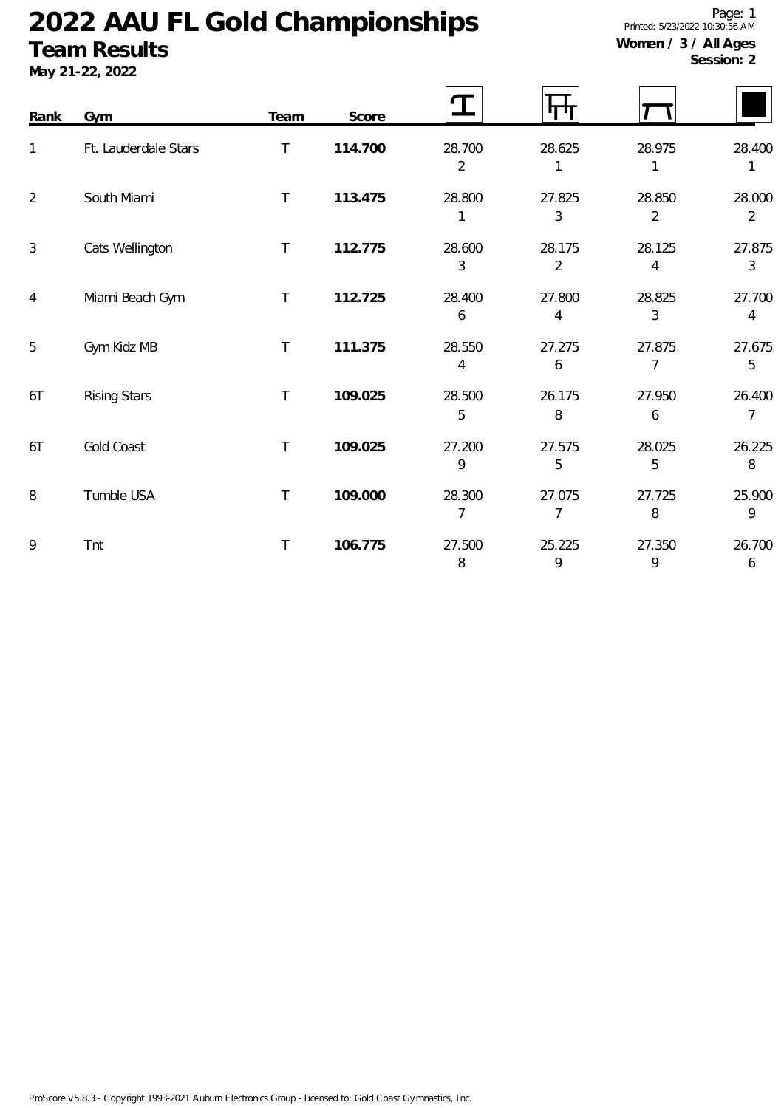### **Team Results**

**May 21-22, 2022**

Page: 1 Printed: 5/23/2022 10:30:56 AM **Women / 3 / All Ages**

**Session: 2**

| Rank           | <b>Gym</b>           | <b>Team</b> | Score   |                          |                          |                          |                          |
|----------------|----------------------|-------------|---------|--------------------------|--------------------------|--------------------------|--------------------------|
| 1              | Ft. Lauderdale Stars | T           | 114.700 | 28.700<br>$\overline{2}$ | 28.625                   | 28.975<br>1              | 28.400<br>1              |
| $\overline{2}$ | South Miami          | $\top$      | 113.475 | 28.800<br>1              | 27.825<br>3              | 28.850<br>$\overline{2}$ | 28.000<br>$\overline{2}$ |
| $\mathfrak{Z}$ | Cats Wellington      | $\top$      | 112.775 | 28.600<br>3              | 28.175<br>$\overline{2}$ | 28.125<br>4              | 27.875<br>$\mathfrak{Z}$ |
| $\overline{4}$ | Miami Beach Gym      | $\top$      | 112.725 | 28.400<br>6              | 27.800<br>4              | 28.825<br>3              | 27.700<br>4              |
| 5              | Gym Kidz MB          | T           | 111.375 | 28.550<br>4              | 27.275<br>6              | 27.875<br>7              | 27.675<br>5              |
| 6T             | <b>Rising Stars</b>  | $\top$      | 109.025 | 28.500<br>5              | 26.175<br>8              | 27.950<br>6              | 26.400<br>7              |
| 6T             | Gold Coast           | $\top$      | 109.025 | 27.200<br>9              | 27.575<br>5              | 28.025<br>5              | 26.225<br>8              |
| 8              | Tumble USA           | $\top$      | 109.000 | 28.300<br>7              | 27.075<br>7              | 27.725<br>8              | 25.900<br>9              |
| 9              | Tnt                  | $\top$      | 106.775 | 27.500<br>8              | 25.225<br>9              | 27.350<br>9              | 26.700<br>6              |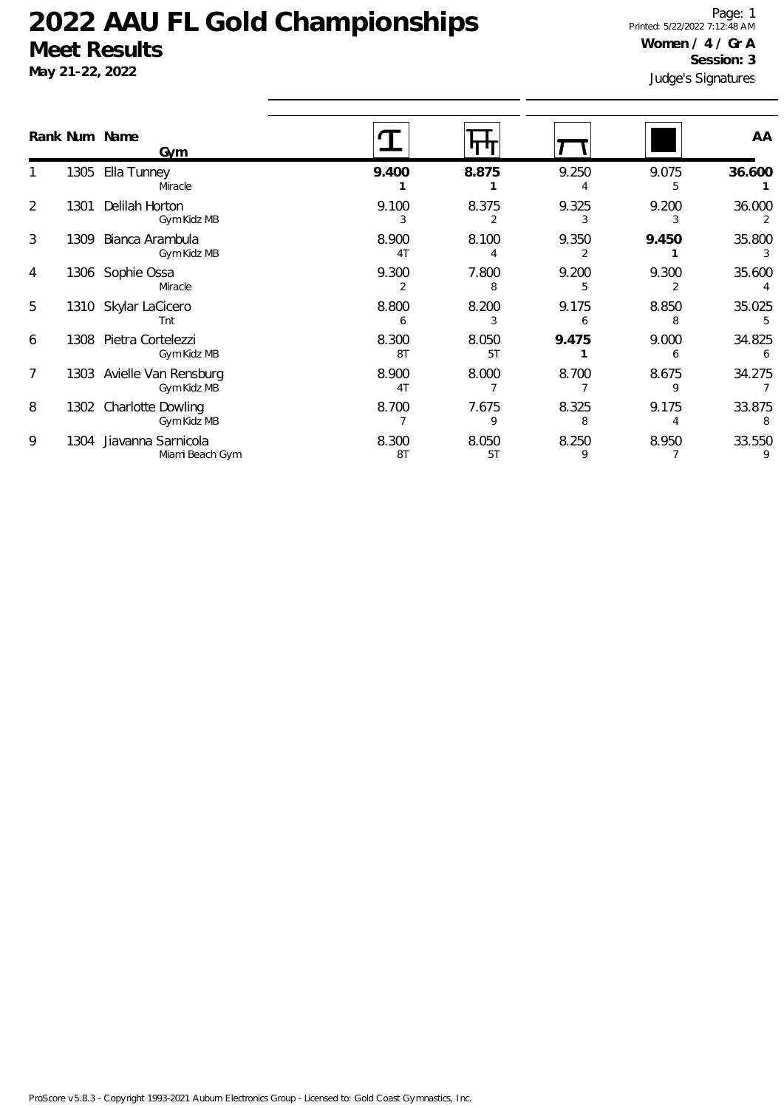### **May 21-22, 2022**

Judge's Signatures Page: 1 Printed: 5/22/2022 7:12:48 AM **Women / 4 / Gr A Session: 3**

|   |      | Rank Num Name<br>Gvm                    |                         |             |            |            | AA           |
|---|------|-----------------------------------------|-------------------------|-------------|------------|------------|--------------|
|   | 1305 | Ella Tunney<br>Miracle                  | 9.400                   | 8.875       | 9.250      | 9.075<br>5 | 36.600       |
| 2 | 1301 | Delilah Horton<br>Gym Kidz MB           | 9.100                   | 8.375       | 9.325      | 9.200      | 36.000<br>2  |
| 3 | 1309 | Bianca Arambula<br>Gym Kidz MB          | 8.900<br>4 <sub>T</sub> | 8.100       | 9.350      | 9.450      | 35.800       |
| 4 | 1306 | Sophie Ossa<br>Miracle                  | 9.300<br>2              | 7.800<br>8  | 9.200<br>5 | 9.300<br>2 | 35.600       |
| 5 | 1310 | Skylar LaCicero<br>Tnt                  | 8.800<br>6              | 8.200       | 9.175      | 8.850      | 35.025<br>5. |
| 6 | 1308 | Pietra Cortelezzi<br>Gym Kidz MB        | 8.300<br>8T             | 8.050<br>5T | 9.475      | 9.000<br>6 | 34.825<br>6  |
| 7 | 1303 | Avielle Van Rensburg<br>Gym Kidz MB     | 8.900<br>4 <sub>T</sub> | 8.000       | 8.700      | 8.675      | 34.275       |
| 8 | 1302 | <b>Charlotte Dowling</b><br>Gym Kidz MB | 8.700                   | 7.675<br>9  | 8.325      | 9.175      | 33.875<br>8  |
| 9 | 1304 | Jiavanna Sarnicola<br>Miami Beach Gym   | 8.300<br>8T             | 8.050<br>5T | 8.250<br>9 | 8.950      | 33.550       |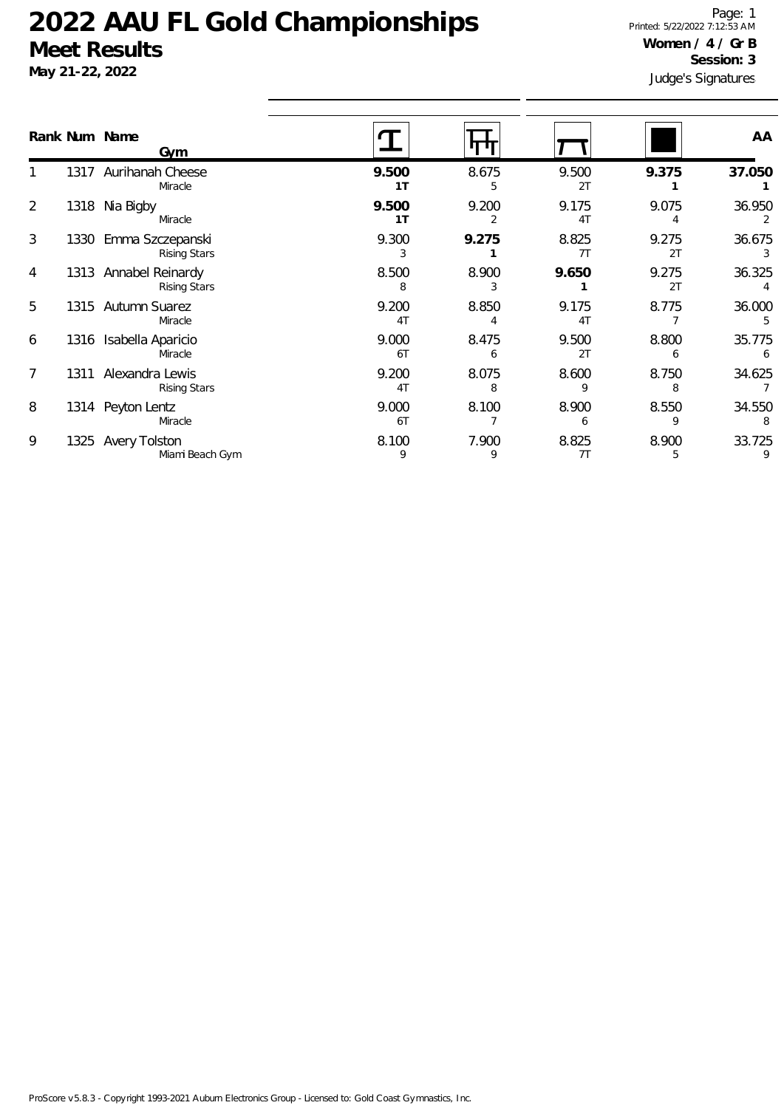**May 21-22, 2022**

Judge's Signatures Page: 1 Printed: 5/22/2022 7:12:53 AM **Women / 4 / Gr B Session: 3**

|   |      | Rank Num Name<br>Gym                         |                         |            |                         |             | AA          |
|---|------|----------------------------------------------|-------------------------|------------|-------------------------|-------------|-------------|
|   | 1317 | Aurihanah Cheese<br>Miracle                  | 9.500<br>1 <sub>T</sub> | 8.675<br>5 | 9.500<br>2T             | 9.375       | 37.050      |
| 2 | 1318 | Nia Bigby<br>Miracle                         | 9.500<br>1 <sub>T</sub> | 9.200      | 9.175<br>4 <sub>T</sub> | 9.075       | 36.950<br>2 |
| 3 | 1330 | Emma Szczepanski<br><b>Rising Stars</b>      | 9.300<br>3              | 9.275      | 8.825<br>7T             | 9.275<br>2T | 36.675<br>3 |
| 4 |      | 1313 Annabel Reinardy<br><b>Rising Stars</b> | 8.500<br>8              | 8.900      | 9.650                   | 9.275<br>2T | 36.325      |
| 5 |      | 1315 Autumn Suarez<br>Miracle                | 9.200<br>4T             | 8.850      | 9.175<br>4 <sub>T</sub> | 8.775       | 36.000      |
| 6 | 1316 | Isabella Aparicio<br>Miracle                 | 9.000<br>6T             | 8.475<br>6 | 9.500<br>2T             | 8.800<br>6  | 35.775<br>6 |
| 7 | 1311 | Alexandra Lewis<br><b>Rising Stars</b>       | 9.200<br>4T             | 8.075<br>8 | 8.600<br>9              | 8.750<br>8  | 34.625      |
| 8 |      | 1314 Peyton Lentz<br>Miracle                 | 9.000<br>6T             | 8.100      | 8.900<br>6              | 8.550<br>9  | 34.550<br>8 |
| 9 | 1325 | <b>Avery Tolston</b><br>Miami Beach Gym      | 8.100<br>9              | 7.900<br>9 | 8.825<br>7T             | 8.900<br>5  | 33.725<br>9 |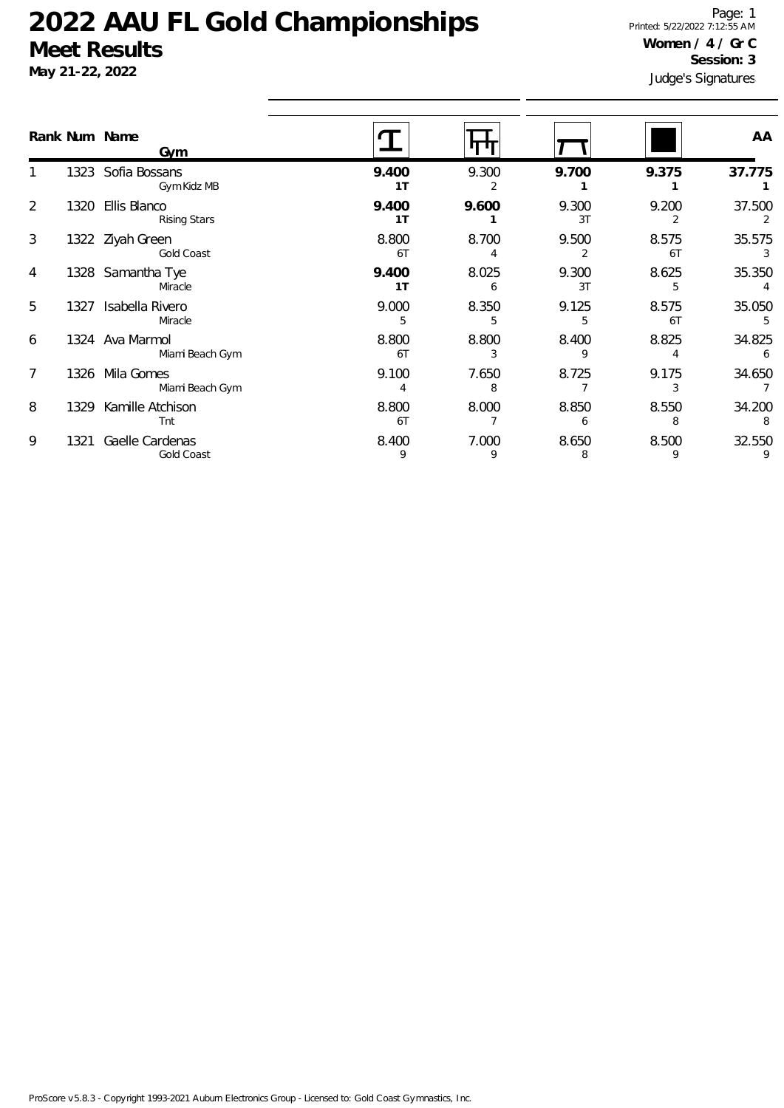# May 21-22, 20

1

2

3

4

Page: 1 Printed: 5/22/2022 7:12:55 AM **Women / 4 / Gr C**

| UUCUL INUJUILJ<br>May 21-22, 2022<br>Rank Num Name<br>Gym |      |                                     |                     |            | Session: 3<br>Judge's Signatures |             |             |
|-----------------------------------------------------------|------|-------------------------------------|---------------------|------------|----------------------------------|-------------|-------------|
|                                                           |      |                                     |                     |            |                                  |             | AA          |
|                                                           | 1323 | Sofia Bossans<br>Gym Kidz MB        | 9.400<br>1 T        | 9.300      | 9.700                            | 9.375       | 37.775      |
| $\overline{2}$                                            | 1320 | Ellis Blanco<br><b>Rising Stars</b> | 9.400<br>1 T        | 9.600      | 9.300<br>3T                      | 9.200       | 37.500      |
| 3                                                         |      | 1322 Ziyah Green<br>Gold Coast      | 8.800<br>6T         | 8.700<br>4 | 9.500                            | 8.575<br>6T | 35.575      |
| 4                                                         |      | 1328 Samantha Tye<br>Miracle        | 9.400<br>1 T        | 8.025<br>6 | 9.300<br>3T                      | 8.625<br>5  | 35.350      |
| 5                                                         | 1327 | Isabella Rivero<br>Miracle          | 9.000<br>5          | 8.350<br>5 | 9.125<br>5                       | 8.575<br>6T | 35.050<br>5 |
| 6                                                         |      | 1324 Ava Marmol                     | 8.800<br>$\sqrt{2}$ | 8.800      | 8.400                            | 8.825       | 34.825      |

| 5 |       | Isabella Rivero<br>Miracle         | 9.000       | 8.350 | 9.125 | 8.575<br>61 | 35.050      |
|---|-------|------------------------------------|-------------|-------|-------|-------------|-------------|
| 6 |       | 1324 Ava Marmol<br>Miami Beach Gym | 8.800<br>6T | 8.800 | 8.400 | 8.825       | 34.825<br>6 |
|   | 1326. | Mila Gomes<br>Miami Beach Gym      | 9.100       | 7.650 | 8.725 | 9.175       | 34.650      |
| 8 | 1329  | Kamille Atchison<br>Tnt            | 8.800<br>6T | 8.000 | 8.850 | 8.550       | 34.200<br>8 |
| 9 |       | Gaelle Cardenas<br>Gold Coast      | 8.400       | 7.000 | 8.650 | 8.500       | 32.550      |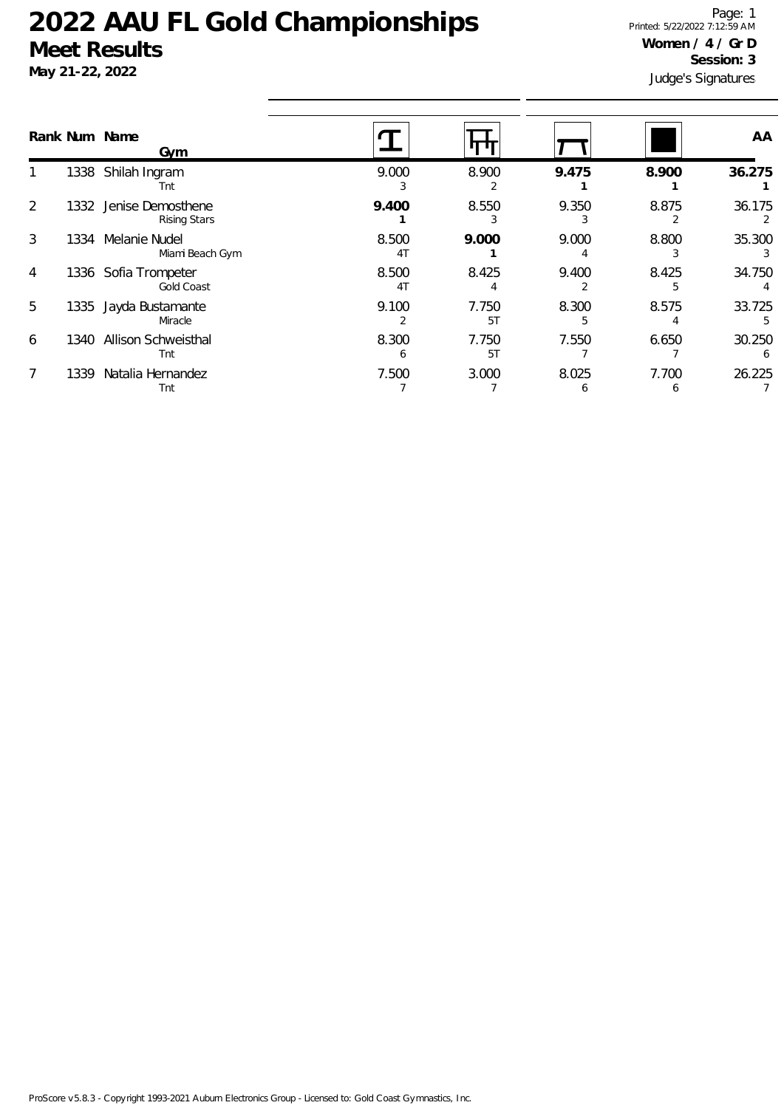### **May 21-22, 2022**

Judge's Signatures Page: 1 Printed: 5/22/2022 7:12:59 AM **Women / 4 / Gr D Session: 3**

|                |      | Rank Num Name<br>Gym                      |                         |             |            |            | AA          |
|----------------|------|-------------------------------------------|-------------------------|-------------|------------|------------|-------------|
|                |      | 1338 Shilah Ingram<br>Tnt                 | 9.000                   | 8.900       | 9.475      | 8.900      | 36.275      |
| 2              | 1332 | Jenise Demosthene<br><b>Rising Stars</b>  | 9.400                   | 8.550       | 9.350      | 8.875      | 36.175      |
| 3              | 1334 | Melanie Nudel<br>Miami Beach Gym          | 8.500<br>4 <sub>T</sub> | 9.000       | 9.000      | 8.800      | 35.300      |
| $\overline{4}$ |      | 1336 Sofia Trompeter<br><b>Gold Coast</b> | 8.500<br>4 <sub>T</sub> | 8.425       | 9.400      | 8.425      | 34.750      |
| 5              | 1335 | Jayda Bustamante<br>Miracle               | 9.100                   | 7.750<br>5T | 8.300      | 8.575      | 33.725<br>5 |
| 6              | 1340 | Allison Schweisthal<br>Tnt                | 8.300<br>h              | 7.750<br>5T | 7.550      | 6.650      | 30.250<br>6 |
| 7              | 1339 | Natalia Hernandez<br>Tnt                  | 7.500                   | 3.000       | 8.025<br>O | 7.700<br>6 | 26.225      |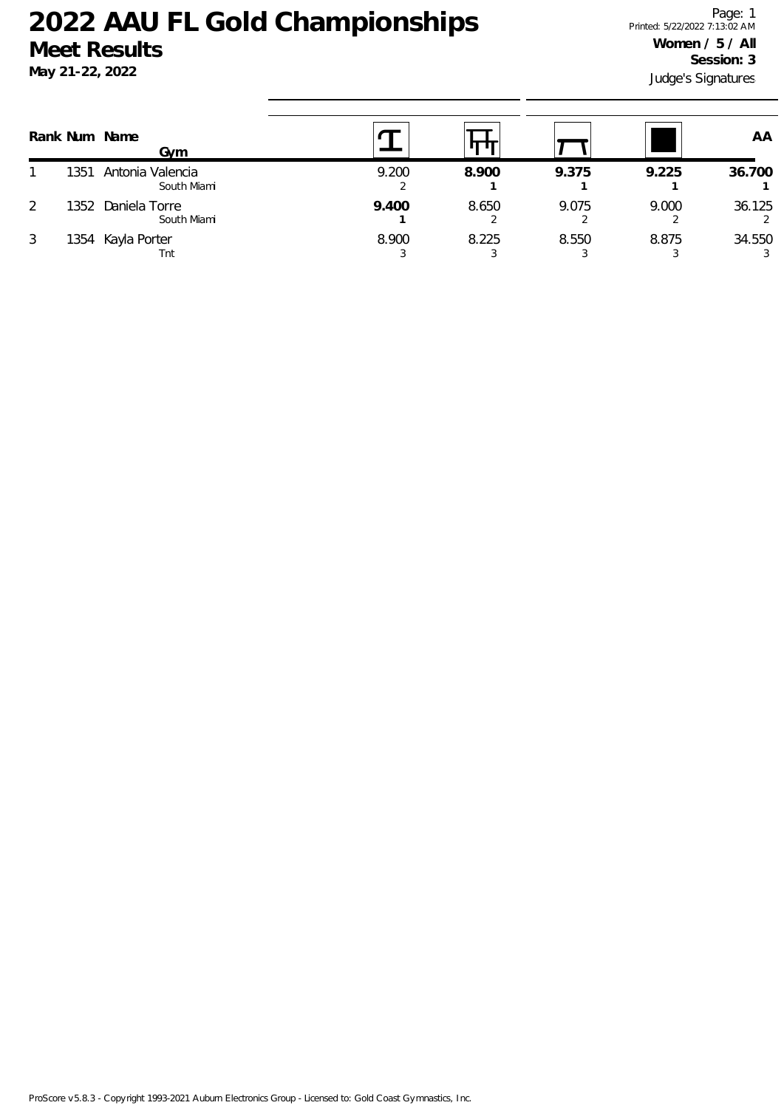|   |      | Rank Num Name<br>Gvm            |       |       |       |       | AA          |
|---|------|---------------------------------|-------|-------|-------|-------|-------------|
|   | 1351 | Antonia Valencia<br>South Miami | 9.200 | 8.900 | 9.375 | 9.225 | 36.700      |
| 2 | 1352 | Daniela Torre<br>South Miami    | 9.400 | 8.650 | 9.075 | 9.000 | 36.125      |
| 3 |      | 1354 Kayla Porter<br>Tnt        | 8.900 | 8.225 | 8.550 | 8.875 | 34.550<br>3 |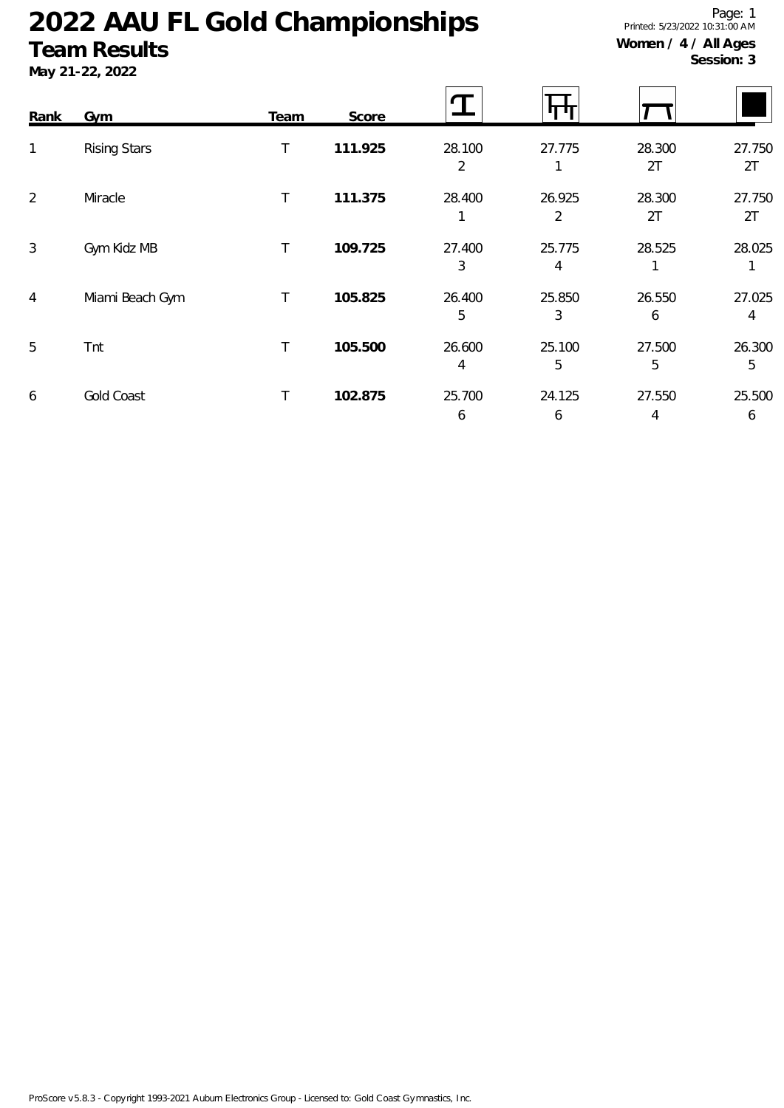### **Team Results**

**May 21-22, 2022**

Page: 1 Printed: 5/23/2022 10:31:00 AM **Women / 4 / All Ages Session: 3**

| Rank           | <b>Gym</b>          | <b>Team</b>  | Score   |             |             |              |              |
|----------------|---------------------|--------------|---------|-------------|-------------|--------------|--------------|
| $\mathbf{1}$   | <b>Rising Stars</b> | T            | 111.925 | 28.100<br>2 | 27.775      | 28.300<br>2T | 27.750<br>2T |
| $\overline{2}$ | Miracle             | $\mathsf{T}$ | 111.375 | 28.400      | 26.925<br>2 | 28.300<br>2T | 27.750<br>2T |
| 3              | Gym Kidz MB         | Τ            | 109.725 | 27.400<br>3 | 25.775<br>4 | 28.525       | 28.025<br>1  |
| 4              | Miami Beach Gym     | $\mathsf{T}$ | 105.825 | 26.400<br>5 | 25.850<br>3 | 26.550<br>6  | 27.025<br>4  |
| 5              | Tnt                 | T.           | 105.500 | 26.600<br>4 | 25.100<br>5 | 27.500<br>5  | 26.300<br>5  |
| 6              | <b>Gold Coast</b>   | Τ            | 102.875 | 25.700<br>6 | 24.125<br>6 | 27.550<br>4  | 25.500<br>6  |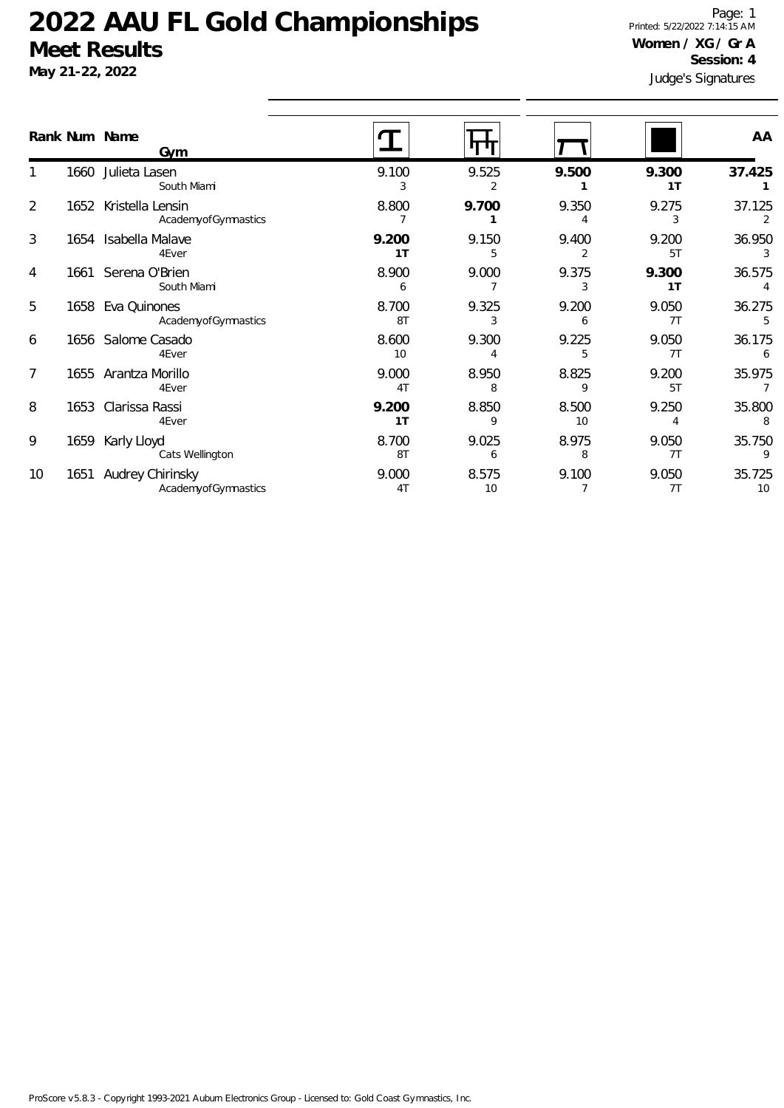**May 21-22, 2022**

Judge's Signatures Page: 1 Printed: 5/22/2022 7:14:15 AM **Women / XG / Gr A Session: 4**

|                |      | Rank Num Name<br>Gym                     |                         |             |             |                         | AA           |
|----------------|------|------------------------------------------|-------------------------|-------------|-------------|-------------------------|--------------|
|                | 1660 | Julieta Lasen<br>South Miami             | 9.100<br>3              | 9.525<br>2  | 9.500       | 9.300<br>1 <sub>T</sub> | 37.425       |
| $\overline{2}$ | 1652 | Kristella Lensin<br>AcademyofGymnastics  | 8.800                   | 9.700       | 9.350       | 9.275<br>3              | 37.125<br>2  |
| 3              |      | 1654 Isabella Malave<br>4Ever            | 9.200<br>1T             | 9.150<br>5  | 9.400       | 9.200<br>5T             | 36.950<br>3  |
| 4              |      | 1661 Serena O'Brien<br>South Miami       | 8.900<br>6              | 9.000       | 9.375<br>3  | 9.300<br>1 <sub>T</sub> | 36.575       |
| 5              |      | 1658 Eva Quinones<br>AcademyofGymnastics | 8.700<br>8T             | 9.325<br>3  | 9.200<br>6  | 9.050<br>7T             | 36.275       |
| 6              |      | 1656 Salome Casado<br>4Ever              | 8.600<br>10             | 9.300       | 9.225<br>5  | 9.050<br>7T             | 36.175<br>6  |
| 7              |      | 1655 Arantza Morillo<br>4Ever            | 9.000<br>4 <sub>T</sub> | 8.950<br>8  | 8.825<br>9  | 9.200<br>5T             | 35.975       |
| 8              |      | 1653 Clarissa Rassi<br>4Ever             | 9.200<br>1 <sub>T</sub> | 8.850<br>9  | 8.500<br>10 | 9.250                   | 35.800<br>8  |
| 9              | 1659 | Karly Lloyd<br>Cats Wellington           | 8.700<br>8T             | 9.025<br>6  | 8.975<br>8  | 9.050<br>7T             | 35.750<br>9  |
| 10             | 1651 | Audrey Chirinsky<br>AcademyofGymnastics  | 9.000<br>4T             | 8.575<br>10 | 9.100       | 9.050<br>7T             | 35.725<br>10 |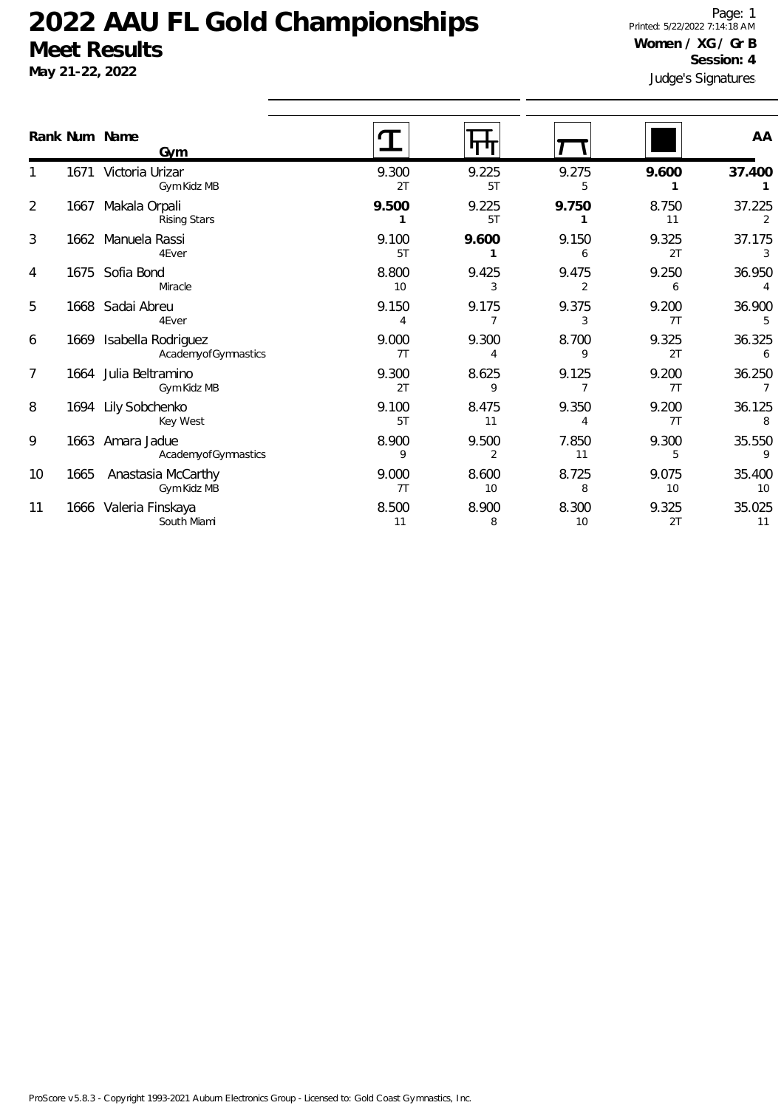**May 21-22, 2022**

Judge's Signatures Page: 1 Printed: 5/22/2022 7:14:18 AM **Women / XG / Gr B Session: 4**

|                |      | Rank Num Name<br>Gvm                      |             |                       |             |             | AA           |
|----------------|------|-------------------------------------------|-------------|-----------------------|-------------|-------------|--------------|
|                | 1671 | Victoria Urizar<br>Gym Kidz MB            | 9.300<br>2T | 9.225<br>5T           | 9.275<br>5  | 9.600       | 37.400       |
| $\overline{2}$ | 1667 | Makala Orpali<br><b>Rising Stars</b>      | 9.500       | 9.225<br>5T           | 9.750       | 8.750<br>11 | 37.225       |
| 3              |      | 1662 Manuela Rassi<br>4Ever               | 9.100<br>5T | 9.600                 | 9.150<br>6  | 9.325<br>2T | 37.175       |
| 4              | 1675 | Sofia Bond<br>Miracle                     | 8.800<br>10 | 9.425<br>3            | 9.475       | 9.250<br>6  | 36.950       |
| 5              |      | 1668 Sadai Abreu<br>4Ever                 | 9.150<br>4  | 9.175                 | 9.375<br>3  | 9.200<br>7T | 36.900       |
| 6              | 1669 | Isabella Rodriguez<br>AcademyofGymnastics | 9.000<br>7T | 9.300<br>Δ            | 8.700<br>9  | 9.325<br>2T | 36.325<br>6  |
| 7              |      | 1664 Julia Beltramino<br>Gym Kidz MB      | 9.300<br>2T | 8.625<br>$\mathsf{Q}$ | 9.125       | 9.200<br>7T | 36.250       |
| 8              |      | 1694 Lily Sobchenko<br>Key West           | 9.100<br>5T | 8.475<br>11           | 9.350<br>Δ  | 9.200<br>7T | 36.125<br>8  |
| 9              | 1663 | Amara Jadue<br>AcademyofGymnastics        | 8.900<br>9  | 9.500<br>2            | 7.850<br>11 | 9.300<br>5  | 35.550<br>9  |
| 10             | 1665 | Anastasia McCarthy<br>Gym Kidz MB         | 9.000<br>7T | 8.600<br>10           | 8.725<br>8  | 9.075<br>10 | 35.400<br>10 |
| 11             |      | 1666 Valeria Finskaya<br>South Miami      | 8.500<br>11 | 8.900<br>8            | 8.300<br>10 | 9.325<br>2T | 35.025<br>11 |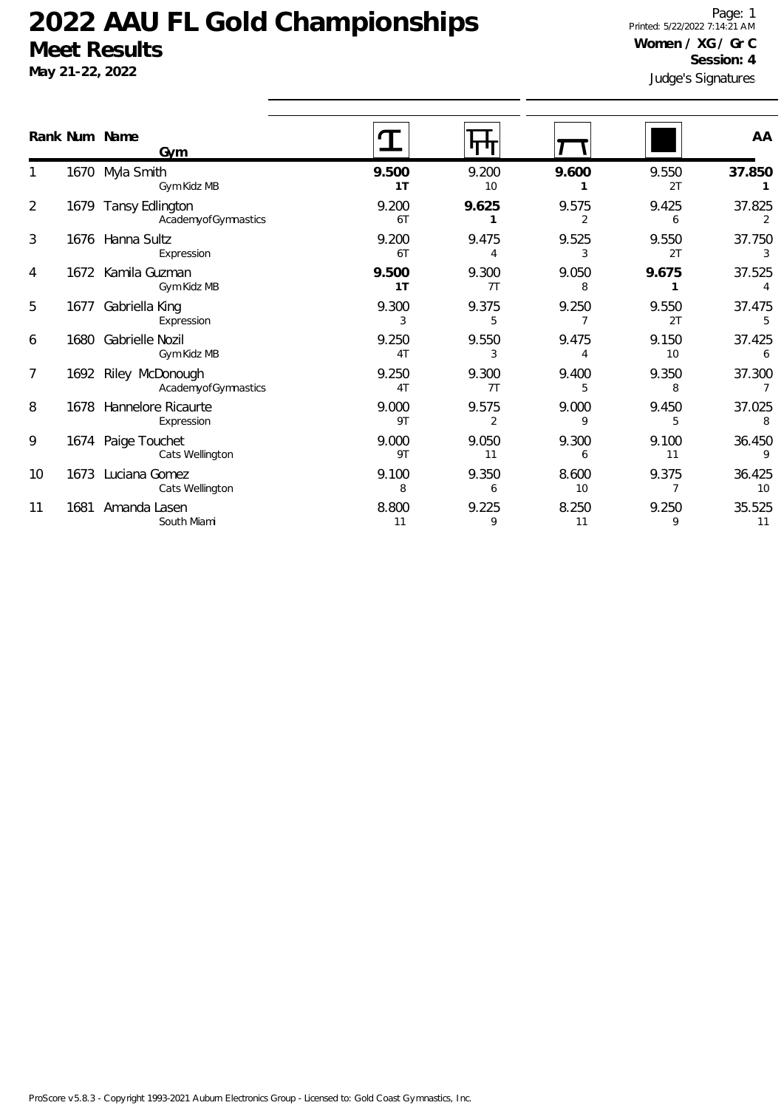**May 21-22, 2022**

Judge's Signatures Page: 1 Printed: 5/22/2022 7:14:21 AM **Women / XG / Gr C Session: 4**

|    |      | Rank Num Name<br>Gym                        |             |                   |             |             | AA           |
|----|------|---------------------------------------------|-------------|-------------------|-------------|-------------|--------------|
|    |      | 1670 Myla Smith<br>Gym Kidz MB              | 9.500<br>1T | 9.200<br>10       | 9.600       | 9.550<br>2T | 37.850       |
| 2  |      | 1679 Tansy Edlington<br>AcademyofGymnastics | 9.200<br>6T | 9.625             | 9.575<br>2  | 9.425<br>6  | 37.825<br>2  |
| 3  |      | 1676 Hanna Sultz<br>Expression              | 9.200<br>6T | 9.475<br>$\Delta$ | 9.525<br>3  | 9.550<br>2T | 37.750<br>3  |
| 4  |      | 1672 Kamila Guzman<br>Gym Kidz MB           | 9.500<br>1T | 9.300<br>7T       | 9.050<br>8  | 9.675       | 37.525       |
| 5  | 1677 | Gabriella King<br>Expression                | 9.300<br>3  | 9.375<br>5        | 9.250       | 9.550<br>2T | 37.475<br>5  |
| 6  |      | 1680 Gabrielle Nozil<br>Gym Kidz MB         | 9.250<br>4T | 9.550<br>3        | 9.475       | 9.150<br>10 | 37.425<br>6  |
| 7  |      | 1692 Riley McDonough<br>AcademyofGymnastics | 9.250<br>4T | 9.300<br>7T       | 9.400<br>5  | 9.350<br>8  | 37.300       |
| 8  |      | 1678 Hannelore Ricaurte<br>Expression       | 9.000<br>9T | 9.575<br>2        | 9.000<br>9  | 9.450<br>5  | 37.025<br>8  |
| 9  |      | 1674 Paige Touchet<br>Cats Wellington       | 9.000<br>9T | 9.050<br>11       | 9.300<br>6  | 9.100<br>11 | 36.450<br>9  |
| 10 |      | 1673 Luciana Gomez<br>Cats Wellington       | 9.100<br>8  | 9.350<br>6        | 8.600<br>10 | 9.375       | 36.425<br>10 |
| 11 | 1681 | Amanda Lasen<br>South Miami                 | 8.800<br>11 | 9.225<br>9        | 8.250<br>11 | 9.250<br>9  | 35.525<br>11 |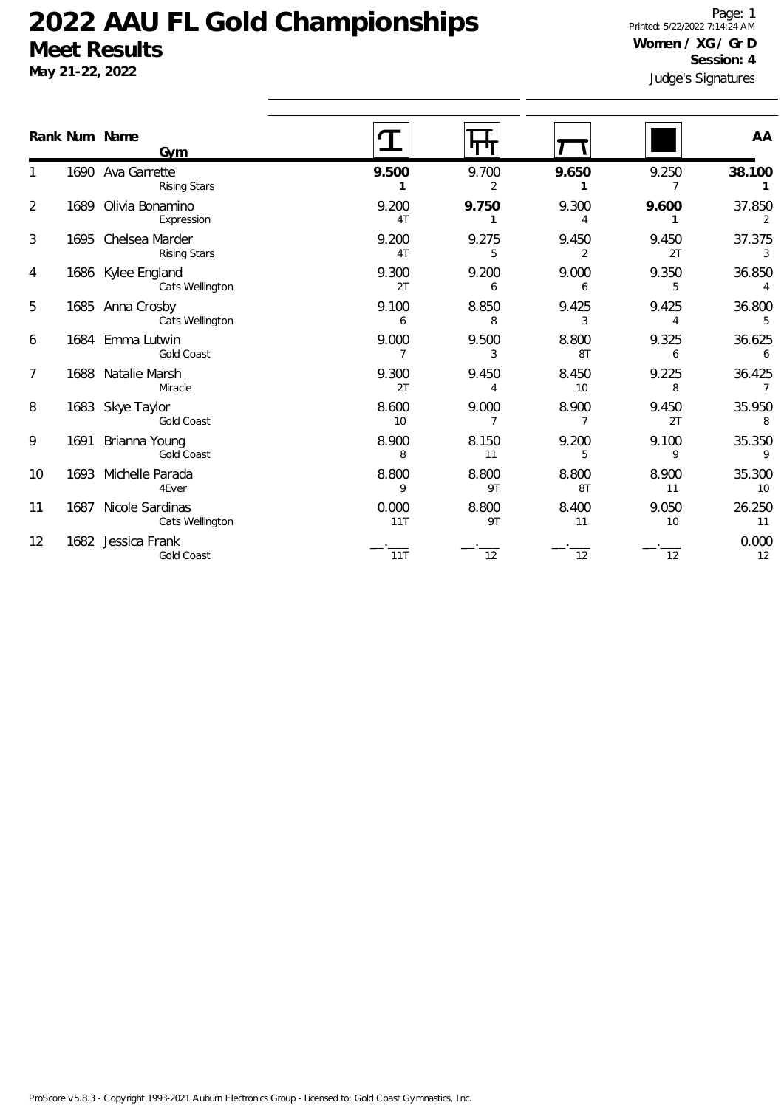**May 21-22, 2022**

Judge's Signatures Page: 1 Printed: 5/22/2022 7:14:24 AM **Women / XG / Gr D Session: 4**

|                |      | Rank Num Name<br>Gvm                       |              |             |             |             | AA                       |
|----------------|------|--------------------------------------------|--------------|-------------|-------------|-------------|--------------------------|
|                |      | 1690 Ava Garrette<br>Rising Stars          | 9.500        | 9.700<br>2  | 9.650       | 9.250       | 38.100                   |
| 2              |      | 1689 Olivia Bonamino<br>Expression         | 9.200<br>4T  | 9.750<br>1  | 9.300<br>4  | 9.600       | 37.850<br>2              |
| 3              |      | 1695 Chelsea Marder<br><b>Rising Stars</b> | 9.200<br>4T  | 9.275<br>5  | 9.450<br>2  | 9.450<br>2T | 37.375<br>3              |
| 4              |      | 1686 Kylee England<br>Cats Wellington      | 9.300<br>2T  | 9.200<br>6  | 9.000<br>6  | 9.350<br>5  | 36.850                   |
| 5              |      | 1685 Anna Crosby<br>Cats Wellington        | 9.100<br>6   | 8.850<br>8  | 9.425<br>3  | 9.425<br>4  | 36.800<br>5              |
| 6              |      | 1684 Emma Lutwin<br>Gold Coast             | 9.000<br>7   | 9.500<br>3  | 8.800<br>8T | 9.325<br>6  | 36.625<br>6              |
| $\overline{7}$ |      | 1688 Natalie Marsh<br>Miracle              | 9.300<br>2T  | 9.450<br>4  | 8.450<br>10 | 9.225<br>8  | 36.425<br>$\overline{7}$ |
| 8              |      | 1683 Skye Taylor<br>Gold Coast             | 8.600<br>10  | 9.000       | 8.900       | 9.450<br>2T | 35.950<br>8              |
| 9              | 1691 | Brianna Young<br>Gold Coast                | 8.900<br>8   | 8.150<br>11 | 9.200<br>5  | 9.100<br>9  | 35.350<br>9              |
| 10             |      | 1693 Michelle Parada<br>4Ever              | 8.800<br>9   | 8.800<br>9T | 8.800<br>8T | 8.900<br>11 | 35.300<br>10             |
| 11             |      | 1687 Nicole Sardinas<br>Cats Wellington    | 0.000<br>11T | 8.800<br>9T | 8.400<br>11 | 9.050<br>10 | 26.250<br>11             |
| 12             |      | 1682 Jessica Frank<br>Gold Coast           | 11T          | 12          | 12          | 12          | 0.000<br>12              |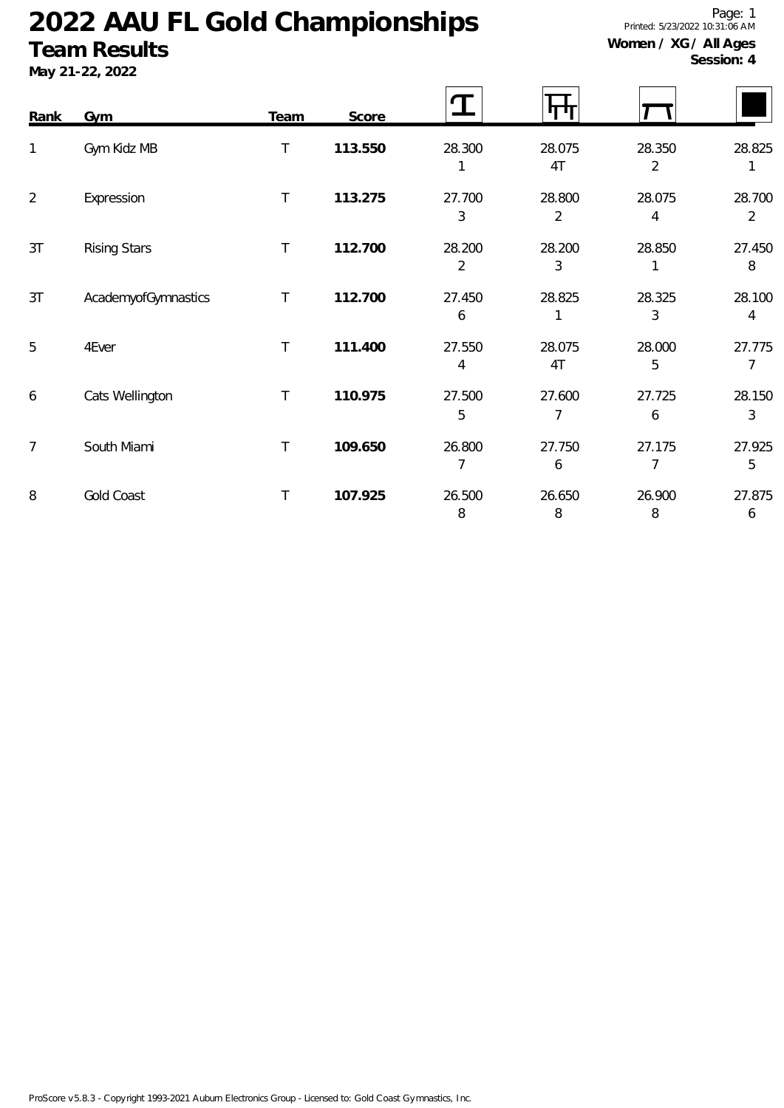### **Team Results**

**May 21-22, 2022**

Page: 1 Printed: 5/23/2022 10:31:06 AM **Women / XG / All Ages**

| Rank           | <b>Gym</b>          | <b>Team</b>  | Score   |             | ரா           |             |                          |
|----------------|---------------------|--------------|---------|-------------|--------------|-------------|--------------------------|
| 1              | Gym Kidz MB         | $\mathsf T$  | 113.550 | 28.300      | 28.075<br>4T | 28.350<br>2 | 28.825<br>1              |
| $\overline{a}$ | Expression          | $\top$       | 113.275 | 27.700<br>3 | 28.800<br>2  | 28.075<br>4 | 28.700<br>$\overline{2}$ |
| 3T             | <b>Rising Stars</b> | $\mathsf{T}$ | 112.700 | 28.200<br>2 | 28.200<br>3  | 28.850      | 27.450<br>8              |
| 3T             | AcademyofGymnastics | $\top$       | 112.700 | 27.450<br>6 | 28.825       | 28.325<br>3 | 28.100<br>4              |
| 5              | 4Ever               | $\top$       | 111.400 | 27.550<br>4 | 28.075<br>4T | 28.000<br>5 | 27.775<br>7              |
| 6              | Cats Wellington     | T.           | 110.975 | 27.500<br>5 | 27.600<br>7  | 27.725<br>6 | 28.150<br>3              |
| $\overline{7}$ | South Miami         | T            | 109.650 | 26.800      | 27.750<br>6  | 27.175      | 27.925<br>5              |
| 8              | <b>Gold Coast</b>   | T            | 107.925 | 26.500<br>8 | 26.650<br>8  | 26.900<br>8 | 27.875<br>6              |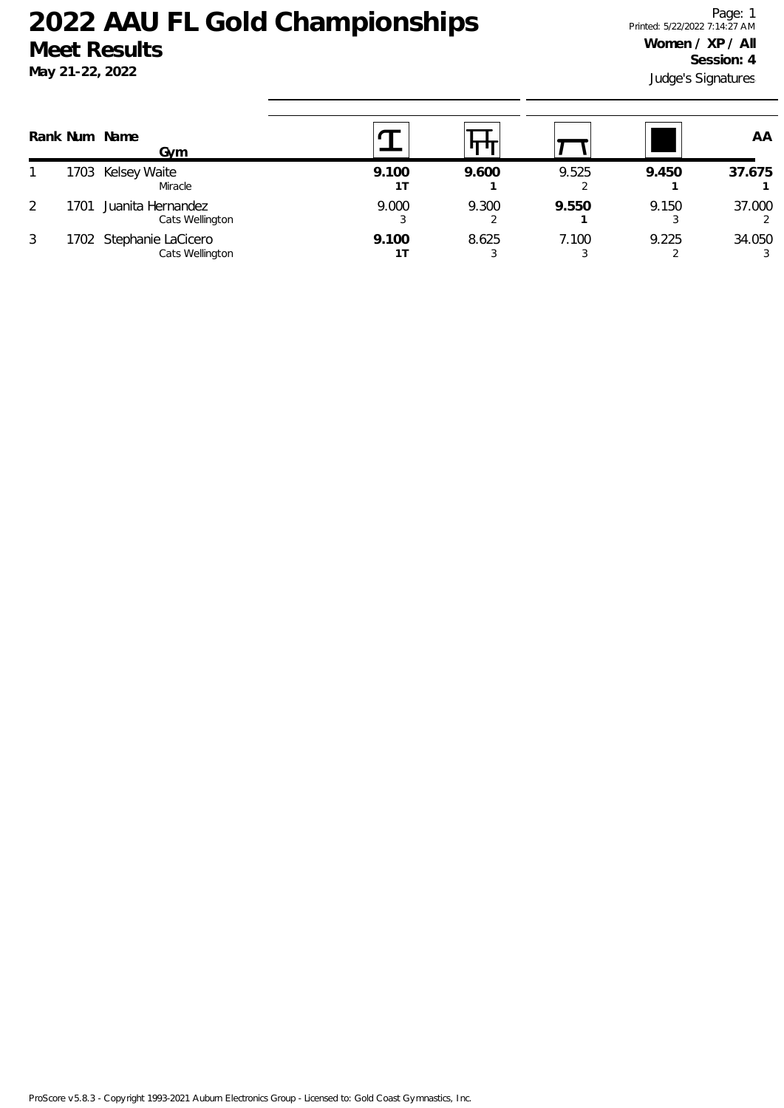|   |     | Rank Num Name<br>Gvm                       |       |       |       |       | AA          |
|---|-----|--------------------------------------------|-------|-------|-------|-------|-------------|
|   |     | 1703 Kelsey Waite<br>Miracle               | 9.100 | 9.600 | 9.525 | 9.450 | 37.675      |
| 2 | 701 | Juanita Hernandez<br>Cats Wellington       | 9.000 | 9.300 | 9.550 | 9.150 | 37.000<br>2 |
| 3 |     | 1702 Stephanie LaCicero<br>Cats Wellington | 9.100 | 8.625 | 7.100 | 9.225 | 34.050<br>3 |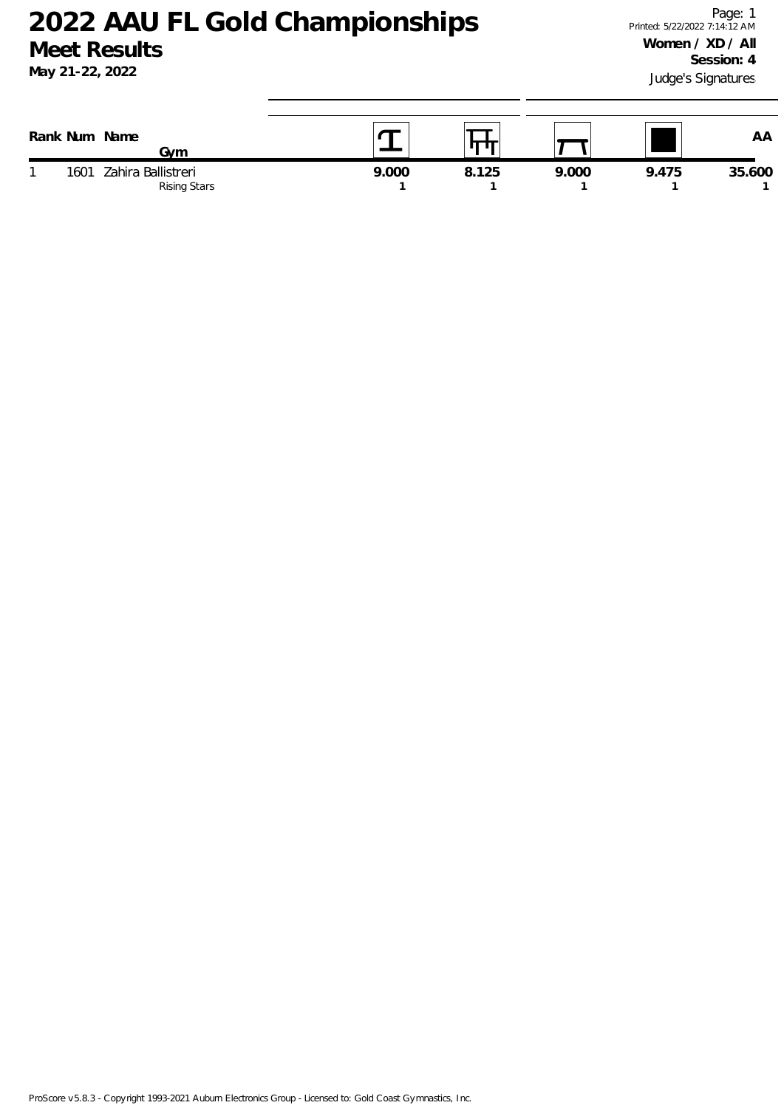| Rank Num  | Name<br>Gvm                        |       |       |       |       | AA     |
|-----------|------------------------------------|-------|-------|-------|-------|--------|
| 1601<br>◢ | Zahira Ballistreri<br>Rising Stars | 9.000 | 8.125 | 9.000 | 9.475 | 35.600 |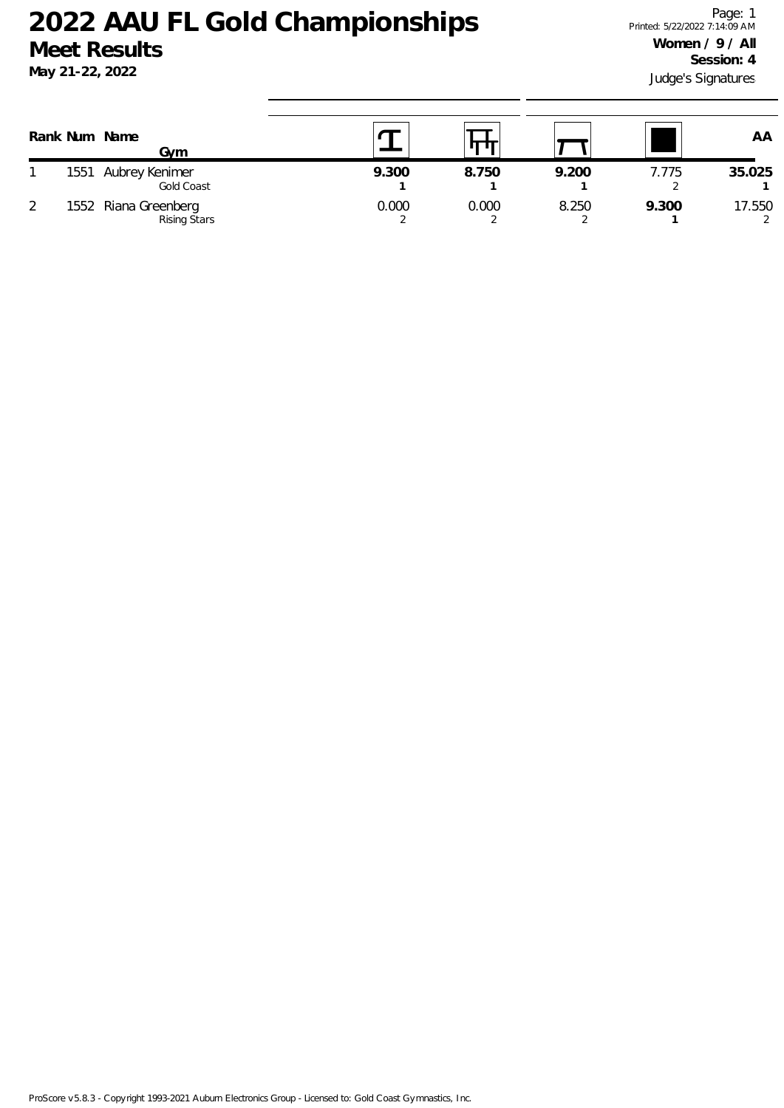|   | Rank Num Name<br>Gvm                        |       |       |       |       | AA          |
|---|---------------------------------------------|-------|-------|-------|-------|-------------|
|   | 1551 Aubrey Kenimer<br>Gold Coast           | 9.300 | 8.750 | 9.200 | 7.775 | 35.025      |
| ာ | 1552 Riana Greenberg<br><b>Rising Stars</b> | 0.000 | 0.000 | 8.250 | 9.300 | 17.550<br>2 |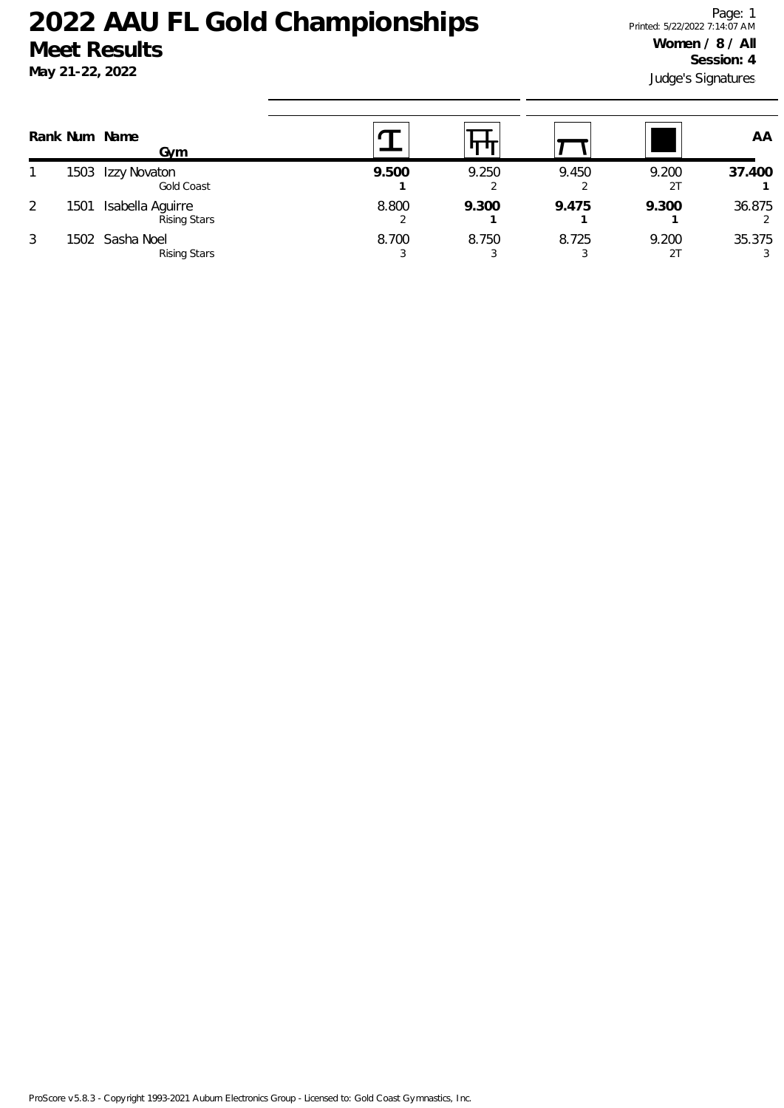### **May 21-22, 2022**

Judge's Signatures Page: 1 Printed: 5/22/2022 7:14:07 AM **Women / 8 / All Session: 4**

|   | Rank Num Name | Gvm                                     |       |       |       |       | AA     |
|---|---------------|-----------------------------------------|-------|-------|-------|-------|--------|
|   | 1503          | Izzy Novaton<br>Gold Coast              | 9.500 | 9.250 | 9.450 | 9.200 | 37.400 |
|   | 1501          | Isabella Aguirre<br><b>Rising Stars</b> | 8.800 | 9.300 | 9.475 | 9.300 | 36.875 |
| 3 |               | 1502 Sasha Noel<br><b>Rising Stars</b>  | 8.700 | 8.750 | 8.725 | 9.200 | 35.375 |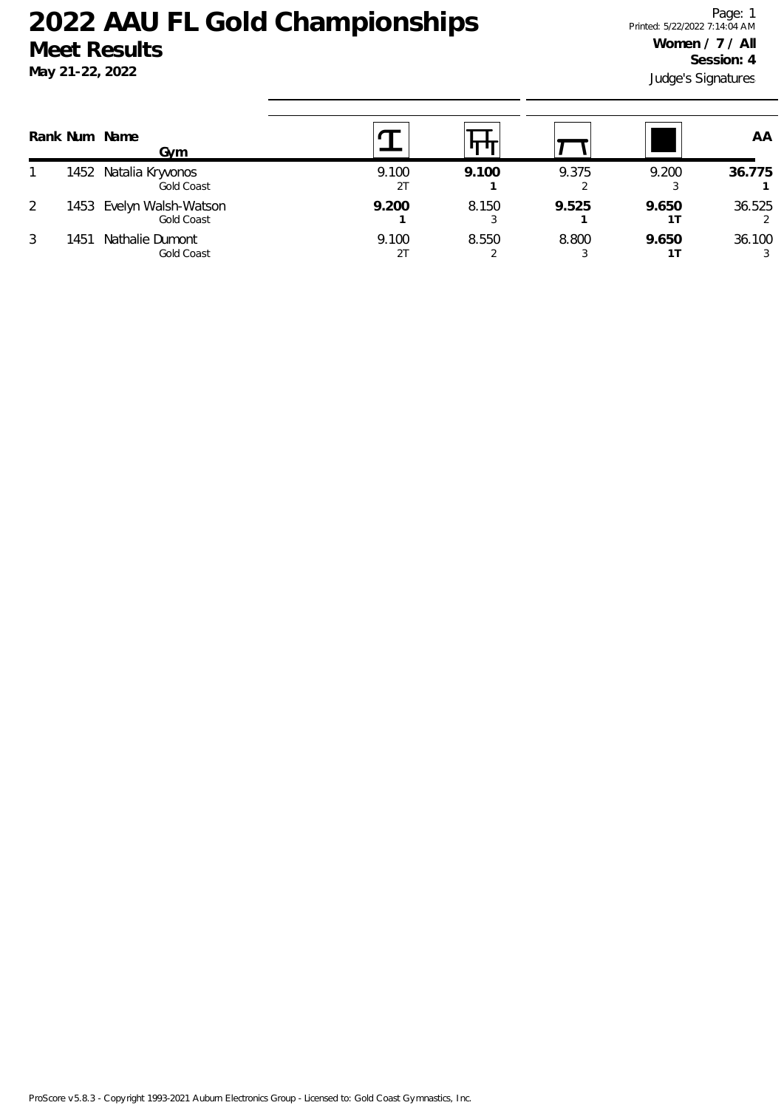### **May 21-22, 2022**

Judge's Signatures Page: 1 Printed: 5/22/2022 7:14:04 AM **Women / 7 / All Session: 4**

|   | Rank Num Name | Gym                                    |             |       |       |       | AA                      |
|---|---------------|----------------------------------------|-------------|-------|-------|-------|-------------------------|
|   |               | 1452 Natalia Kryvonos<br>Gold Coast    | 9.100<br>2T | 9.100 | 9.375 | 9.200 | 36.775                  |
|   |               | 1453 Evelyn Walsh-Watson<br>Gold Coast | 9.200       | 8.150 | 9.525 | 9.650 | 36.525<br>$\mathcal{P}$ |
| 3 | 1451          | Nathalie Dumont<br>Gold Coast          | 9.100       | 8.550 | 8.800 | 9.650 | 36.100<br>3             |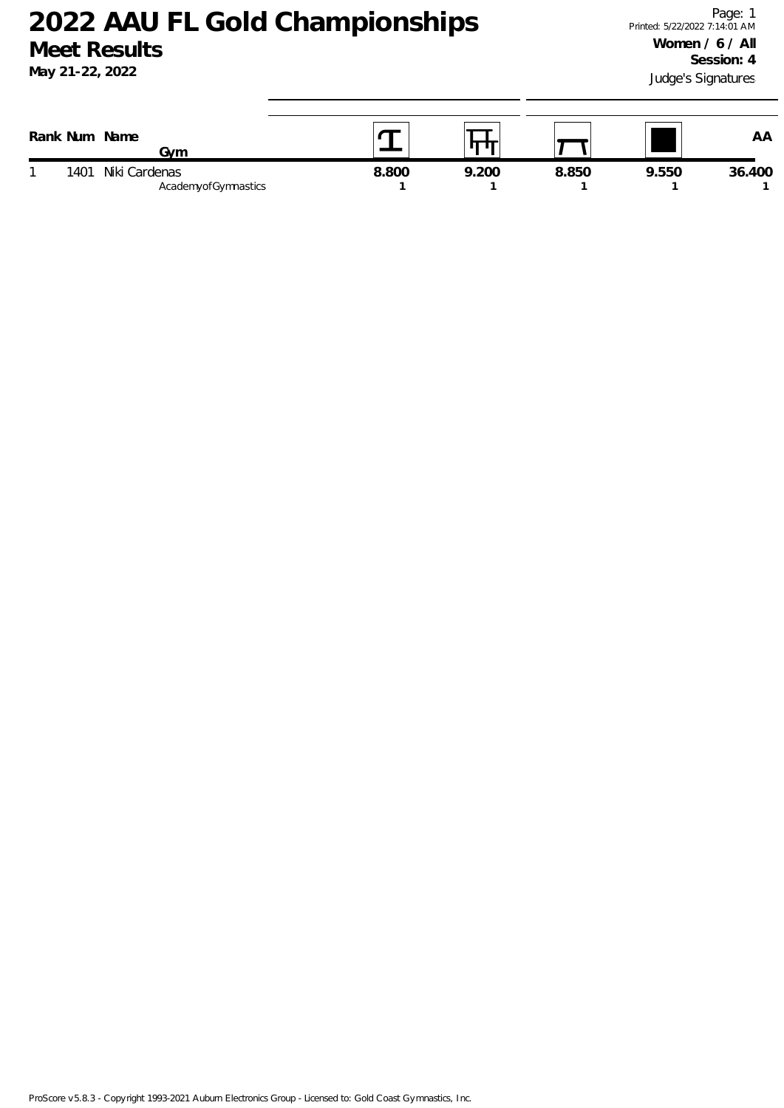| Rank Num | Name<br>Gvm                          |       |       |       |       | AA     |
|----------|--------------------------------------|-------|-------|-------|-------|--------|
| 1401     | Niki Cardenas<br>AcademyofGymnastics | 8.800 | 9.200 | 8.850 | 9.550 | 36.400 |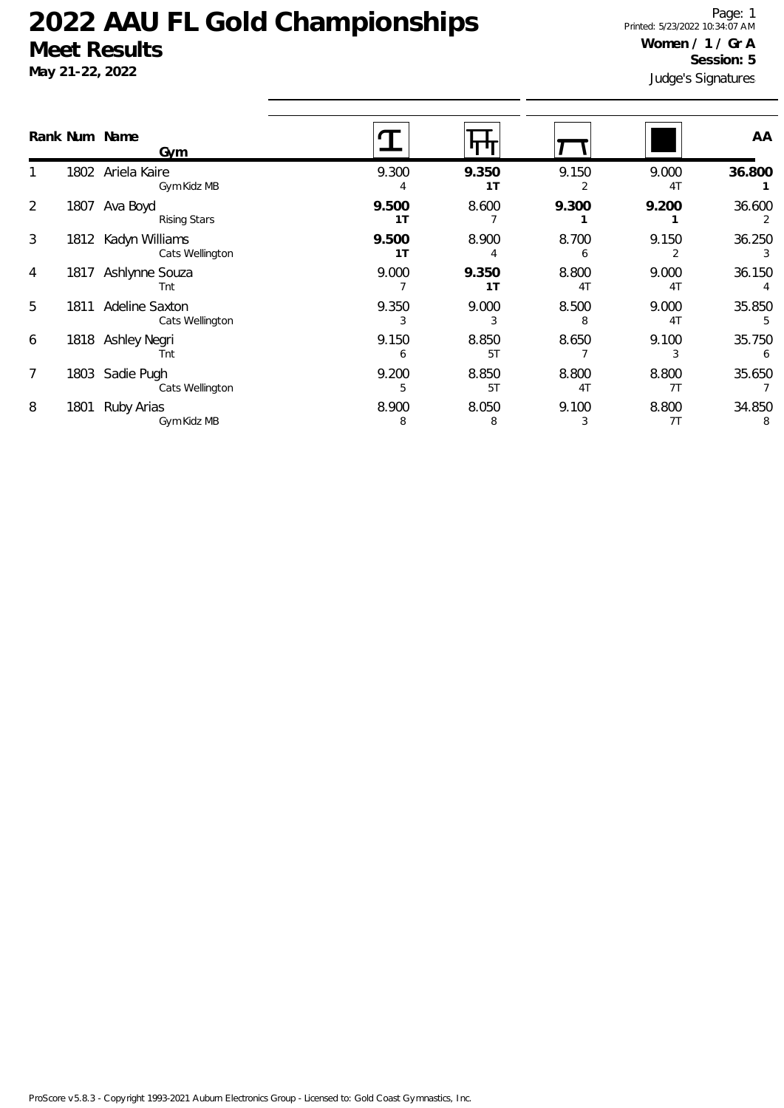**May 21-22, 2022**

Judge's Signatures Page: 1 Printed: 5/23/2022 10:34:07 AM **Women / 1 / Gr A Session: 5**

|                 |      | Rank Num Name<br>Gym              |                         |             |                         |                         | AA          |
|-----------------|------|-----------------------------------|-------------------------|-------------|-------------------------|-------------------------|-------------|
|                 | 1802 | Ariela Kaire<br>Gym Kidz MB       | 9.300                   | 9.350<br>1T | 9.150                   | 9.000<br>4 <sub>T</sub> | 36.800      |
| $\overline{2}$  | 1807 | Ava Boyd<br><b>Rising Stars</b>   | 9.500<br>1 <sub>T</sub> | 8.600       | 9.300                   | 9.200                   | 36.600<br>2 |
| 3               | 1812 | Kadyn Williams<br>Cats Wellington | 9.500<br>1 <sub>T</sub> | 8.900       | 8.700<br>6              | 9.150                   | 36.250      |
| 4               | 1817 | Ashlynne Souza<br>Tnt             | 9.000                   | 9.350<br>1T | 8.800<br>4 <sub>T</sub> | 9.000<br>4 <sub>T</sub> | 36.150      |
| 5               | 1811 | Adeline Saxton<br>Cats Wellington | 9.350                   | 9.000       | 8.500                   | 9.000<br>4T             | 35.850<br>5 |
| 6               |      | 1818 Ashley Negri<br>Tnt          | 9.150                   | 8.850<br>51 | 8.650                   | 9.100                   | 35.750<br>6 |
| $7\overline{ }$ | 1803 | Sadie Pugh<br>Cats Wellington     | 9.200<br>5              | 8.850<br>51 | 8.800<br>4 <sub>T</sub> | 8.800<br>7T             | 35.650      |
| 8               | 1801 | Ruby Arias<br>Gym Kidz MB         | 8.900<br>8              | 8.050<br>8  | 9.100<br>3              | 8.800<br>7T             | 34.850<br>8 |
|                 |      |                                   |                         |             |                         |                         |             |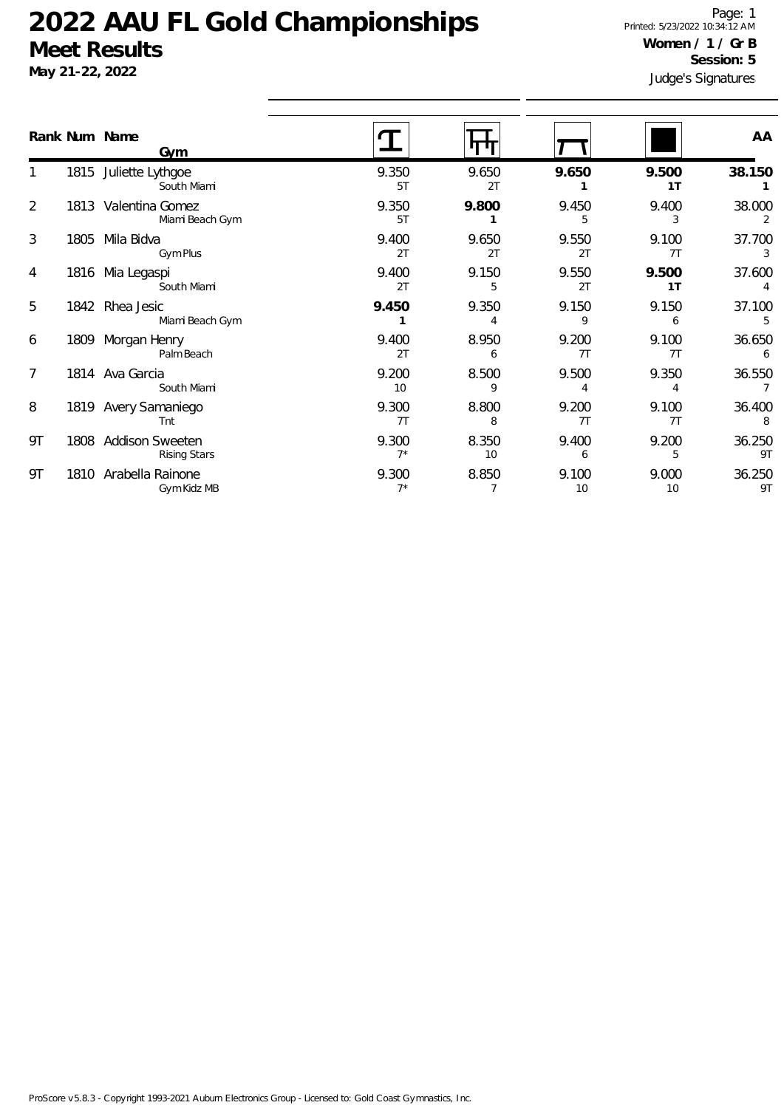**May 21-22, 2022**

Judge's Signatures Page: 1 Printed: 5/23/2022 10:34:12 AM **Women / 1 / Gr B Session: 5**

|                |      | Rank Num Name<br>Gym                          |                |             |             |                         | AA           |
|----------------|------|-----------------------------------------------|----------------|-------------|-------------|-------------------------|--------------|
|                |      | 1815 Juliette Lythgoe<br>South Miami          | 9.350<br>5T    | 9.650<br>2T | 9.650       | 9.500<br>1 <sub>T</sub> | 38.150       |
| $\overline{2}$ |      | 1813 Valentina Gomez<br>Miami Beach Gym       | 9.350<br>5T    | 9.800       | 9.450<br>5  | 9.400<br>3              | 38.000<br>2  |
| 3              | 1805 | Mila Bidva<br>Gym Plus                        | 9.400<br>2T    | 9.650<br>2T | 9.550<br>2T | 9.100<br>7T             | 37.700<br>3  |
| 4              | 1816 | Mia Legaspi<br>South Miami                    | 9.400<br>2T    | 9.150<br>5  | 9.550<br>2T | 9.500<br>1 <sub>T</sub> | 37.600       |
| 5              | 1842 | Rhea Jesic<br>Miami Beach Gym                 | 9.450          | 9.350       | 9.150<br>9  | 9.150<br>6              | 37.100<br>5  |
| 6              | 1809 | Morgan Henry<br>Palm Beach                    | 9.400<br>2T    | 8.950<br>6  | 9.200<br>7T | 9.100<br>7T             | 36.650<br>6  |
| 7              |      | 1814 Ava Garcia<br>South Miami                | 9.200<br>10    | 8.500<br>9  | 9.500<br>4  | 9.350<br>4              | 36.550       |
| 8              |      | 1819 Avery Samaniego<br>Tnt                   | 9.300<br>7T    | 8.800<br>8  | 9.200<br>7T | 9.100<br>7T             | 36.400<br>8  |
| 9Τ             | 1808 | <b>Addison Sweeten</b><br><b>Rising Stars</b> | 9.300<br>$7^*$ | 8.350<br>10 | 9.400<br>6  | 9.200<br>5              | 36.250<br>9T |
| 9Τ             |      | 1810 Arabella Rainone<br>Gym Kidz MB          | 9.300<br>$7*$  | 8.850       | 9.100<br>10 | 9.000<br>10             | 36.250<br>9T |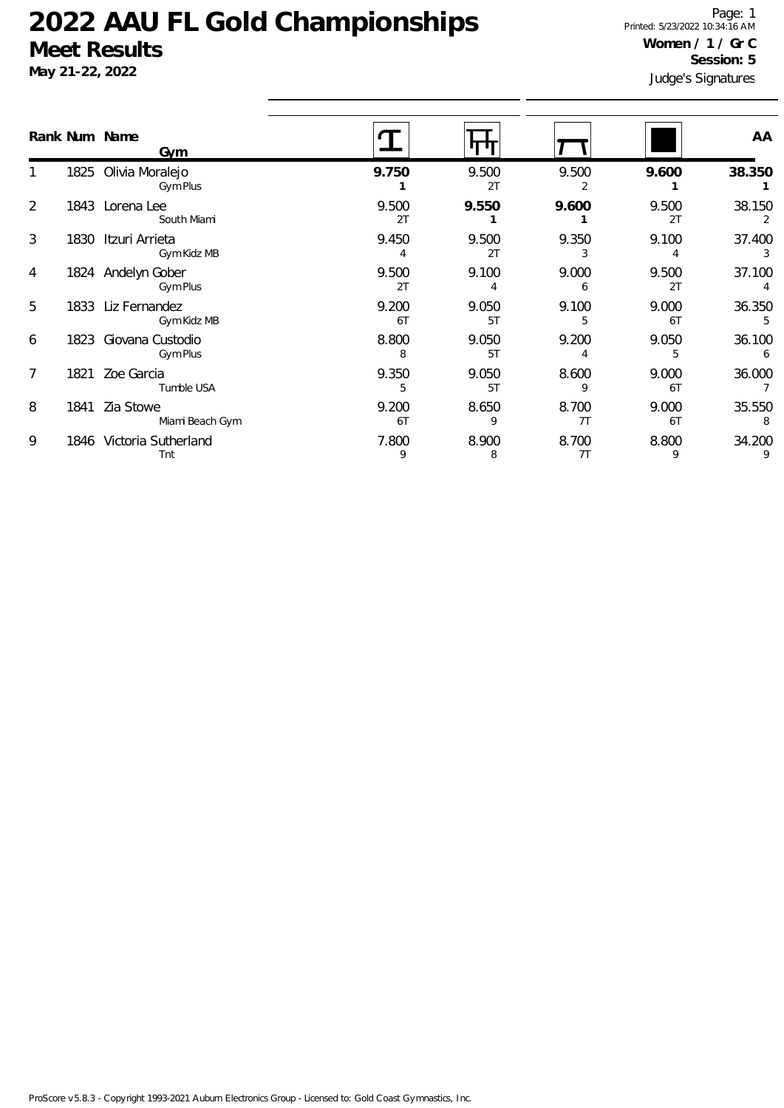**May 21-22, 2022**

Judge's Signatures Page: 1 Printed: 5/23/2022 10:34:16 AM **Women / 1 / Gr C Session: 5**

|   |      | Rank Num Name<br>Gym               |             |             |             |             | AA          |
|---|------|------------------------------------|-------------|-------------|-------------|-------------|-------------|
|   |      | 1825 Olivia Moralejo<br>Gym Plus   | 9.750       | 9.500<br>2T | 9.500       | 9.600       | 38.350      |
| 2 |      | 1843 Lorena Lee<br>South Miami     | 9.500<br>2T | 9.550       | 9.600       | 9.500<br>2T | 38.150<br>2 |
| 3 |      | 1830 Itzuri Arrieta<br>Gym Kidz MB | 9.450       | 9.500<br>2T | 9.350       | 9.100       | 37.400<br>3 |
| 4 |      | 1824 Andelyn Gober<br>Gym Plus     | 9.500<br>2T | 9.100       | 9.000<br>6  | 9.500<br>2T | 37.100      |
| 5 |      | 1833 Liz Fernandez<br>Gym Kidz MB  | 9.200<br>6T | 9.050<br>5T | 9.100       | 9.000<br>6T | 36.350<br>5 |
| 6 | 1823 | Giovana Custodio<br>Gym Plus       | 8.800<br>8  | 9.050<br>5T | 9.200<br>4  | 9.050<br>5  | 36.100<br>6 |
| 7 | 1821 | Zoe Garcia<br>Tumble USA           | 9.350<br>5  | 9.050<br>5T | 8.600<br>9  | 9.000<br>6T | 36.000      |
| 8 | 1841 | Zia Stowe<br>Miami Beach Gym       | 9.200<br>6T | 8.650<br>9  | 8.700<br>7T | 9.000<br>6T | 35.550<br>8 |
| 9 |      | 1846 Victoria Sutherland<br>Tnt    | 7.800<br>9  | 8.900<br>8  | 8.700<br>7T | 8.800<br>9  | 34.200      |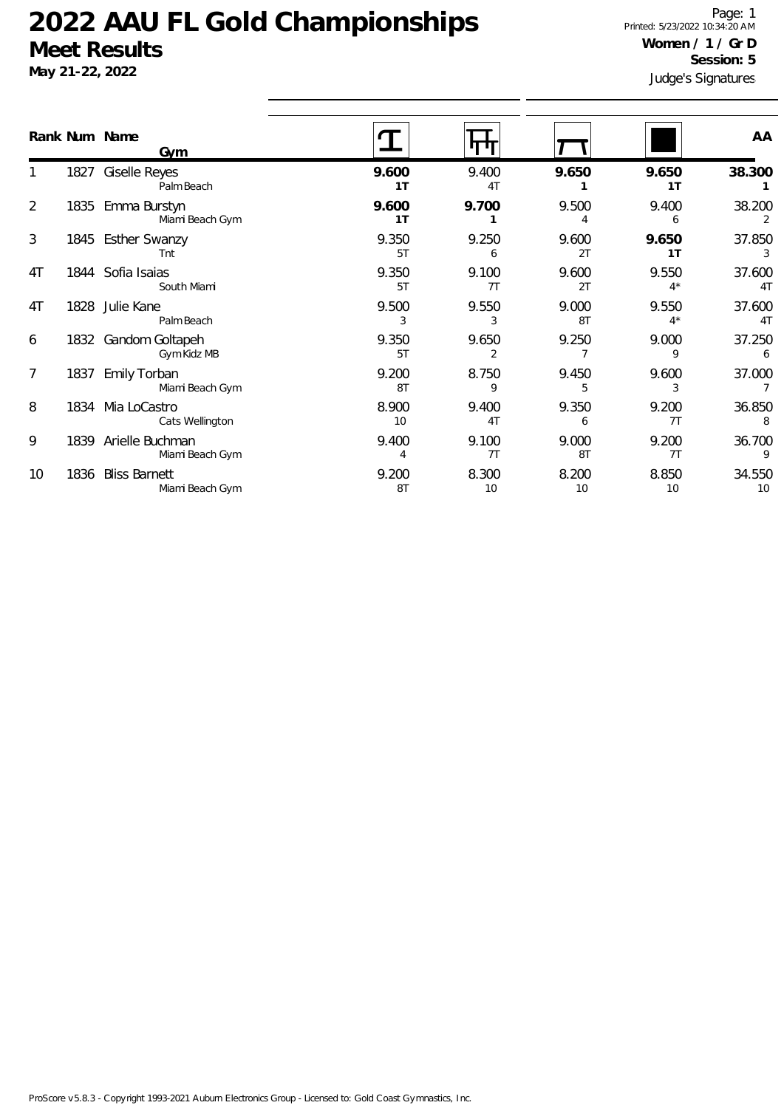**May 21-22, 2022**

Judge's Signatures Page: 1 Printed: 5/23/2022 10:34:20 AM **Women / 1 / Gr D Session: 5**

|                | Rank Num Name | Gym                                     |                   |                         |             |                         | AA                       |
|----------------|---------------|-----------------------------------------|-------------------|-------------------------|-------------|-------------------------|--------------------------|
|                | 1827          | <b>Giselle Reyes</b><br>Palm Beach      | 9.600<br>1T       | 9.400<br>4 <sub>T</sub> | 9.650       | 9.650<br>1 <sub>T</sub> | 38.300                   |
| $\overline{2}$ | 1835          | Emma Burstyn<br>Miami Beach Gym         | 9.600<br>1T       | 9.700                   | 9.500       | 9.400<br>6              | 38.200<br>2              |
| 3              |               | 1845 Esther Swanzy<br>Tnt               | 9.350<br>5T       | 9.250<br>6              | 9.600<br>2T | 9.650<br>1T             | 37.850<br>3              |
| 4T             |               | 1844 Sofia Isaias<br>South Miami        | 9.350<br>5T       | 9.100<br>7T             | 9.600<br>2T | 9.550<br>$4^*$          | 37.600<br>4 <sub>T</sub> |
| 4T             | 1828          | Julie Kane<br>Palm Beach                | 9.500<br>3        | 9.550<br>3              | 9.000<br>8T | 9.550<br>$4*$           | 37.600<br>4 <sub>T</sub> |
| 6              |               | 1832 Gandom Goltapeh<br>Gym Kidz MB     | 9.350<br>5T       | 9.650<br>2              | 9.250       | 9.000<br>9              | 37.250<br>6              |
| 7              | 1837          | Emily Torban<br>Miami Beach Gym         | 9.200<br>8T       | 8.750<br>9              | 9.450<br>5  | 9.600<br>3              | 37.000<br>7              |
| 8              |               | 1834 Mia LoCastro<br>Cats Wellington    | 8.900<br>10       | 9.400<br>4T             | 9.350<br>6  | 9.200<br>7T             | 36.850<br>8              |
| 9              | 1839          | Arielle Buchman<br>Miami Beach Gym      | 9.400<br>$\Delta$ | 9.100<br>7T             | 9.000<br>8T | 9.200<br>7T             | 36.700<br>9              |
| 10             | 1836          | <b>Bliss Barnett</b><br>Miami Beach Gym | 9.200<br>8T       | 8.300<br>10             | 8.200<br>10 | 8.850<br>10             | 34.550<br>10             |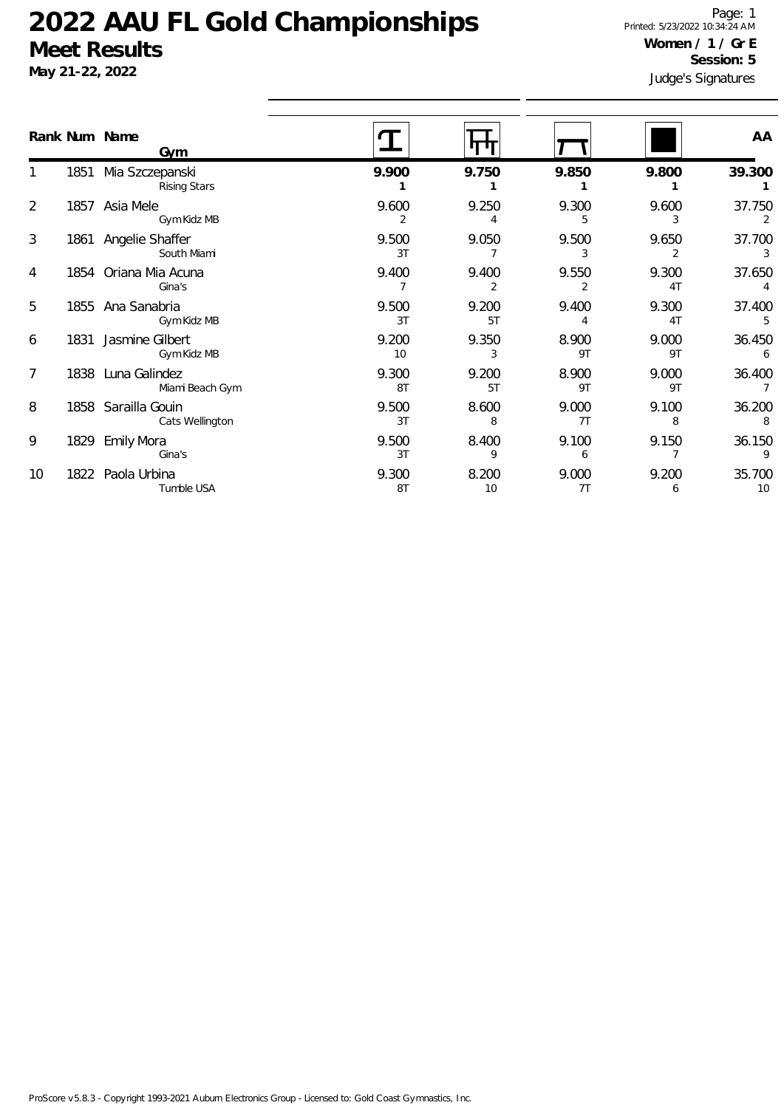**May 21-22, 2022**

Judge's Signatures Page: 1 Printed: 5/23/2022 10:34:24 AM **Women / 1 / Gr E Session: 5**

|    |      | Rank Num Name<br><b>Gym</b>            |             |             |             |                         | AA           |
|----|------|----------------------------------------|-------------|-------------|-------------|-------------------------|--------------|
|    | 1851 | Mia Szczepanski<br><b>Rising Stars</b> | 9.900       | 9.750       | 9.850       | 9.800                   | 39.300       |
| 2  | 1857 | Asia Mele<br>Gym Kidz MB               | 9.600       | 9.250<br>4  | 9.300<br>5. | 9.600<br>3              | 37.750<br>2  |
| 3  |      | 1861 Angelie Shaffer<br>South Miami    | 9.500<br>3T | 9.050       | 9.500       | 9.650<br>2              | 37.700<br>3  |
| 4  | 1854 | Oriana Mia Acuna<br>Gina's             | 9.400       | 9.400       | 9.550       | 9.300<br>4T             | 37.650       |
| 5  | 1855 | Ana Sanabria<br>Gym Kidz MB            | 9.500<br>3T | 9.200<br>5T | 9.400       | 9.300<br>4 <sub>T</sub> | 37.400       |
| 6  | 1831 | Jasmine Gilbert<br>Gym Kidz MB         | 9.200<br>10 | 9.350       | 8.900<br>9T | 9.000<br>9T             | 36.450<br>6  |
| 7  |      | 1838 Luna Galindez<br>Miami Beach Gym  | 9.300<br>8T | 9.200<br>5T | 8.900<br>9T | 9.000<br>9T             | 36.400       |
| 8  | 1858 | Sarailla Gouin<br>Cats Wellington      | 9.500<br>3T | 8.600<br>8  | 9.000<br>7T | 9.100<br>8              | 36.200<br>8  |
| 9  | 1829 | <b>Emily Mora</b><br>Gina's            | 9.500<br>3T | 8.400<br>9  | 9.100<br>6  | 9.150                   | 36.150       |
| 10 |      | 1822 Paola Urbina<br>Tumble USA        | 9.300<br>8T | 8.200<br>10 | 9.000<br>7T | 9.200<br>6              | 35.700<br>10 |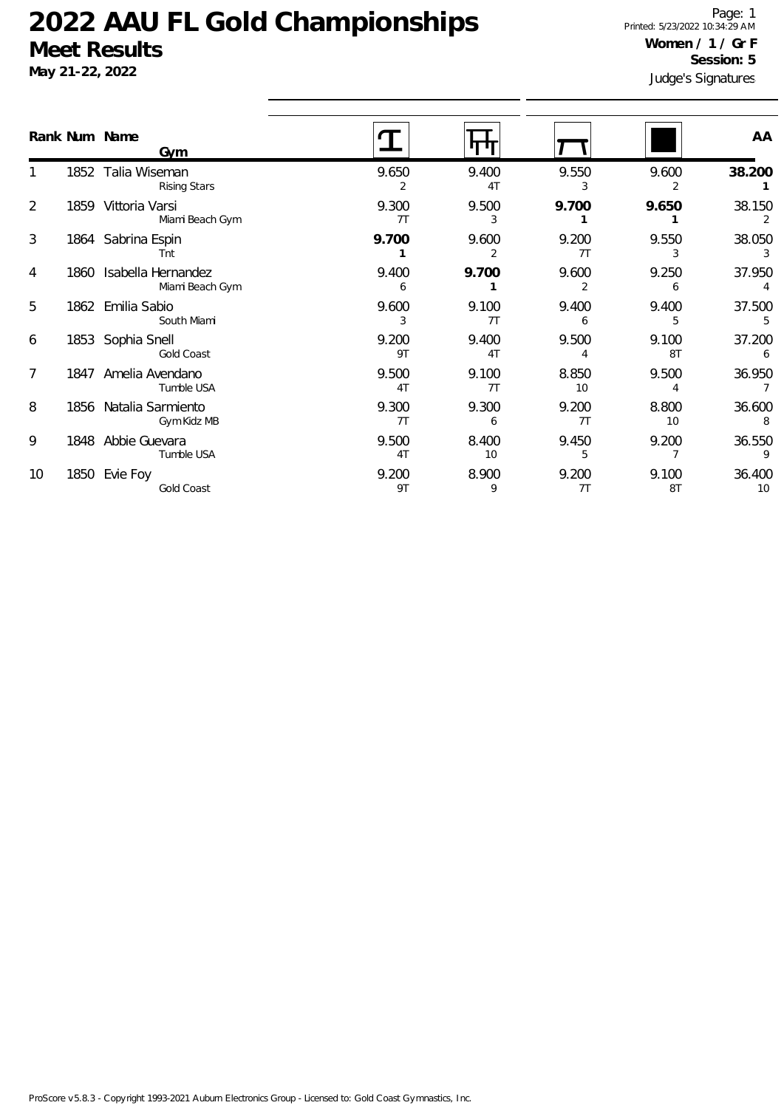|                | Rank Num Name<br><b>Gym</b>                |             |             |             |             | AA                        |
|----------------|--------------------------------------------|-------------|-------------|-------------|-------------|---------------------------|
|                | 1852 Talia Wiseman<br><b>Rising Stars</b>  | 9.650<br>2  | 9.400<br>4T | 9.550<br>3  | 9.600<br>2  | 38.200                    |
| $\overline{2}$ | 1859 Vittoria Varsi<br>Miami Beach Gym     | 9.300<br>7T | 9.500<br>3  | 9.700       | 9.650       | 38.150                    |
| 3              | 1864 Sabrina Espin<br>Tnt                  | 9.700       | 9.600<br>2  | 9.200<br>7T | 9.550<br>3  | 38.050<br>3               |
| 4              | 1860 Isabella Hernandez<br>Miami Beach Gym | 9.400<br>6  | 9.700       | 9.600<br>2  | 9.250<br>6  | 37.950<br>4               |
| 5              | 1862 Emilia Sabio<br>South Miami           | 9.600<br>3  | 9.100<br>7T | 9.400       | 9.400<br>5  | 37.500<br>5               |
| 6              | 1853 Sophia Snell<br>Gold Coast            | 9.200<br>9T | 9.400<br>4T | 9.500       | 9.100<br>8T | 37.200                    |
| 7              | 1847 Amelia Avendano<br>Tumble USA         | 9.500<br>4T | 9.100<br>7T | 8.850<br>10 | 9.500       | 36.950<br>$7\overline{ }$ |
| 8              | 1856 Natalia Sarmiento<br>Gym Kidz MB      | 9.300<br>7T | 9.300<br>6  | 9.200<br>7T | 8.800<br>10 | 36.600<br>8               |
| 9              | 1848 Abbie Guevara<br>Tumble USA           | 9.500<br>4T | 8.400<br>10 | 9.450<br>5  | 9.200       | 36.550<br>9               |
| 10             | 1850 Evie Foy<br>Gold Coast                | 9.200<br>9T | 8.900<br>9  | 9.200<br>7T | 9.100<br>8T | 36.400<br>10              |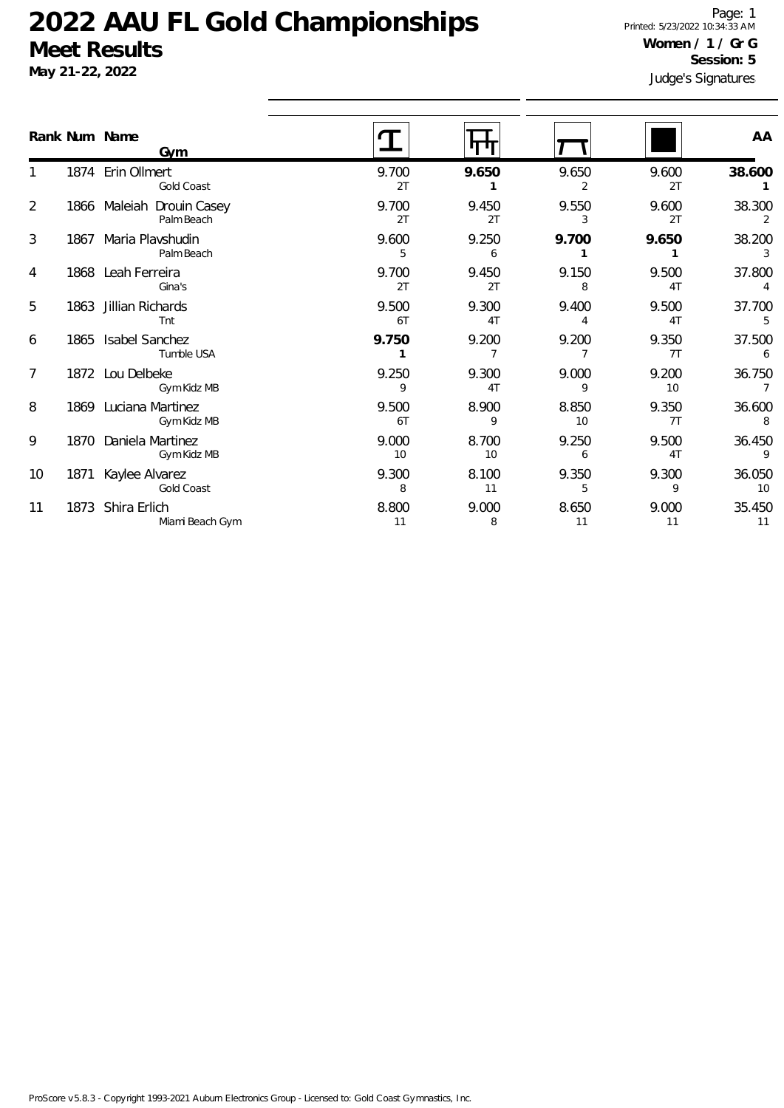**May 21-22, 2022**

Judge's Signatures Page: 1 Printed: 5/23/2022 10:34:33 AM **Women / 1 / Gr G Session: 5**

|                 | Rank Num Name | Gym                                     |             |             |             |             | AA                       |
|-----------------|---------------|-----------------------------------------|-------------|-------------|-------------|-------------|--------------------------|
|                 |               | 1874 Erin Ollmert<br>Gold Coast         | 9.700<br>2T | 9.650       | 9.650<br>2  | 9.600<br>2T | 38.600                   |
| $\overline{2}$  |               | 1866 Maleiah Drouin Casey<br>Palm Beach | 9.700<br>2T | 9.450<br>2T | 9.550<br>3  | 9.600<br>2T | 38.300<br>2              |
| 3               |               | 1867 Maria Plavshudin<br>Palm Beach     | 9.600<br>5  | 9.250<br>6  | 9.700       | 9.650       | 38.200<br>$\overline{3}$ |
| 4               |               | 1868 Leah Ferreira<br>Gina's            | 9.700<br>2T | 9.450<br>2T | 9.150<br>8  | 9.500<br>4T | 37.800<br>$\overline{4}$ |
| 5               |               | 1863 Jillian Richards<br>Tnt            | 9.500<br>6T | 9.300<br>4T | 9.400       | 9.500<br>4T | 37.700<br>5              |
| 6               |               | 1865 Isabel Sanchez<br>Tumble USA       | 9.750       | 9.200       | 9.200       | 9.350<br>7T | 37.500<br>6              |
| $7\overline{ }$ |               | 1872 Lou Delbeke<br>Gym Kidz MB         | 9.250<br>9  | 9.300<br>4T | 9.000<br>9  | 9.200<br>10 | 36.750<br>$\overline{7}$ |
| 8               |               | 1869 Luciana Martinez<br>Gym Kidz MB    | 9.500<br>6T | 8.900<br>9  | 8.850<br>10 | 9.350<br>7T | 36.600<br>8              |
| 9               |               | 1870 Daniela Martinez<br>Gym Kidz MB    | 9.000<br>10 | 8.700<br>10 | 9.250<br>6  | 9.500<br>4T | 36.450<br>9              |
| 10              |               | 1871 Kaylee Alvarez<br>Gold Coast       | 9.300<br>8  | 8.100<br>11 | 9.350<br>5  | 9.300<br>9  | 36.050<br>10             |
| 11              |               | 1873 Shira Erlich<br>Miami Beach Gym    | 8.800<br>11 | 9.000<br>8  | 8.650<br>11 | 9.000<br>11 | 35.450<br>11             |
|                 |               |                                         |             |             |             |             |                          |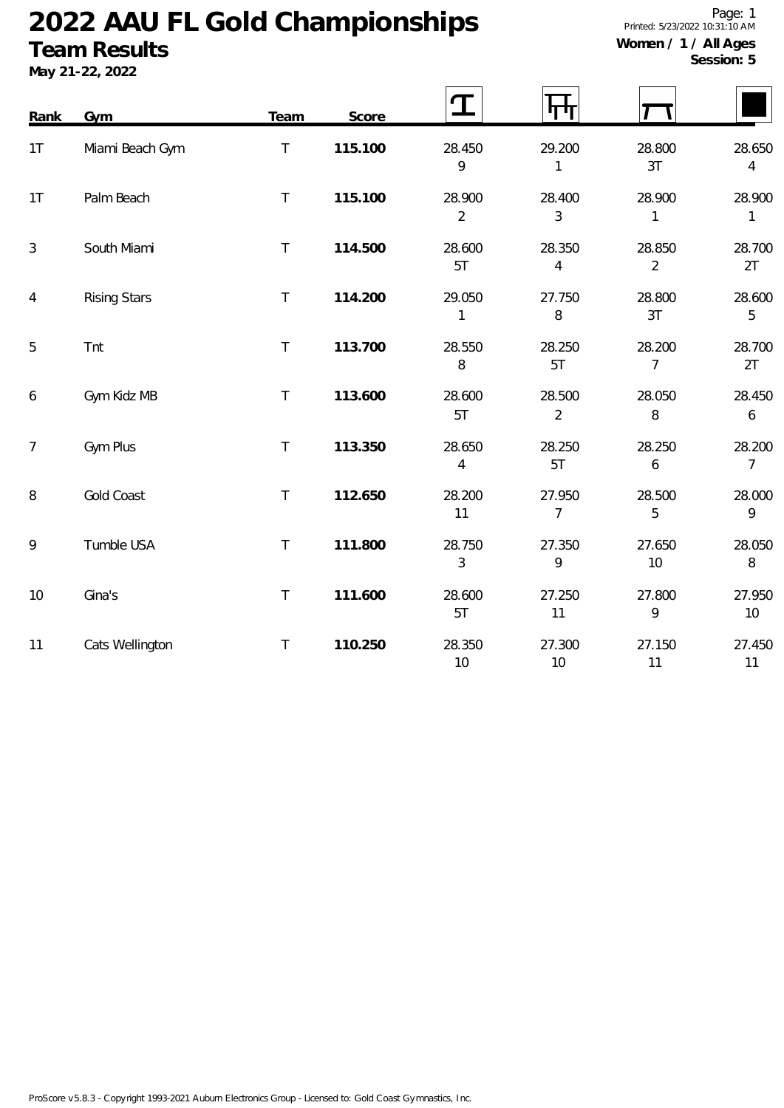### **Team Results**

|  | I / All Aycs |  |
|--|--------------|--|
|  | Session: 5   |  |

| Rank           | Gym                 | Team   | Score   | $\mathbf T$              | पाग                      |                          |                            |
|----------------|---------------------|--------|---------|--------------------------|--------------------------|--------------------------|----------------------------|
| 1T             | Miami Beach Gym     | $\top$ | 115.100 | 28.450<br>9              | 29.200<br>1              | 28.800<br>3T             | 28.650<br>$\overline{4}$   |
| 1T             | Palm Beach          | $\top$ | 115.100 | 28.900<br>$\overline{2}$ | 28.400<br>3              | 28.900<br>$\mathbf{1}$   | 28.900<br>$\mathbf{1}$     |
| $\mathfrak{Z}$ | South Miami         | $\top$ | 114.500 | 28.600<br>5T             | 28.350<br>$\overline{4}$ | 28.850<br>$\overline{2}$ | 28.700<br>2T               |
| $\overline{4}$ | <b>Rising Stars</b> | $\top$ | 114.200 | 29.050<br>1              | 27.750<br>8              | 28.800<br>3T             | 28.600<br>5                |
| 5              | Tnt                 | $\top$ | 113.700 | 28.550<br>8              | 28.250<br>5T             | 28.200<br>$\overline{7}$ | 28.700<br>2T               |
| 6              | Gym Kidz MB         | $\top$ | 113.600 | 28.600<br>5T             | 28.500<br>$\overline{2}$ | 28.050<br>8              | 28.450<br>$\boldsymbol{6}$ |
| $\overline{7}$ | Gym Plus            | $\top$ | 113.350 | 28.650<br>4              | 28.250<br>5T             | 28.250<br>6              | 28.200<br>$\overline{7}$   |
| 8              | <b>Gold Coast</b>   | $\top$ | 112.650 | 28.200<br>11             | 27.950<br>$\overline{7}$ | 28.500<br>5              | 28.000<br>9                |
| 9              | Tumble USA          | $\top$ | 111.800 | 28.750<br>3              | 27.350<br>9              | 27.650<br>10             | 28.050<br>8                |
| 10             | Gina's              | $\top$ | 111.600 | 28.600<br>5T             | 27.250<br>11             | 27.800<br>9              | 27.950<br>10 <sup>°</sup>  |
| 11             | Cats Wellington     | $\top$ | 110.250 | 28.350<br>10             | 27.300<br>10             | 27.150<br>11             | 27.450<br>11               |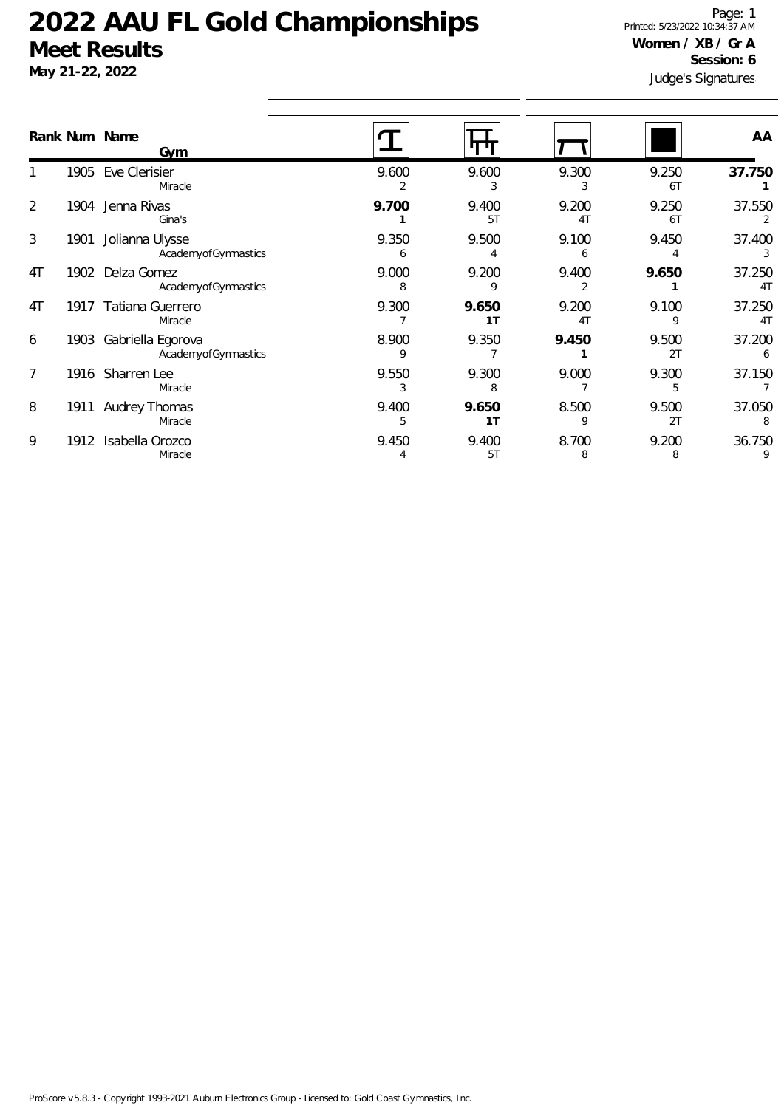# **May 21-22, 2022**

Judge's Signatures Page: 1 Printed: 5/23/2022 10:34:37 AM **Women / XB / Gr A Session: 6**

|                |      | Rank Num Name<br>Gym                     |            |                         |                         |             | AA                       |
|----------------|------|------------------------------------------|------------|-------------------------|-------------------------|-------------|--------------------------|
|                | 1905 | Eve Clerisier<br>Miracle                 | 9.600      | 9.600<br>3              | 9.300<br>3              | 9.250<br>6T | 37.750                   |
| $\overline{2}$ | 1904 | Jenna Rivas<br>Gina's                    | 9.700      | 9.400<br>5T             | 9.200<br>4 <sub>T</sub> | 9.250<br>6T | 37.550<br>2              |
| 3              | 1901 | Jolianna Ulysse<br>AcademyofGymnastics   | 9.350<br>6 | 9.500                   | 9.100<br>6              | 9.450       | 37.400<br>3              |
| 4T             | 1902 | Delza Gomez<br>AcademyofGymnastics       | 9.000<br>8 | 9.200<br>q              | 9.400                   | 9.650       | 37.250<br>4 <sub>1</sub> |
| 4T             | 1917 | Tatiana Guerrero<br>Miracle              | 9.300      | 9.650<br>1T             | 9.200<br>4 <sub>T</sub> | 9.100<br>9  | 37.250<br>4 <sub>T</sub> |
| 6              | 1903 | Gabriella Egorova<br>AcademyofGymnastics | 8.900<br>9 | 9.350                   | 9.450                   | 9.500<br>2T | 37.200                   |
| $\overline{7}$ |      | 1916 Sharren Lee<br>Miracle              | 9.550<br>3 | 9.300<br>8              | 9.000                   | 9.300<br>5  | 37.150                   |
| 8              | 1911 | Audrey Thomas<br>Miracle                 | 9.400      | 9.650<br>1 <sub>T</sub> | 8.500<br>9              | 9.500<br>2T | 37.050<br>8              |
| 9              | 1912 | Isabella Orozco<br>Miracle               | 9.450<br>4 | 9.400<br>5T             | 8.700<br>8              | 9.200<br>8  | 36.750<br>9              |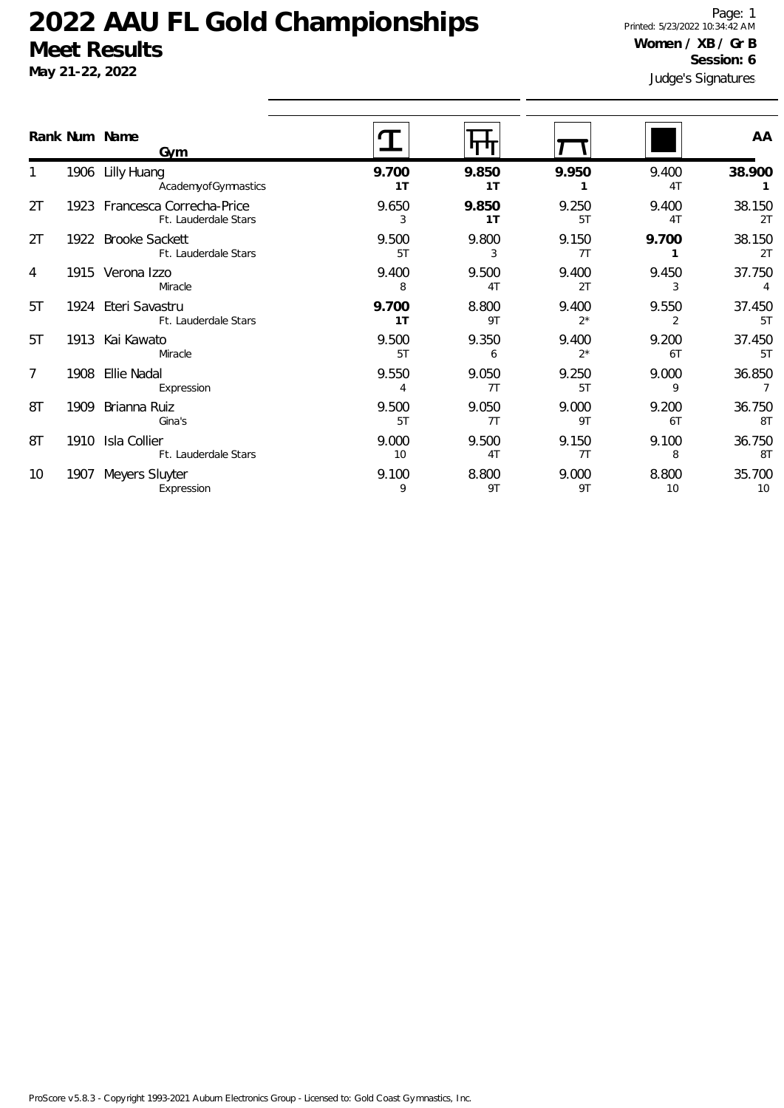**May 21-22, 2022**

Judge's Signatures Page: 1 Printed: 5/23/2022 10:34:42 AM **Women / XB / Gr B Session: 6**

| Rank Num Name |      | <b>Gym</b>                                            |                         |                         |                |                         | AA           |
|---------------|------|-------------------------------------------------------|-------------------------|-------------------------|----------------|-------------------------|--------------|
|               |      | 1906 Lilly Huang<br>AcademyofGymnastics               | 9.700<br>1 <sub>T</sub> | 9.850<br>1T             | 9.950          | 9.400<br>4T             | 38.900       |
| 2T            |      | 1923 Francesca Correcha-Price<br>Ft. Lauderdale Stars | 9.650<br>3              | 9.850<br>1T             | 9.250<br>5T    | 9.400<br>4T             | 38.150<br>2T |
| 2T            |      | 1922 Brooke Sackett<br>Ft. Lauderdale Stars           | 9.500<br>5T             | 9.800<br>3              | 9.150<br>7T    | 9.700                   | 38.150<br>2T |
| 4             |      | 1915 Verona Izzo<br>Miracle                           | 9.400<br>8              | 9.500<br>4 <sub>T</sub> | 9.400<br>2T    | 9.450<br>3              | 37.750<br>4  |
| 5T            |      | 1924 Eteri Savastru<br>Ft. Lauderdale Stars           | 9.700<br>1 <sub>T</sub> | 8.800<br>9T             | 9.400<br>$2^*$ | 9.550<br>$\overline{2}$ | 37.450<br>5T |
| 5T            |      | 1913 Kai Kawato<br>Miracle                            | 9.500<br>5T             | 9.350<br>6              | 9.400<br>$2^*$ | 9.200<br>6T             | 37.450<br>5T |
| 7             | 1908 | Ellie Nadal<br>Expression                             | 9.550<br>$\overline{4}$ | 9.050<br>7T             | 9.250<br>5T    | 9.000<br>9              | 36.850<br>7  |
| 8T            | 1909 | Brianna Ruiz<br>Gina's                                | 9.500<br>5T             | 9.050<br>7T             | 9.000<br>9T    | 9.200<br>6T             | 36.750<br>8T |
| 8T            | 1910 | Isla Collier<br>Ft. Lauderdale Stars                  | 9.000<br>10             | 9.500<br>4T             | 9.150<br>7T    | 9.100<br>8              | 36.750<br>8T |
| 10            | 1907 | Meyers Sluyter<br>Expression                          | 9.100<br>9              | 8.800<br>9T             | 9.000<br>9T    | 8.800<br>10             | 35.700<br>10 |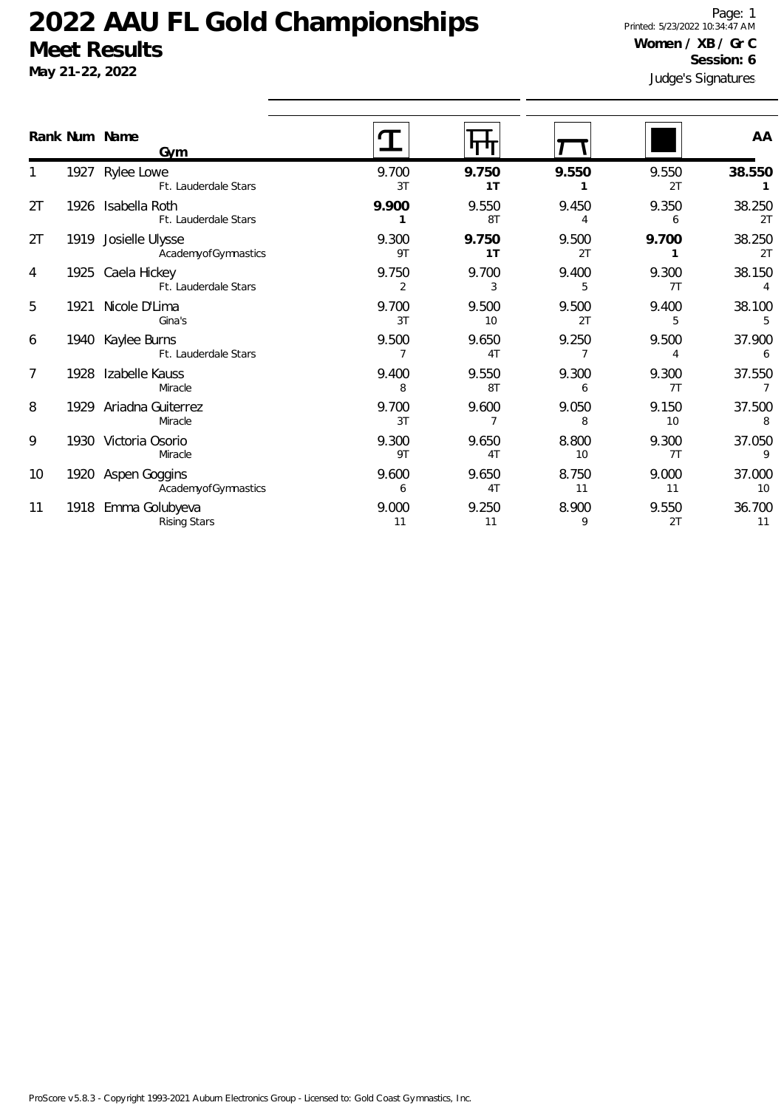**May 21-22, 2022**

Judge's Signatures Page: 1 Printed: 5/23/2022 10:34:47 AM **Women / XB / Gr C Session: 6**

|                |      | Rank Num Name<br>Gym                        |                         |             |             |             | AA           |
|----------------|------|---------------------------------------------|-------------------------|-------------|-------------|-------------|--------------|
|                |      | 1927 Rylee Lowe<br>Ft. Lauderdale Stars     | 9.700<br>3T             | 9.750<br>1T | 9.550       | 9.550<br>2T | 38.550       |
| 2T             |      | 1926 Isabella Roth<br>Ft. Lauderdale Stars  | 9.900                   | 9.550<br>8T | 9.450<br>4  | 9.350<br>6  | 38.250<br>2T |
| 2T             |      | 1919 Josielle Ulysse<br>AcademyofGymnastics | 9.300<br>9T             | 9.750<br>1T | 9.500<br>2T | 9.700       | 38.250<br>2T |
| 4              |      | 1925 Caela Hickey<br>Ft. Lauderdale Stars   | 9.750<br>2              | 9.700<br>3  | 9.400<br>5  | 9.300<br>7T | 38.150<br>4  |
| 5              | 1921 | Nicole D'Lima<br>Gina's                     | 9.700<br>3T             | 9.500<br>10 | 9.500<br>2T | 9.400<br>5  | 38.100<br>5  |
| 6              |      | 1940 Kaylee Burns<br>Ft. Lauderdale Stars   | 9.500<br>$\overline{7}$ | 9.650<br>4T | 9.250       | 9.500<br>4  | 37.900<br>6  |
| $\overline{7}$ |      | 1928 Izabelle Kauss<br>Miracle              | 9.400<br>8              | 9.550<br>8T | 9.300<br>6  | 9.300<br>7T | 37.550<br>7  |
| 8              |      | 1929 Ariadna Guiterrez<br>Miracle           | 9.700<br>3T             | 9.600       | 9.050<br>8  | 9.150<br>10 | 37.500<br>8  |
| 9              |      | 1930 Victoria Osorio<br>Miracle             | 9.300<br>9T             | 9.650<br>4T | 8.800<br>10 | 9.300<br>7T | 37.050<br>9  |
| 10             |      | 1920 Aspen Goggins<br>AcademyofGymnastics   | 9.600<br>6              | 9.650<br>4T | 8.750<br>11 | 9.000<br>11 | 37.000<br>10 |
| 11             |      | 1918 Emma Golubyeva<br><b>Rising Stars</b>  | 9.000<br>11             | 9.250<br>11 | 8.900<br>9  | 9.550<br>2T | 36.700<br>11 |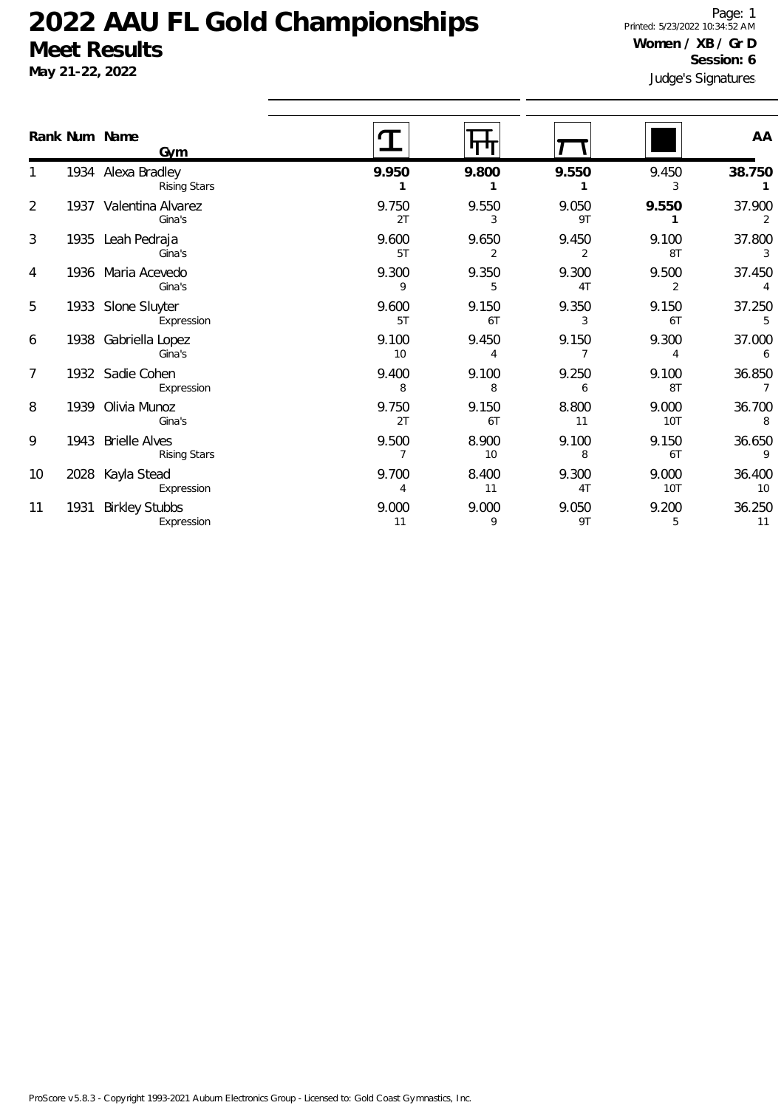|                       |                                                                                                                                                                                                                                                          |             |             |             | AA             |
|-----------------------|----------------------------------------------------------------------------------------------------------------------------------------------------------------------------------------------------------------------------------------------------------|-------------|-------------|-------------|----------------|
| <b>Rising Stars</b>   | 9.950                                                                                                                                                                                                                                                    | 9.800       | 9.550       | 9.450<br>3  | 38.750         |
| Gina's                | 9.750<br>2T                                                                                                                                                                                                                                              | 9.550<br>3  | 9.050<br>9T | 9.550       | 37.900<br>2    |
| Gina's                | 9.600                                                                                                                                                                                                                                                    | 9.650       | 9.450       | 9.100       | 37.800         |
|                       | 5T                                                                                                                                                                                                                                                       | 2           | 2           | 8T          | 3              |
| Gina's                | 9.300                                                                                                                                                                                                                                                    | 9.350       | 9.300       | 9.500       | 37.450         |
|                       | 9                                                                                                                                                                                                                                                        | 5.          | 4T          | 2           | 4              |
| Expression            | 9.600                                                                                                                                                                                                                                                    | 9.150       | 9.350       | 9.150       | 37.250         |
|                       | 5T                                                                                                                                                                                                                                                       | 6T          | 3           | 6T          | 5              |
| Gina's                | 9.100<br>10                                                                                                                                                                                                                                              | 9.450<br>4  | 9.150       | 9.300<br>4  | 37.000<br>6    |
| Expression            | 9.400                                                                                                                                                                                                                                                    | 9.100       | 9.250       | 9.100       | 36.850         |
|                       | 8                                                                                                                                                                                                                                                        | 8           | 6           | 8T          | $\overline{7}$ |
| Gina's                | 9.750                                                                                                                                                                                                                                                    | 9.150       | 8.800       | 9.000       | 36.700         |
|                       | 2T                                                                                                                                                                                                                                                       | 6T          | 11          | 10T         | 8              |
| <b>Rising Stars</b>   | 9.500                                                                                                                                                                                                                                                    | 8.900<br>10 | 9.100<br>8  | 9.150<br>6T | 36.650<br>9    |
| Expression            | 9.700                                                                                                                                                                                                                                                    | 8.400       | 9.300       | 9.000       | 36.400         |
|                       | 4                                                                                                                                                                                                                                                        | 11          | 4T          | 10T         | 10             |
| <b>Birkley Stubbs</b> | 9.000                                                                                                                                                                                                                                                    | 9.000       | 9.050       | 9.200       | 36.250         |
| Expression            | 11                                                                                                                                                                                                                                                       | 9           | 9T          | 5           | 11             |
|                       | Rank Num Name<br>Gym<br>1934 Alexa Bradley<br>1937 Valentina Alvarez<br>1935 Leah Pedraja<br>1936 Maria Acevedo<br>1933 Slone Sluyter<br>1938 Gabriella Lopez<br>1932 Sadie Cohen<br>1939 Olivia Munoz<br>1943 Brielle Alves<br>2028 Kayla Stead<br>1931 |             |             |             |                |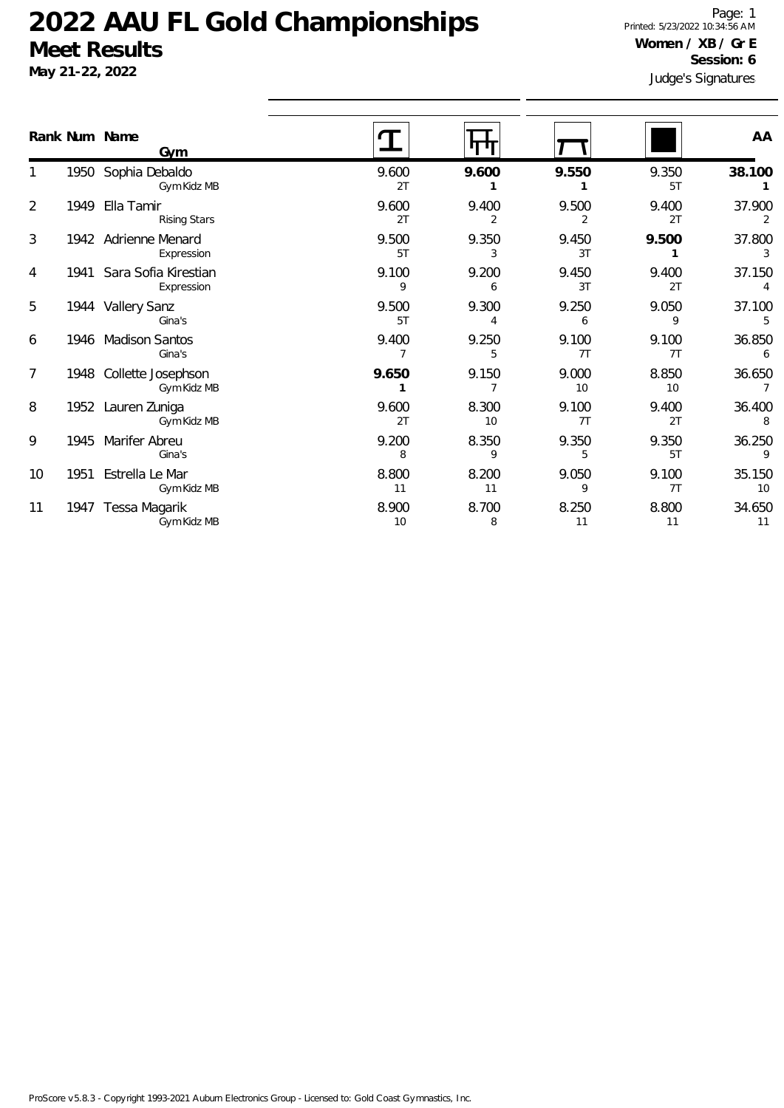|    | Rank Num Name | <b>Gym</b>                              |             |             |             |             | AA           |
|----|---------------|-----------------------------------------|-------------|-------------|-------------|-------------|--------------|
|    |               | 1950 Sophia Debaldo<br>Gym Kidz MB      | 9.600<br>2T | 9.600       | 9.550       | 9.350<br>5T | 38.100       |
| 2  | 1949          | Ella Tamir<br><b>Rising Stars</b>       | 9.600<br>2T | 9.400<br>2  | 9.500<br>2  | 9.400<br>2T | 37.900<br>2  |
| 3  |               | 1942 Adrienne Menard<br>Expression      | 9.500<br>5T | 9.350<br>3  | 9.450<br>3T | 9.500       | 37.800<br>3  |
| 4  |               | 1941 Sara Sofia Kirestian<br>Expression | 9.100<br>9  | 9.200<br>6  | 9.450<br>3T | 9.400<br>2T | 37.150<br>4  |
| 5  |               | 1944 Vallery Sanz<br>Gina's             | 9.500<br>5T | 9.300<br>4  | 9.250<br>6  | 9.050<br>9  | 37.100<br>5  |
| 6  | 1946          | <b>Madison Santos</b><br>Gina's         | 9.400       | 9.250<br>5  | 9.100<br>7T | 9.100<br>7T | 36.850<br>6  |
| 7  |               | 1948 Collette Josephson<br>Gym Kidz MB  | 9.650       | 9.150       | 9.000<br>10 | 8.850<br>10 | 36.650<br>7  |
| 8  |               | 1952 Lauren Zuniga<br>Gym Kidz MB       | 9.600<br>2T | 8.300<br>10 | 9.100<br>7T | 9.400<br>2T | 36.400<br>8  |
| 9  |               | 1945 Marifer Abreu<br>Gina's            | 9.200<br>8  | 8.350<br>9  | 9.350<br>5  | 9.350<br>5T | 36.250<br>9  |
| 10 | 1951          | Estrella Le Mar<br>Gym Kidz MB          | 8.800<br>11 | 8.200<br>11 | 9.050<br>9  | 9.100<br>7T | 35.150<br>10 |
| 11 | 1947          | Tessa Magarik<br>Gym Kidz MB            | 8.900<br>10 | 8.700<br>8  | 8.250<br>11 | 8.800<br>11 | 34.650<br>11 |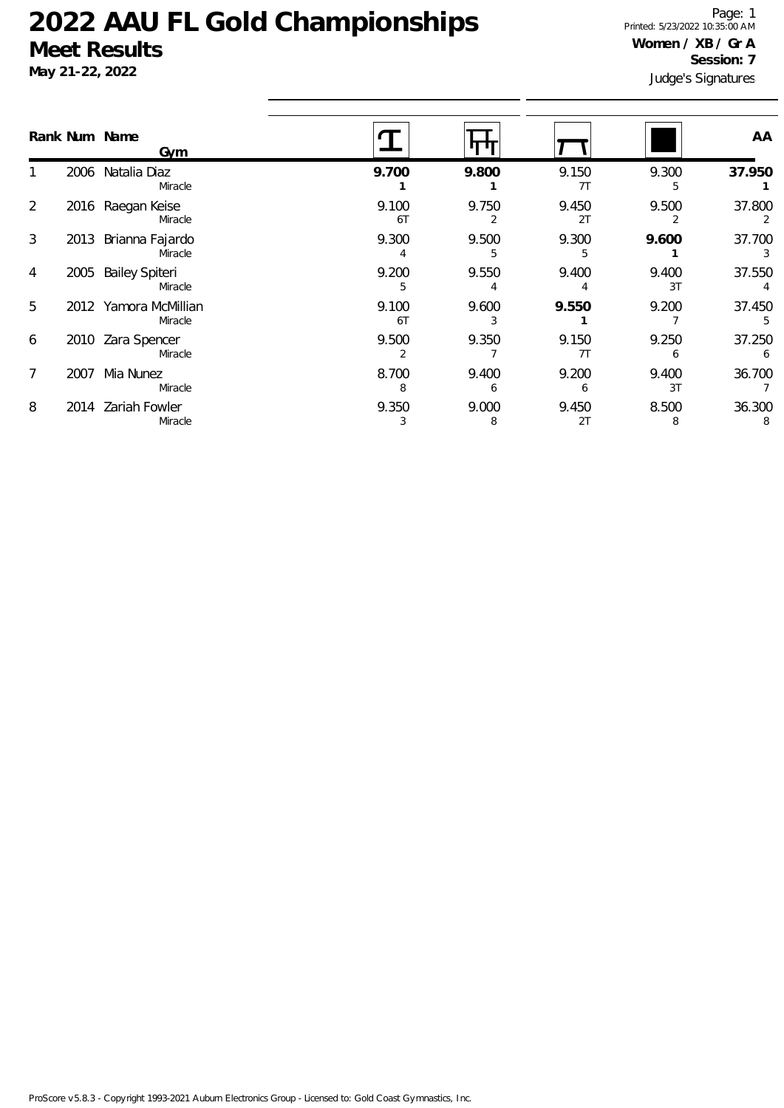### **May 21-22, 2022**

Judge's Signatures Page: 1 Printed: 5/23/2022 10:35:00 AM **Women / XB / Gr A Session: 7**

|   |      | Rank Num Name<br><u>Gym</u>      |             |            |             |             | AA          |
|---|------|----------------------------------|-------------|------------|-------------|-------------|-------------|
|   |      | 2006 Natalia Diaz<br>Miracle     | 9.700       | 9.800      | 9.150<br>7T | 9.300<br>5. | 37.950      |
| 2 |      | 2016 Raegan Keise<br>Miracle     | 9.100<br>6T | 9.750      | 9.450<br>2T | 9.500       | 37.800<br>2 |
| 3 |      | 2013 Brianna Fajardo<br>Miracle  | 9.300       | 9.500      | 9.300       | 9.600       | 37.700      |
| 4 | 2005 | <b>Bailey Spiteri</b><br>Miracle | 9.200<br>5  | 9.550      | 9.400       | 9.400<br>3T | 37.550      |
| 5 |      | 2012 Yamora McMillian<br>Miracle | 9.100<br>6T | 9.600      | 9.550       | 9.200       | 37.450      |
| 6 |      | 2010 Zara Spencer<br>Miracle     | 9.500       | 9.350      | 9.150<br>7T | 9.250<br>6  | 37.250      |
|   | 2007 | Mia Nunez<br>Miracle             | 8.700       | 9.400<br>6 | 9.200<br>h  | 9.400<br>3T | 36.700      |
| 8 | 2014 | Zariah Fowler<br>Miracle         | 9.350       | 9.000<br>8 | 9.450<br>2T | 8.500<br>8  | 36.300      |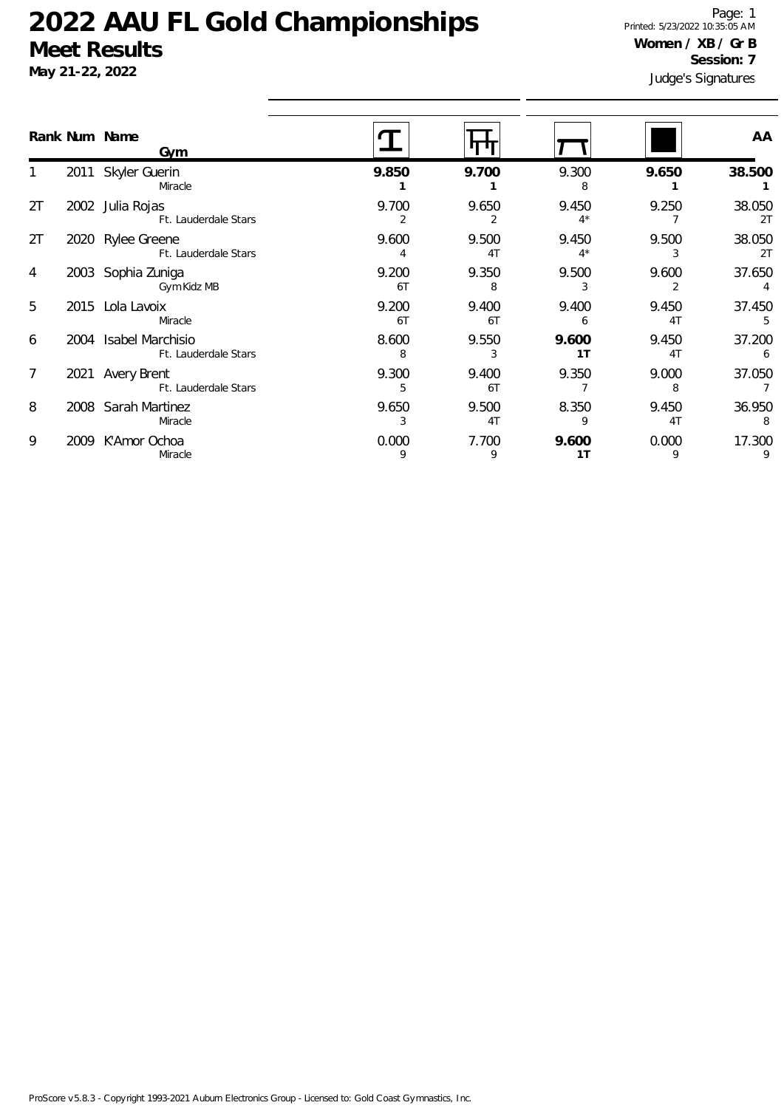**May 21-22, 2022**

Judge's Signatures Page: 1 Printed: 5/23/2022 10:35:05 AM **Women / XB / Gr B Session: 7**

|    |      | Rank Num Name<br>Gym                      |             |                         |                         |             | AA           |
|----|------|-------------------------------------------|-------------|-------------------------|-------------------------|-------------|--------------|
|    |      | 2011 Skyler Guerin<br>Miracle             | 9.850       | 9.700                   | 9.300<br>8              | 9.650       | 38.500       |
| 2T | 2002 | Julia Rojas<br>Ft. Lauderdale Stars       | 9.700       | 9.650                   | 9.450<br>$4^*$          | 9.250       | 38.050<br>2T |
| 2T |      | 2020 Rylee Greene<br>Ft. Lauderdale Stars | 9.600       | 9.500<br>4 <sub>T</sub> | 9.450<br>$4^*$          | 9.500<br>3  | 38.050<br>2T |
| 4  | 2003 | Sophia Zuniga<br>Gym Kidz MB              | 9.200<br>6T | 9.350<br>8              | 9.500                   | 9.600       | 37.650       |
| 5  | 2015 | Lola Lavoix<br>Miracle                    | 9.200<br>6T | 9.400<br>6T             | 9.400<br>6              | 9.450<br>4T | 37.450<br>5  |
| 6  | 2004 | Isabel Marchisio<br>Ft. Lauderdale Stars  | 8.600<br>8  | 9.550<br>3              | 9.600<br>1 <sub>T</sub> | 9.450<br>4T | 37.200<br>6  |
| 7  |      | 2021 Avery Brent<br>Ft. Lauderdale Stars  | 9.300       | 9.400<br>6T             | 9.350                   | 9.000<br>8  | 37.050       |
| 8  |      | 2008 Sarah Martinez<br>Miracle            | 9.650       | 9.500<br>4T             | 8.350<br>9              | 9.450<br>4T | 36.950<br>8  |
| 9  | 2009 | K'Amor Ochoa<br>Miracle                   | 0.000<br>9  | 7.700<br>9              | 9.600<br>1T             | 0.000<br>9  | 17.300<br>9  |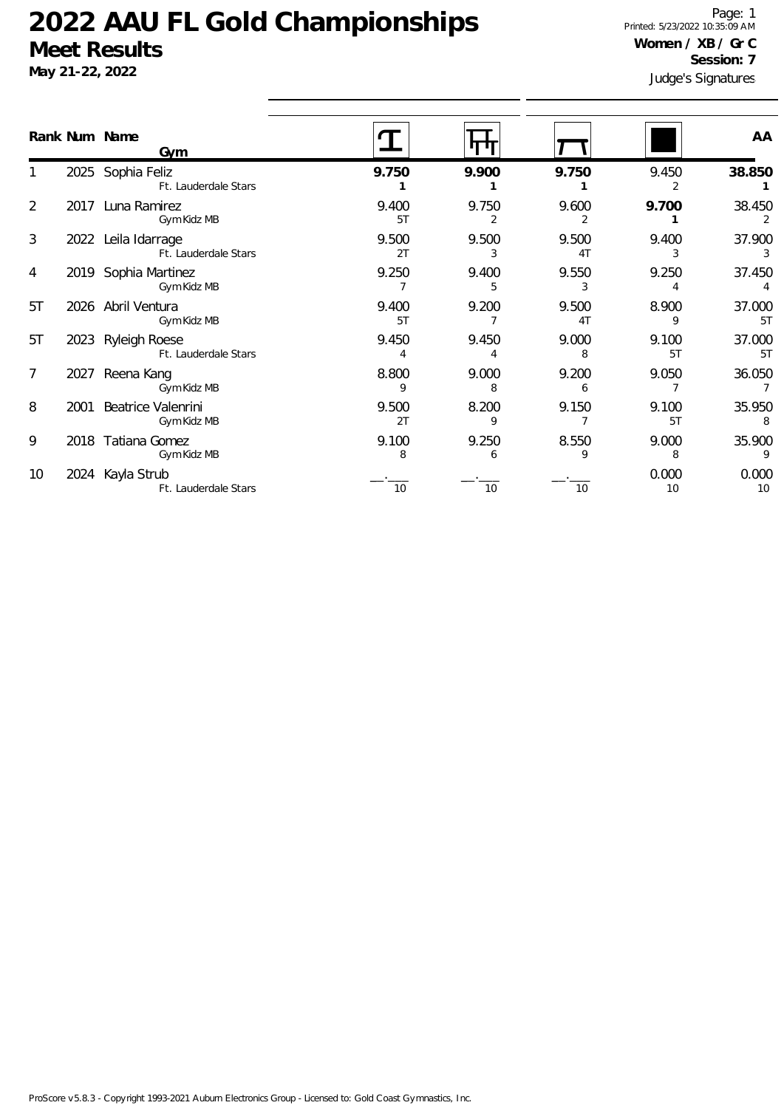**May 21-22, 2022**

Judge's Signatures Page: 1 Printed: 5/23/2022 10:35:09 AM **Women / XB / Gr C Session: 7**

| Rank Num Name  |      | Gym                                         |             |            |             |             | AA           |
|----------------|------|---------------------------------------------|-------------|------------|-------------|-------------|--------------|
|                |      | 2025 Sophia Feliz<br>Ft. Lauderdale Stars   | 9.750       | 9.900      | 9.750       | 9.450<br>2  | 38.850       |
| $\overline{2}$ |      | 2017 Luna Ramirez<br>Gym Kidz MB            | 9.400<br>5T | 9.750      | 9.600       | 9.700       | 38.450       |
| 3              |      | 2022 Leila Idarrage<br>Ft. Lauderdale Stars | 9.500<br>2T | 9.500      | 9.500<br>4T | 9.400       | 37.900<br>3  |
| 4              |      | 2019 Sophia Martinez<br>Gym Kidz MB         | 9.250       | 9.400      | 9.550<br>3  | 9.250       | 37.450       |
| 5T             |      | 2026 Abril Ventura<br>Gym Kidz MB           | 9.400<br>5T | 9.200      | 9.500<br>4T | 8.900<br>9  | 37.000<br>5T |
| 5T             | 2023 | Ryleigh Roese<br>Ft. Lauderdale Stars       | 9.450       | 9.450      | 9.000       | 9.100<br>5T | 37.000<br>5T |
| 7              | 2027 | Reena Kang<br>Gym Kidz MB                   | 8.800<br>9  | 9.000<br>8 | 9.200<br>6  | 9.050       | 36.050       |
| 8              | 2001 | Beatrice Valenrini<br>Gym Kidz MB           | 9.500<br>2T | 8.200<br>9 | 9.150       | 9.100<br>5T | 35.950<br>8  |
| 9              |      | 2018 Tatiana Gomez<br>Gym Kidz MB           | 9.100<br>8  | 9.250<br>6 | 8.550       | 9.000<br>8  | 35.900<br>9  |
| 10             |      | 2024 Kayla Strub<br>Ft. Lauderdale Stars    | 10          | 10         | 10          | 0.000<br>10 | 0.000<br>10  |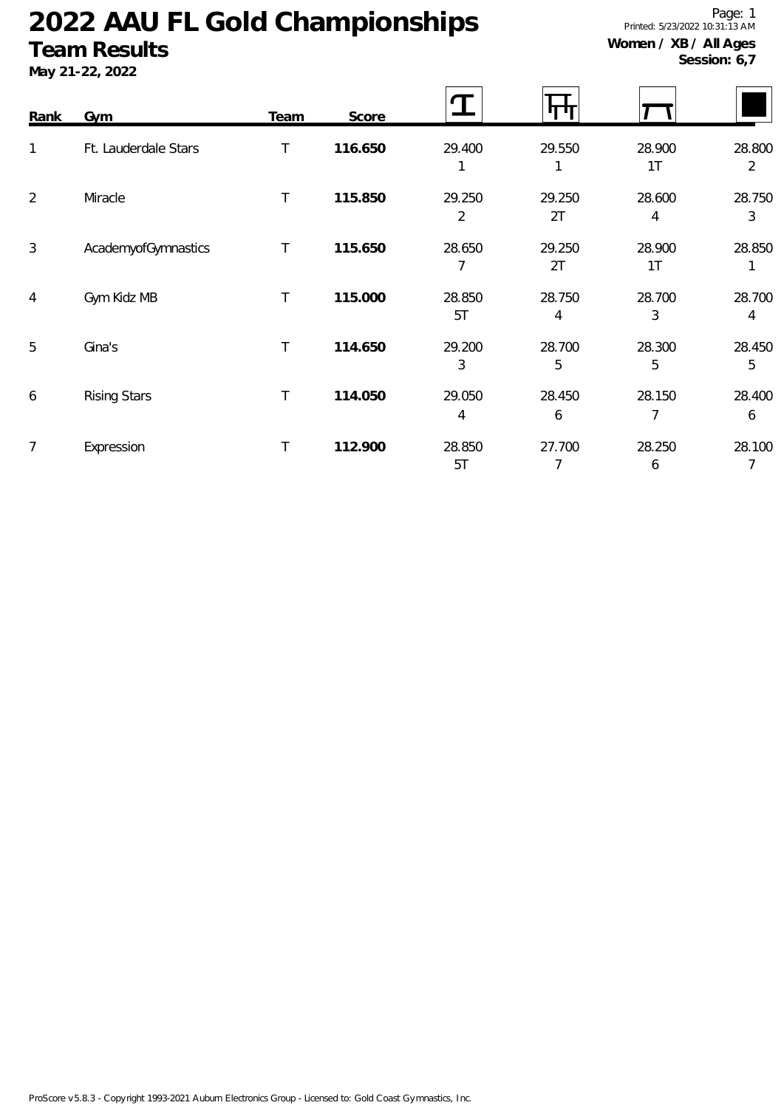### **Team Results**

**May 21-22, 2022**

Page: 1 Printed: 5/23/2022 10:31:13 AM **Women / XB / All Ages**

**Session: 6,7**

| Rank           | <b>Gym</b>           | Team   | Score   |              | ா            |                          |                          |
|----------------|----------------------|--------|---------|--------------|--------------|--------------------------|--------------------------|
| 1              | Ft. Lauderdale Stars | $\top$ | 116.650 | 29.400       | 29.550       | 28.900<br>1T             | 28.800<br>$\overline{2}$ |
| $\overline{2}$ | Miracle              | $\top$ | 115.850 | 29.250<br>2  | 29.250<br>2T | 28.600<br>4              | 28.750<br>3              |
| 3              | AcademyofGymnastics  | T      | 115.650 | 28.650       | 29.250<br>2T | 28.900<br>1 <sub>T</sub> | 28.850                   |
| 4              | Gym Kidz MB          | Τ      | 115.000 | 28.850<br>5T | 28.750<br>4  | 28.700<br>3              | 28.700<br>4              |
| 5              | Gina's               | $\top$ | 114.650 | 29.200<br>3  | 28.700<br>5  | 28.300<br>5              | 28.450<br>5              |
| 6              | <b>Rising Stars</b>  | Τ      | 114.050 | 29.050<br>4  | 28.450<br>6  | 28.150<br>7              | 28.400<br>6              |
| 7              | Expression           | $\top$ | 112.900 | 28.850<br>5T | 27.700       | 28.250<br>6              | 28.100<br>7              |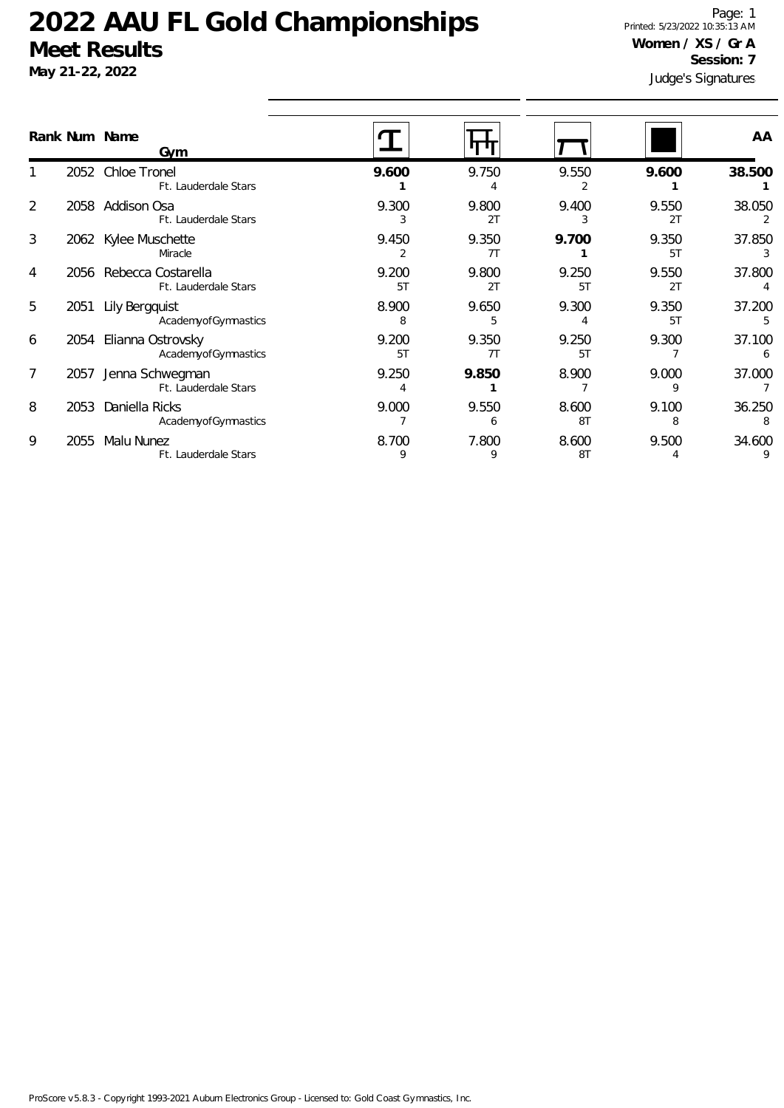**May 21-22, 2022**

Judge's Signatures Page: 1 Printed: 5/23/2022 10:35:13 AM **Women / XS / Gr A Session: 7**

|                |      | Rank Num Name<br>Gym                       |             |             |             |             | AA          |
|----------------|------|--------------------------------------------|-------------|-------------|-------------|-------------|-------------|
|                | 2052 | Chloe Tronel<br>Ft. Lauderdale Stars       | 9.600       | 9.750       | 9.550       | 9.600       | 38.500      |
| $\overline{2}$ | 2058 | Addison Osa<br>Ft. Lauderdale Stars        | 9.300<br>3  | 9.800<br>2T | 9.400       | 9.550<br>2T | 38.050      |
| 3              | 2062 | Kylee Muschette<br>Miracle                 | 9.450       | 9.350<br>7T | 9.700       | 9.350<br>5T | 37.850      |
| 4              | 2056 | Rebecca Costarella<br>Ft. Lauderdale Stars | 9.200<br>5T | 9.800<br>2T | 9.250<br>5T | 9.550<br>2T | 37.800      |
| 5              | 2051 | Lily Bergquist<br>AcademyofGymnastics      | 8.900<br>8  | 9.650<br>5  | 9.300       | 9.350<br>5T | 37.200      |
| 6              | 2054 | Elianna Ostrovsky<br>AcademyofGymnastics   | 9.200<br>5T | 9.350<br>71 | 9.250<br>5T | 9.300       | 37.100<br>6 |
| 7              | 2057 | Jenna Schwegman<br>Ft. Lauderdale Stars    | 9.250       | 9.850       | 8.900       | 9.000<br>Q  | 37.000      |
| 8              | 2053 | Daniella Ricks<br>AcademyofGymnastics      | 9.000       | 9.550<br>6  | 8.600<br>8T | 9.100<br>8  | 36.250<br>8 |
| 9              | 2055 | Malu Nunez<br>Ft. Lauderdale Stars         | 8.700<br>9  | 7.800<br>9  | 8.600<br>8T | 9.500       | 34.600      |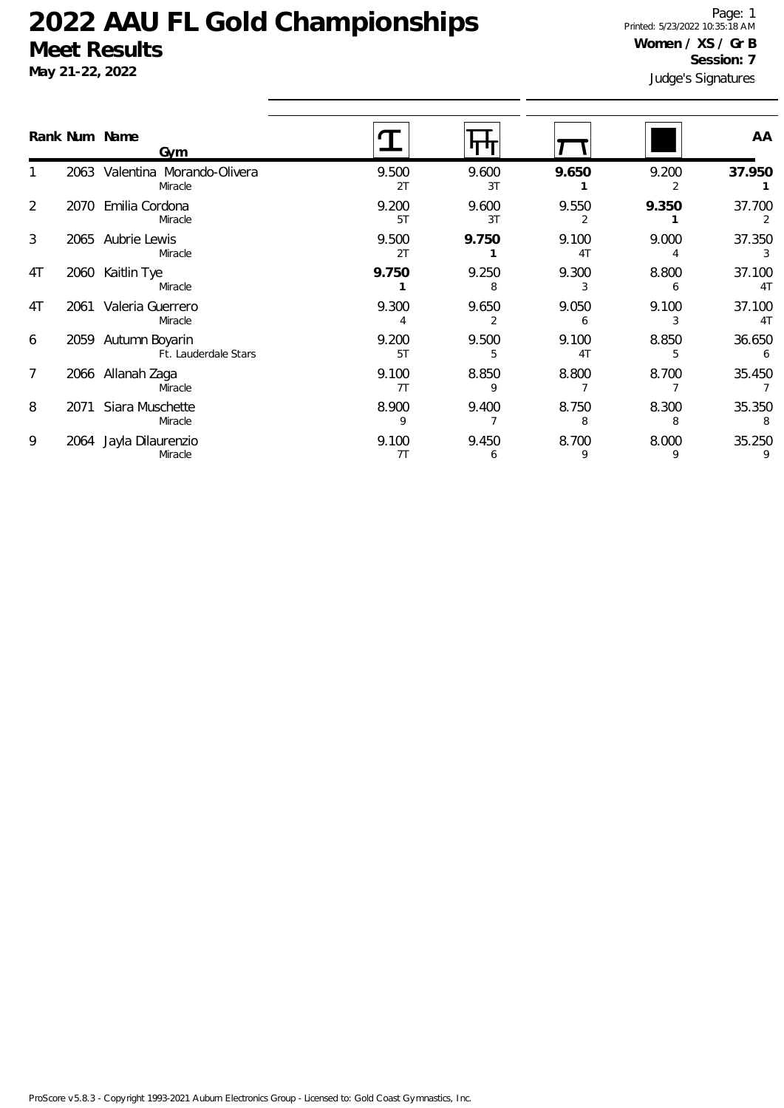**May 21-22, 2022**

Judge's Signatures Page: 1 Printed: 5/23/2022 10:35:18 AM **Women / XS / Gr B Session: 7**

|    |      | Rank Num Name<br>Gym                        |             |             |             |            | AA                       |
|----|------|---------------------------------------------|-------------|-------------|-------------|------------|--------------------------|
|    |      | 2063 Valentina Morando-Olivera<br>Miracle   | 9.500<br>2T | 9.600<br>3T | 9.650       | 9.200<br>2 | 37.950                   |
| 2  | 2070 | Emilia Cordona<br>Miracle                   | 9.200<br>5T | 9.600<br>3T | 9.550       | 9.350      | 37.700<br>2              |
| 3  | 2065 | Aubrie Lewis<br>Miracle                     | 9.500<br>2T | 9.750       | 9.100<br>4T | 9.000      | 37.350<br>3              |
| 4T | 2060 | Kaitlin Tye<br>Miracle                      | 9.750       | 9.250<br>8  | 9.300<br>3  | 8.800<br>6 | 37.100<br>4T             |
| 4T | 2061 | Valeria Guerrero<br>Miracle                 | 9.300       | 9.650       | 9.050<br>6  | 9.100      | 37.100<br>4 <sub>T</sub> |
| 6  |      | 2059 Autumn Boyarin<br>Ft. Lauderdale Stars | 9.200<br>5T | 9.500<br>5  | 9.100<br>4T | 8.850<br>5 | 36.650<br>6              |
| 7  |      | 2066 Allanah Zaga<br>Miracle                | 9.100<br>7T | 8.850       | 8.800       | 8.700      | 35.450                   |
| 8  | 2071 | Siara Muschette<br>Miracle                  | 8.900<br>9  | 9.400       | 8.750<br>8  | 8.300<br>8 | 35.350<br>8              |
| 9  | 2064 | Jayla Dilaurenzio<br>Miracle                | 9.100<br>7T | 9.450<br>6  | 8.700<br>9  | 8.000<br>9 | 35.250<br>9              |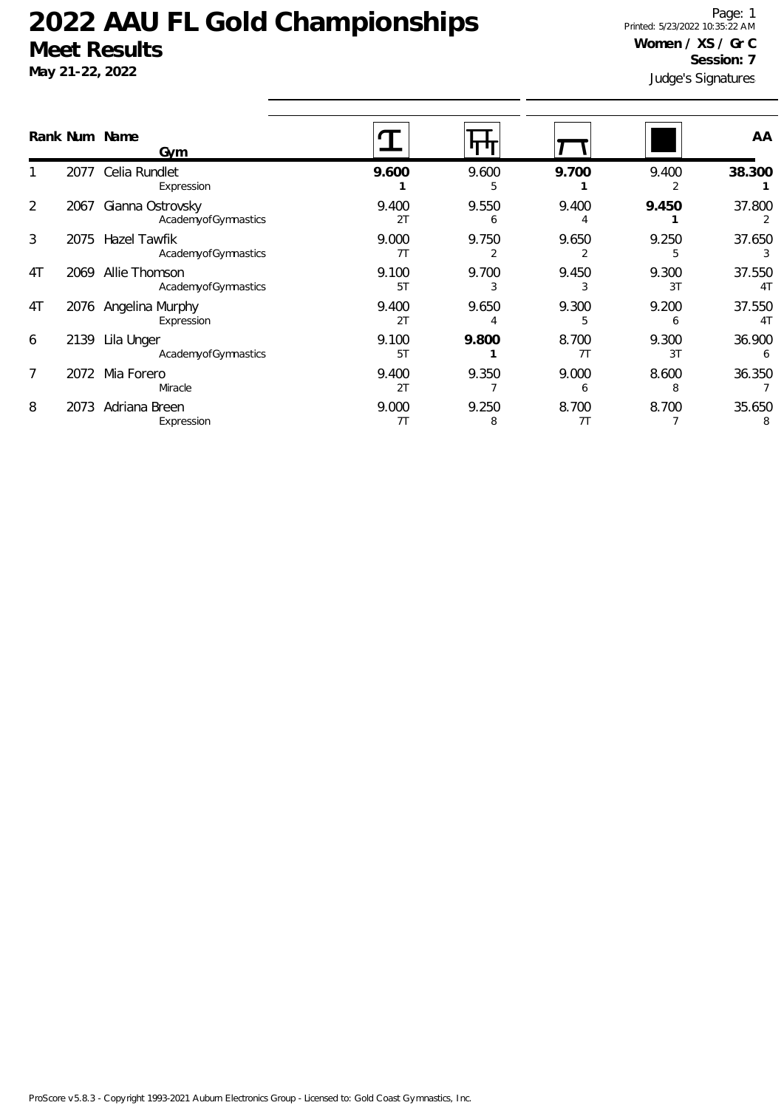**May 21-22, 2022**

Judge's Signatures Page: 1 Printed: 5/23/2022 10:35:22 AM **Women / XS / Gr C Session: 7**

|    |      | Rank Num Name<br>Gym                       |             |            |             |             | AA                       |
|----|------|--------------------------------------------|-------------|------------|-------------|-------------|--------------------------|
|    | 2077 | Celia Rundlet<br>Expression                | 9.600       | 9.600      | 9.700       | 9.400       | 38.300                   |
| 2  | 2067 | Gianna Ostrovsky<br>AcademyofGymnastics    | 9.400<br>2T | 9.550<br>6 | 9.400       | 9.450       | 37.800                   |
| 3  | 2075 | <b>Hazel Tawfik</b><br>AcademyofGymnastics | 9.000<br>7T | 9.750      | 9.650       | 9.250       | 37.650                   |
| 4T | 2069 | Allie Thomson<br>AcademyofGymnastics       | 9.100<br>5T | 9.700      | 9.450       | 9.300<br>3T | 37.550<br>4 <sub>T</sub> |
| 4T |      | 2076 Angelina Murphy<br>Expression         | 9.400<br>2T | 9.650      | 9.300       | 9.200<br>h  | 37.550<br>4 <sub>T</sub> |
| 6  | 2139 | Lila Unger<br>AcademyofGymnastics          | 9.100<br>5T | 9.800      | 8.700<br>7T | 9.300<br>3T | 36.900                   |
| 7  | 2072 | Mia Forero<br>Miracle                      | 9.400<br>2T | 9.350      | 9.000<br>6  | 8.600<br>8  | 36.350                   |
| 8  | 2073 | Adriana Breen<br>Expression                | 9.000<br>7T | 9.250<br>8 | 8.700<br>7T | 8.700       | 35.650<br>8              |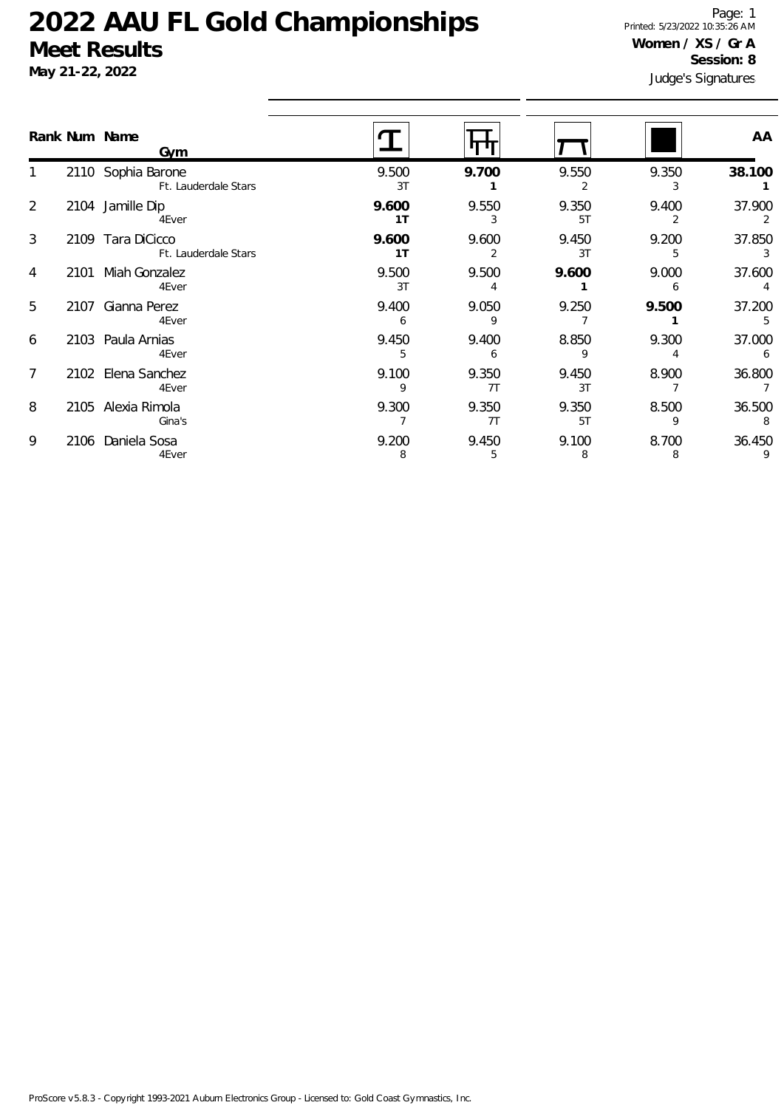**May 21-22, 2022**

Judge's Signatures Page: 1 Printed: 5/23/2022 10:35:26 AM **Women / XS / Gr A Session: 8**

|                |      | Rank Num Name<br>Gvm                       |             |             |             |                         | AA          |
|----------------|------|--------------------------------------------|-------------|-------------|-------------|-------------------------|-------------|
|                |      | 2110 Sophia Barone<br>Ft. Lauderdale Stars | 9.500<br>3T | 9.700       | 9.550       | 9.350<br>3              | 38.100      |
| 2              |      | 2104 Jamille Dip<br>4Ever                  | 9.600<br>1T | 9.550       | 9.350<br>5T | 9.400<br>$\overline{2}$ | 37.900<br>2 |
| 3              |      | 2109 Tara DiCicco<br>Ft. Lauderdale Stars  | 9.600<br>1T | 9.600<br>2  | 9.450<br>3T | 9.200<br>5              | 37.850<br>3 |
| 4              | 2101 | Miah Gonzalez<br>4Ever                     | 9.500<br>3T | 9.500       | 9.600       | 9.000<br>6              | 37.600      |
| 5              |      | 2107 Gianna Perez<br>4Ever                 | 9.400       | 9.050       | 9.250       | 9.500                   | 37.200<br>5 |
| 6              |      | 2103 Paula Arnias<br>4Ever                 | 9.450<br>5  | 9.400<br>6  | 8.850<br>9  | 9.300<br>4              | 37.000<br>6 |
| $\overline{7}$ |      | 2102 Elena Sanchez<br>4Ever                | 9.100       | 9.350<br>7T | 9.450<br>3T | 8.900                   | 36.800      |
| 8              |      | 2105 Alexia Rimola<br>Gina's               | 9.300       | 9.350<br>7T | 9.350<br>5T | 8.500<br>9              | 36.500<br>8 |
| 9              | 2106 | Daniela Sosa<br>4Ever                      | 9.200<br>8  | 9.450<br>5  | 9.100<br>8  | 8.700<br>8              | 36.450      |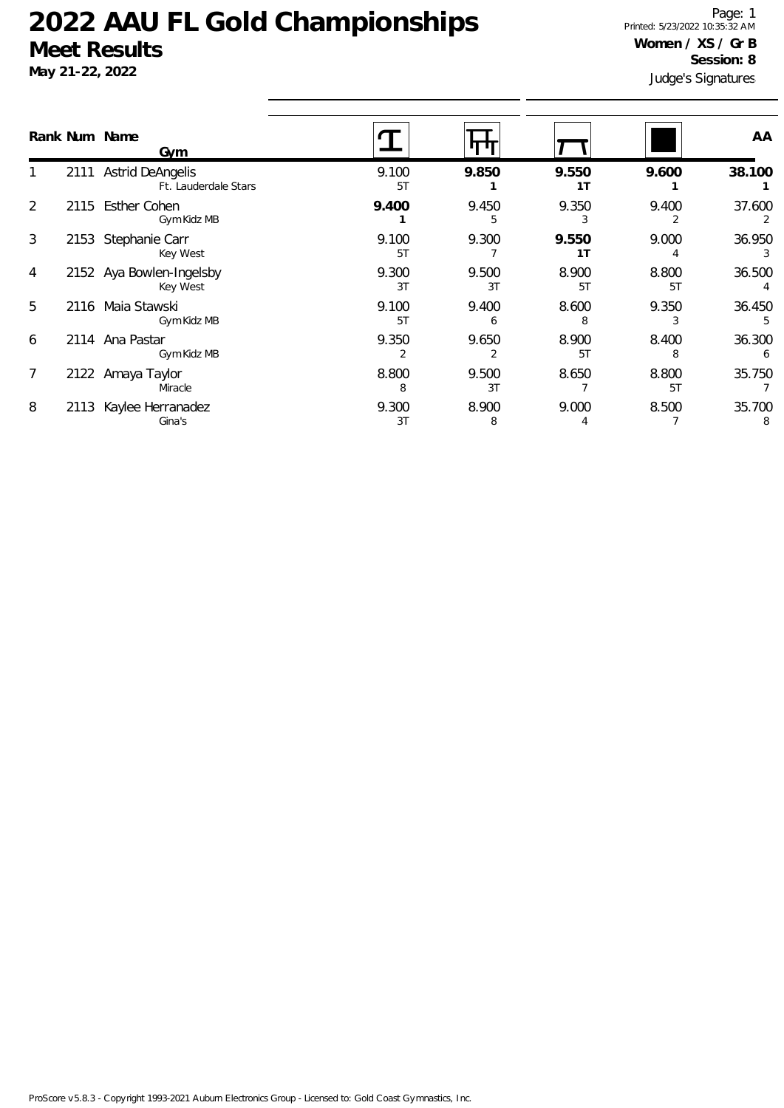**May 21-22, 2022**

Judge's Signatures Page: 1 Printed: 5/23/2022 10:35:32 AM **Women / XS / Gr B Session: 8**

|                |      | Rank Num Name<br>Gym                          |             |             |             |             | AA          |
|----------------|------|-----------------------------------------------|-------------|-------------|-------------|-------------|-------------|
|                |      | 2111 Astrid DeAngelis<br>Ft. Lauderdale Stars | 9.100<br>5T | 9.850       | 9.550<br>1T | 9.600       | 38.100      |
| 2              | 2115 | <b>Esther Cohen</b><br>Gym Kidz MB            | 9.400       | 9.450       | 9.350<br>3  | 9.400       | 37.600      |
| 3              | 2153 | Stephanie Carr<br>Key West                    | 9.100<br>5T | 9.300       | 9.550<br>1T | 9.000       | 36.950      |
| 4              |      | 2152 Aya Bowlen-Ingelsby<br>Key West          | 9.300<br>3T | 9.500<br>3T | 8.900<br>5T | 8.800<br>5T | 36.500      |
| 5              | 2116 | Maia Stawski<br>Gym Kidz MB                   | 9.100<br>5T | 9.400<br>6  | 8.600<br>8  | 9.350       | 36.450      |
| 6              |      | 2114 Ana Pastar<br>Gym Kidz MB                | 9.350       | 9.650       | 8.900<br>5T | 8.400       | 36.300      |
| $\overline{7}$ |      | 2122 Amaya Taylor<br>Miracle                  | 8.800<br>8  | 9.500<br>3T | 8.650       | 8.800<br>5T | 35.750      |
| 8              | 2113 | Kaylee Herranadez<br>Gina's                   | 9.300<br>3T | 8.900<br>8  | 9.000       | 8.500       | 35.700<br>8 |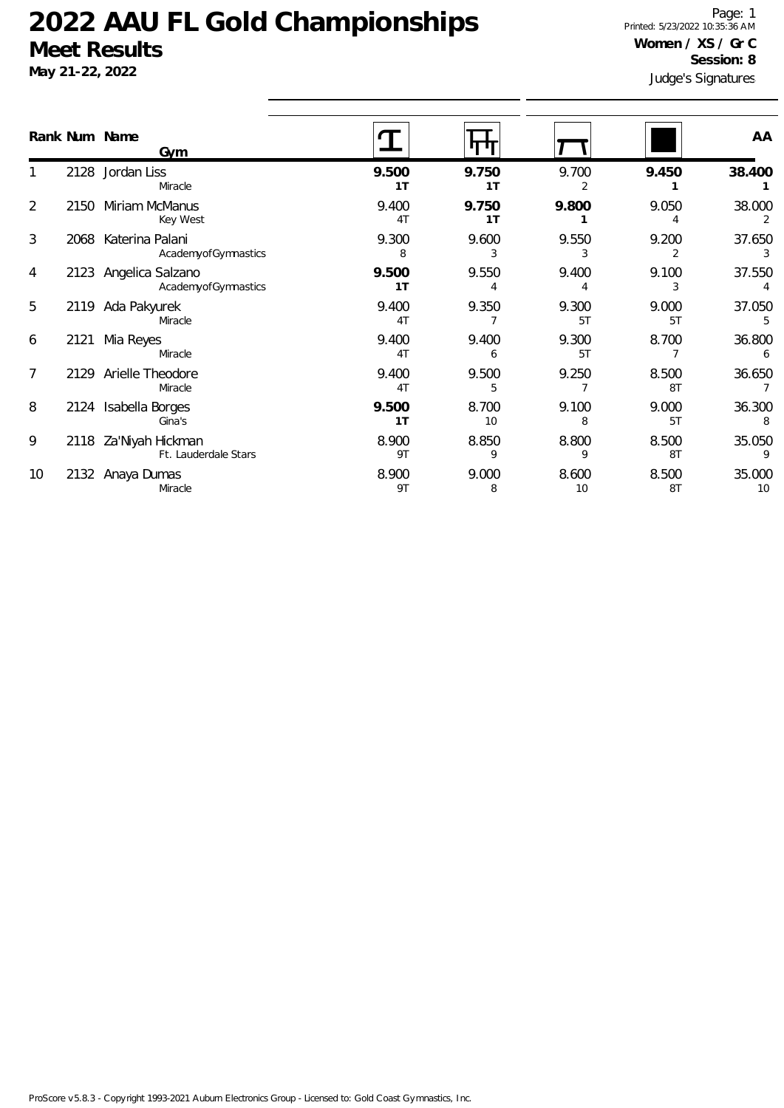**May 21-22, 2022**

Judge's Signatures Page: 1 Printed: 5/23/2022 10:35:36 AM **Women / XS / Gr C Session: 8**

|                |      | Rank Num Name<br><b>Gym</b>                   |                         |                         |             |                         | AA           |
|----------------|------|-----------------------------------------------|-------------------------|-------------------------|-------------|-------------------------|--------------|
|                |      | 2128 Jordan Liss<br>Miracle                   | 9.500<br>1 <sub>T</sub> | 9.750<br>1 <sub>T</sub> | 9.700<br>2  | 9.450                   | 38.400       |
| $\overline{2}$ | 2150 | Miriam McManus<br>Key West                    | 9.400<br>4T             | 9.750<br>1T             | 9.800       | 9.050                   | 38.000<br>2  |
| 3              |      | 2068 Katerina Palani<br>AcademyofGymnastics   | 9.300<br>8              | 9.600<br>3              | 9.550       | 9.200<br>$\overline{2}$ | 37.650<br>3  |
| 4              |      | 2123 Angelica Salzano<br>AcademyofGymnastics  | 9.500<br>1 <sub>T</sub> | 9.550                   | 9.400<br>4  | 9.100<br>3              | 37.550<br>4  |
| 5              |      | 2119 Ada Pakyurek<br>Miracle                  | 9.400<br>4T             | 9.350                   | 9.300<br>5T | 9.000<br>5T             | 37.050       |
| 6              | 2121 | Mia Reyes<br>Miracle                          | 9.400<br>4T             | 9.400<br>6              | 9.300<br>5T | 8.700                   | 36.800<br>6  |
| $\overline{7}$ |      | 2129 Arielle Theodore<br>Miracle              | 9.400<br>4T             | 9.500<br>5              | 9.250       | 8.500<br>8T             | 36.650<br>7  |
| 8              | 2124 | Isabella Borges<br>Gina's                     | 9.500<br>1 <sub>T</sub> | 8.700<br>10             | 9.100<br>8  | 9.000<br>5T             | 36.300<br>8  |
| 9              |      | 2118 Za'Niyah Hickman<br>Ft. Lauderdale Stars | 8.900<br>9T             | 8.850<br>9              | 8.800<br>9  | 8.500<br>8T             | 35.050       |
| 10             |      | 2132 Anaya Dumas<br>Miracle                   | 8.900<br>9T             | 9.000<br>8              | 8.600<br>10 | 8.500<br>8T             | 35.000<br>10 |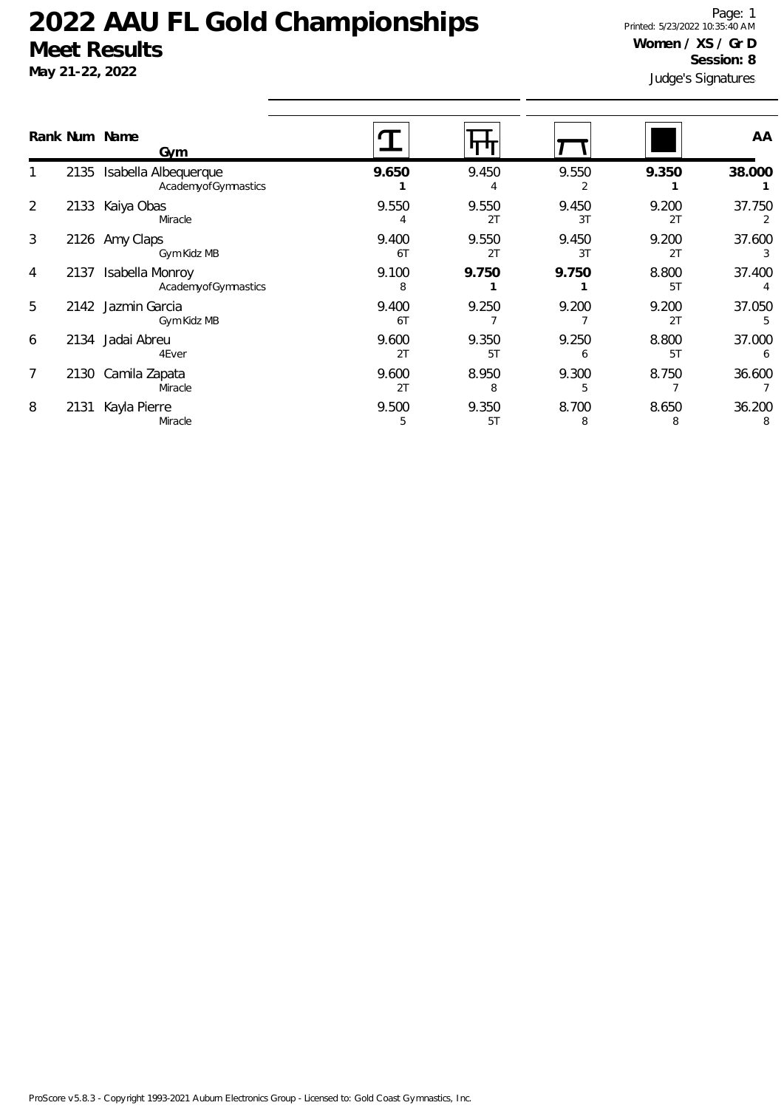**May 21-22, 2022**

Judge's Signatures Page: 1 Printed: 5/23/2022 10:35:40 AM **Women / XS / Gr D Session: 8**

|                |      | Rank Num Name<br><u>Gym</u>                 |             |             |             |             | AA          |
|----------------|------|---------------------------------------------|-------------|-------------|-------------|-------------|-------------|
|                | 2135 | Isabella Albequerque<br>AcademyofGymnastics | 9.650       | 9.450       | 9.550       | 9.350       | 38.000      |
| 2              | 2133 | Kaiya Obas<br>Miracle                       | 9.550       | 9.550<br>2T | 9.450<br>3T | 9.200<br>2T | 37.750<br>2 |
| 3              |      | 2126 Amy Claps<br>Gym Kidz MB               | 9.400<br>6T | 9.550<br>2T | 9.450<br>3T | 9.200<br>2T | 37.600      |
| 4              | 2137 | Isabella Monroy<br>AcademyofGymnastics      | 9.100<br>8  | 9.750       | 9.750       | 8.800<br>5T | 37.400      |
| 5              |      | 2142 Jazmin Garcia<br>Gym Kidz MB           | 9.400<br>6T | 9.250       | 9.200       | 9.200<br>2T | 37.050<br>5 |
| 6              |      | 2134 Jadai Abreu<br>4Ever                   | 9.600<br>2T | 9.350<br>5T | 9.250<br>6  | 8.800<br>5T | 37.000<br>6 |
| $\overline{7}$ | 2130 | Camila Zapata<br>Miracle                    | 9.600<br>2T | 8.950<br>8  | 9.300<br>5  | 8.750       | 36.600      |
| 8              | 2131 | Kayla Pierre<br>Miracle                     | 9.500<br>5  | 9.350<br>5T | 8.700<br>8  | 8.650<br>8  | 36.200<br>8 |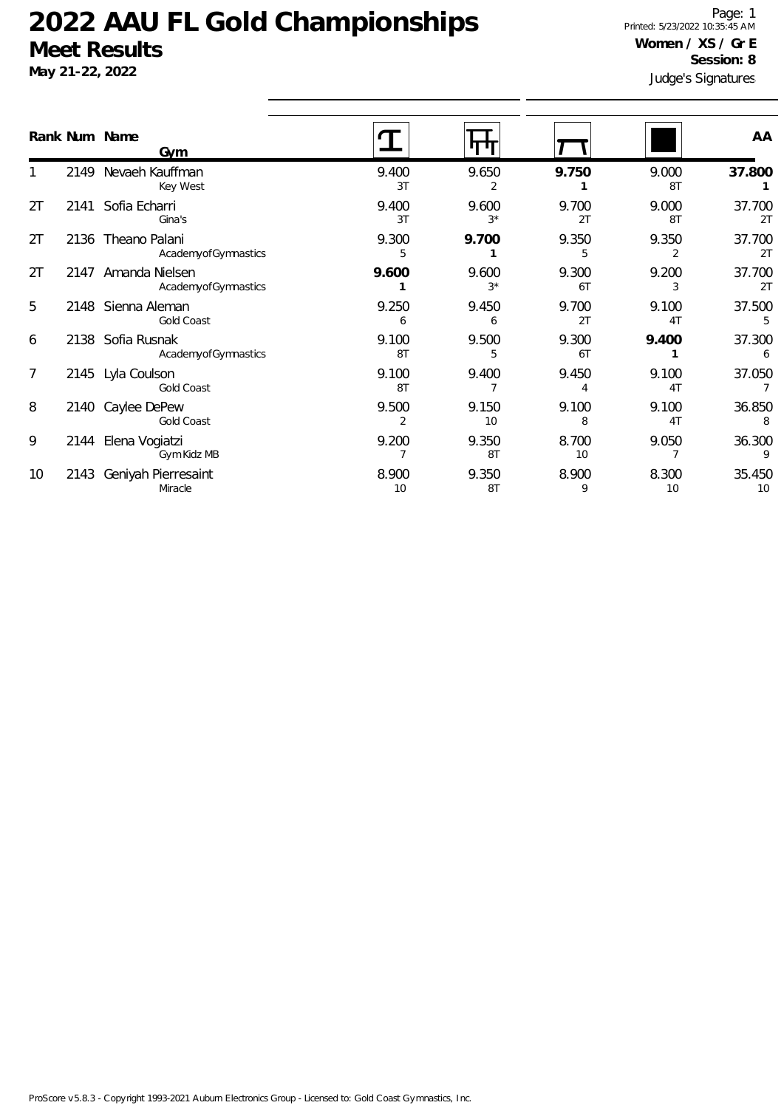**May 21-22, 2022**

Judge's Signatures Page: 1 Printed: 5/23/2022 10:35:45 AM **Women / XS / Gr E Session: 8**

|    |      | Rank Num Name<br>Gym                      |                         |               |             |             | AA           |
|----|------|-------------------------------------------|-------------------------|---------------|-------------|-------------|--------------|
|    | 2149 | Nevaeh Kauffman<br>Key West               | 9.400<br>3T             | 9.650<br>2    | 9.750       | 9.000<br>8T | 37.800       |
| 2T | 2141 | Sofia Echarri<br>Gina's                   | 9.400<br>3T             | 9.600<br>$3*$ | 9.700<br>2T | 9.000<br>8T | 37.700<br>2T |
| 2T |      | 2136 Theano Palani<br>AcademyofGymnastics | 9.300<br>5              | 9.700         | 9.350<br>5  | 9.350<br>2  | 37.700<br>2T |
| 2T | 2147 | Amanda Nielsen<br>AcademyofGymnastics     | 9.600                   | 9.600<br>$3*$ | 9.300<br>6T | 9.200<br>3  | 37.700<br>2T |
| 5  |      | 2148 Sienna Aleman<br>Gold Coast          | 9.250<br>6              | 9.450<br>6    | 9.700<br>2T | 9.100<br>4T | 37.500       |
| 6  |      | 2138 Sofia Rusnak<br>AcademyofGymnastics  | 9.100<br>8T             | 9.500<br>5    | 9.300<br>6T | 9.400       | 37.300<br>6  |
| 7  |      | 2145 Lyla Coulson<br>Gold Coast           | 9.100<br>8T             | 9.400         | 9.450<br>4  | 9.100<br>4T | 37.050       |
| 8  | 2140 | Caylee DePew<br><b>Gold Coast</b>         | 9.500<br>$\overline{2}$ | 9.150<br>10   | 9.100<br>8  | 9.100<br>4T | 36.850<br>8  |
| 9  | 2144 | Elena Vogiatzi<br>Gym Kidz MB             | 9.200                   | 9.350<br>8T   | 8.700<br>10 | 9.050       | 36.300<br>9  |
| 10 | 2143 | Geniyah Pierresaint<br>Miracle            | 8.900<br>10             | 9.350<br>8T   | 8.900<br>9  | 8.300<br>10 | 35.450<br>10 |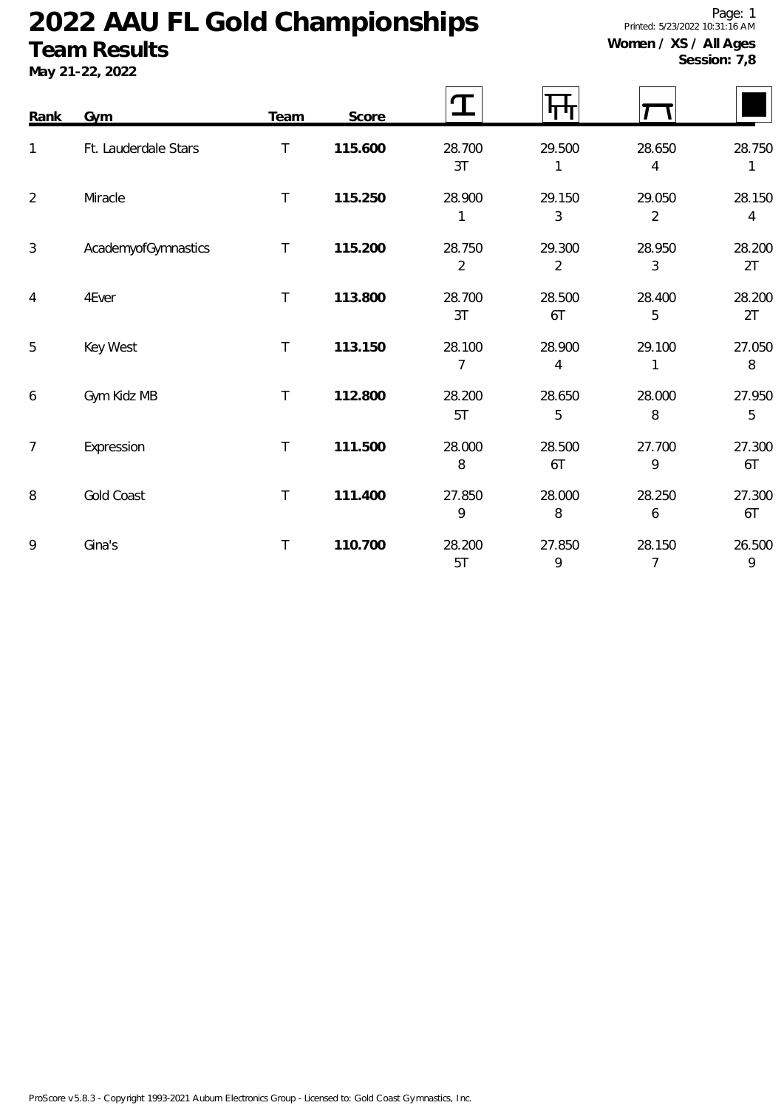### **Team Results**

**May 21-22, 2022**

Page: 1 Printed: 5/23/2022 10:31:16 AM **Women / XS / All Ages**

**Session: 7,8**

| Rank           | Gym                  | <b>Team</b>  | Score   |                          |                          |                          |                          |
|----------------|----------------------|--------------|---------|--------------------------|--------------------------|--------------------------|--------------------------|
| 1              | Ft. Lauderdale Stars | T.           | 115.600 | 28.700<br>3T             | 29.500                   | 28.650<br>4              | 28.750<br>1              |
| $\overline{2}$ | Miracle              | T            | 115.250 | 28.900<br>1              | 29.150<br>3              | 29.050<br>$\overline{2}$ | 28.150<br>$\overline{4}$ |
| 3              | AcademyofGymnastics  | $\mathsf{T}$ | 115.200 | 28.750<br>$\overline{2}$ | 29.300<br>$\overline{2}$ | 28.950<br>3              | 28.200<br>2T             |
| $\overline{4}$ | 4Ever                | $\top$       | 113.800 | 28.700<br>3T             | 28.500<br>6T             | 28.400<br>5              | 28.200<br>2T             |
| 5              | Key West             | $\top$       | 113.150 | 28.100<br>7              | 28.900<br>4              | 29.100<br>$\mathbf{1}$   | 27.050<br>8              |
| 6              | Gym Kidz MB          | T            | 112.800 | 28.200<br>5T             | 28.650<br>5              | 28.000<br>8              | 27.950<br>5              |
| $\overline{7}$ | Expression           | T            | 111.500 | 28.000<br>8              | 28.500<br>6T             | 27.700<br>9              | 27.300<br>6T             |
| 8              | Gold Coast           | T            | 111.400 | 27.850<br>9              | 28.000<br>8              | 28.250<br>6              | 27.300<br>6T             |
| 9              | Gina's               | $\top$       | 110.700 | 28.200<br>5T             | 27.850<br>9              | 28.150<br>$\overline{7}$ | 26.500<br>9              |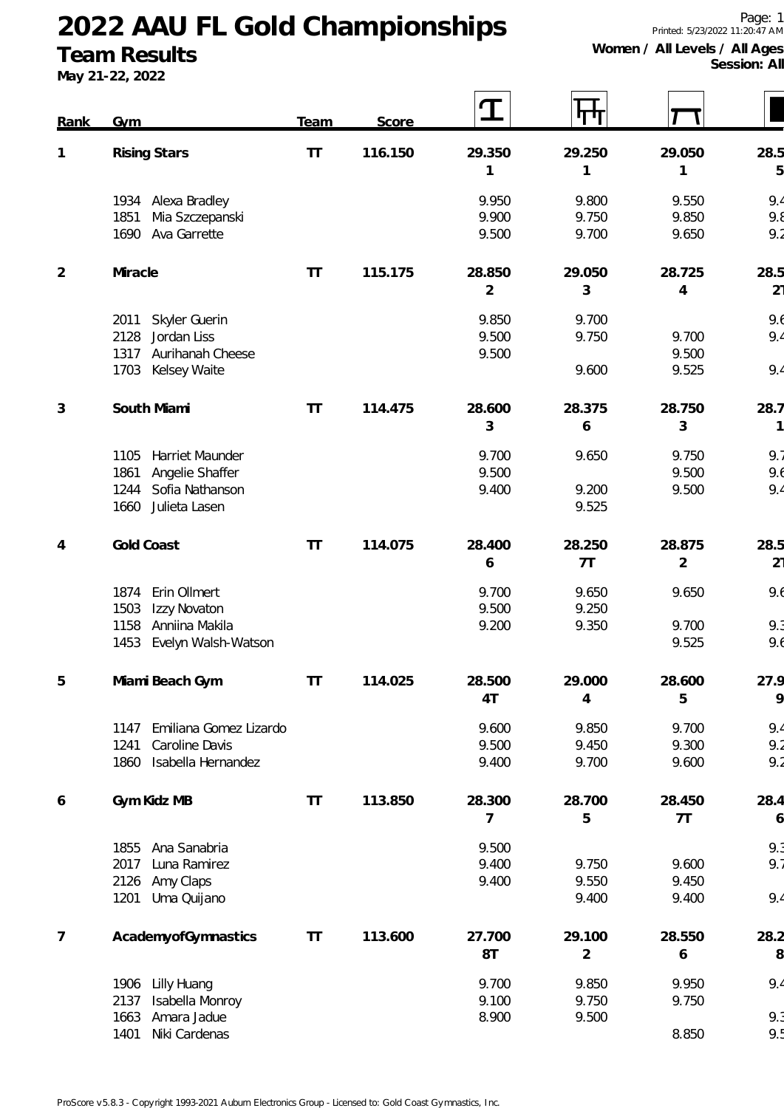### **Team Results**

**May 21-22, 2022**

**Session: All**

| Rank           | Gym                            | Team   | Score   | I              |        |                |                |
|----------------|--------------------------------|--------|---------|----------------|--------|----------------|----------------|
| $\mathbf{1}$   | <b>Rising Stars</b>            | T      | 116.150 | 29.350         | 29.250 | 29.050         | 28.5           |
|                |                                |        |         | 1              | 1      | 1              | 5              |
|                | 1934 Alexa Bradley             |        |         | 9.950          | 9.800  | 9.550          | 9.4            |
|                | 1851<br>Mia Szczepanski        |        |         | 9.900          | 9.750  | 9.850          | 9.8            |
|                | Ava Garrette<br>1690           |        |         | 9.500          | 9.700  | 9.650          | 9.2            |
| $\overline{2}$ | Miracle                        | $\top$ | 115.175 | 28.850         | 29.050 | 28.725         | 28.5           |
|                |                                |        |         | $\overline{2}$ | 3      | 4              | 21             |
|                | Skyler Guerin<br>2011          |        |         | 9.850          | 9.700  |                | 9.6            |
|                | Jordan Liss<br>2128            |        |         | 9.500          | 9.750  | 9.700          | 9.4            |
|                | Aurihanah Cheese<br>1317       |        |         | 9.500          |        | 9.500          |                |
|                | Kelsey Waite<br>1703           |        |         |                | 9.600  | 9.525          | 9.4            |
| 3              | South Miami                    | $\top$ | 114.475 | 28.600         | 28.375 | 28.750         | 28.7           |
|                |                                |        |         | 3              | 6      | 3              | 1              |
|                | Harriet Maunder<br>1105        |        |         | 9.700          | 9.650  | 9.750          | 9.7            |
|                | Angelie Shaffer<br>1861        |        |         | 9.500          |        | 9.500          | 9.6            |
|                | Sofia Nathanson<br>1244        |        |         | 9.400          | 9.200  | 9.500          | 9.4            |
|                | 1660<br>Julieta Lasen          |        |         |                | 9.525  |                |                |
| 4              | Gold Coast                     | $\top$ | 114.075 | 28.400         | 28.250 | 28.875         | 28.5           |
|                |                                |        |         | 6              | 7T     | $\overline{2}$ | 2 <sub>1</sub> |
|                | Erin Ollmert<br>1874           |        |         | 9.700          | 9.650  | 9.650          | 9.6            |
|                | 1503<br>Izzy Novaton           |        |         | 9.500          | 9.250  |                |                |
|                | 1158<br>Anniina Makila         |        |         | 9.200          | 9.350  | 9.700          | 9.3            |
|                | Evelyn Walsh-Watson<br>1453    |        |         |                |        | 9.525          | 9.6            |
| 5              | Miami Beach Gym                | $\Pi$  | 114.025 | 28.500         | 29.000 | 28.600         | 27.9           |
|                |                                |        |         | 4T             | 4      | 5              | 9              |
|                | Emiliana Gomez Lizardo<br>1147 |        |         | 9.600          | 9.850  | 9.700          | 9.4            |
|                | 1241<br>Caroline Davis         |        |         | 9.500          | 9.450  | 9.300          | 9.2            |
|                | Isabella Hernandez<br>1860     |        |         | 9.400          | 9.700  | 9.600          | 9.2            |
| 6              | Gym Kidz MB                    | T      | 113.850 | 28.300         | 28.700 | 28.450         | 28.4           |
|                |                                |        |         | 7              | 5      | 7T             | 6              |
|                | Ana Sanabria<br>1855           |        |         | 9.500          |        |                | 9.3            |
|                | Luna Ramirez<br>2017           |        |         | 9.400          | 9.750  | 9.600          | 9.7            |
|                | 2126<br>Amy Claps              |        |         | 9.400          | 9.550  | 9.450          |                |
|                | Uma Quijano<br>1201            |        |         |                | 9.400  | 9.400          | 9.4            |
| $\overline{7}$ | AcademyofGymnastics            | T      | 113.600 | 27.700         | 29.100 | 28.550         | 28.2           |
|                |                                |        |         | 8T             | 2      | 6              | 8              |
|                | Lilly Huang<br>1906            |        |         | 9.700          | 9.850  | 9.950          | 9.4            |
|                | Isabella Monroy<br>2137        |        |         | 9.100          | 9.750  | 9.750          |                |
|                | 1663<br>Amara Jadue            |        |         | 8.900          | 9.500  |                | 9.3            |
|                | 1401<br>Niki Cardenas          |        |         |                |        | 8.850          | 9.5            |